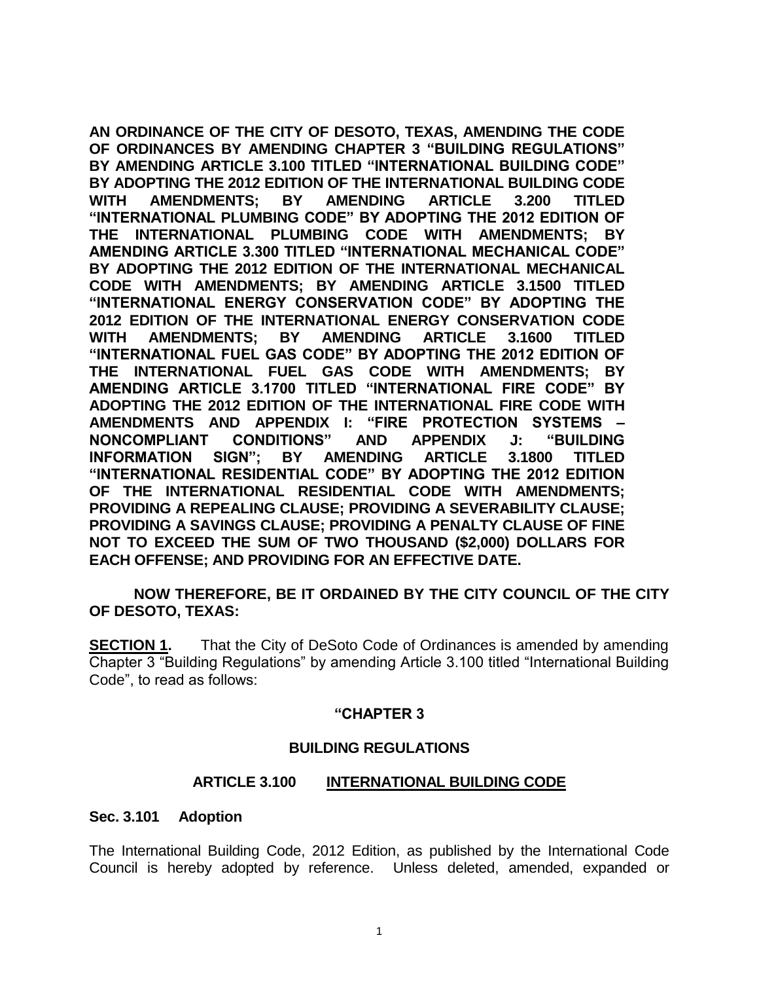**AN ORDINANCE OF THE CITY OF DESOTO, TEXAS, AMENDING THE CODE OF ORDINANCES BY AMENDING CHAPTER 3 "BUILDING REGULATIONS" BY AMENDING ARTICLE 3.100 TITLED "INTERNATIONAL BUILDING CODE" BY ADOPTING THE 2012 EDITION OF THE INTERNATIONAL BUILDING CODE WITH AMENDMENTS; BY AMENDING ARTICLE 3.200 TITLED "INTERNATIONAL PLUMBING CODE" BY ADOPTING THE 2012 EDITION OF THE INTERNATIONAL PLUMBING CODE WITH AMENDMENTS; BY AMENDING ARTICLE 3.300 TITLED "INTERNATIONAL MECHANICAL CODE" BY ADOPTING THE 2012 EDITION OF THE INTERNATIONAL MECHANICAL CODE WITH AMENDMENTS; BY AMENDING ARTICLE 3.1500 TITLED "INTERNATIONAL ENERGY CONSERVATION CODE" BY ADOPTING THE 2012 EDITION OF THE INTERNATIONAL ENERGY CONSERVATION CODE WITH AMENDMENTS; BY AMENDING ARTICLE 3.1600 TITLED "INTERNATIONAL FUEL GAS CODE" BY ADOPTING THE 2012 EDITION OF THE INTERNATIONAL FUEL GAS CODE WITH AMENDMENTS; BY AMENDING ARTICLE 3.1700 TITLED "INTERNATIONAL FIRE CODE" BY ADOPTING THE 2012 EDITION OF THE INTERNATIONAL FIRE CODE WITH AMENDMENTS AND APPENDIX I: "FIRE PROTECTION SYSTEMS – NONCOMPLIANT CONDITIONS" AND APPENDIX J: "BUILDING INFORMATION SIGN"; BY AMENDING ARTICLE 3.1800 TITLED "INTERNATIONAL RESIDENTIAL CODE" BY ADOPTING THE 2012 EDITION OF THE INTERNATIONAL RESIDENTIAL CODE WITH AMENDMENTS; PROVIDING A REPEALING CLAUSE; PROVIDING A SEVERABILITY CLAUSE; PROVIDING A SAVINGS CLAUSE; PROVIDING A PENALTY CLAUSE OF FINE NOT TO EXCEED THE SUM OF TWO THOUSAND (\$2,000) DOLLARS FOR EACH OFFENSE; AND PROVIDING FOR AN EFFECTIVE DATE.**

**NOW THEREFORE, BE IT ORDAINED BY THE CITY COUNCIL OF THE CITY OF DESOTO, TEXAS:**

**SECTION 1.** That the City of DeSoto Code of Ordinances is amended by amending Chapter 3 "Building Regulations" by amending Article 3.100 titled "International Building Code", to read as follows:

#### **"CHAPTER 3**

#### **BUILDING REGULATIONS**

#### **ARTICLE 3.100 INTERNATIONAL BUILDING CODE**

#### **Sec. 3.101 Adoption**

The International Building Code, 2012 Edition, as published by the International Code Council is hereby adopted by reference. Unless deleted, amended, expanded or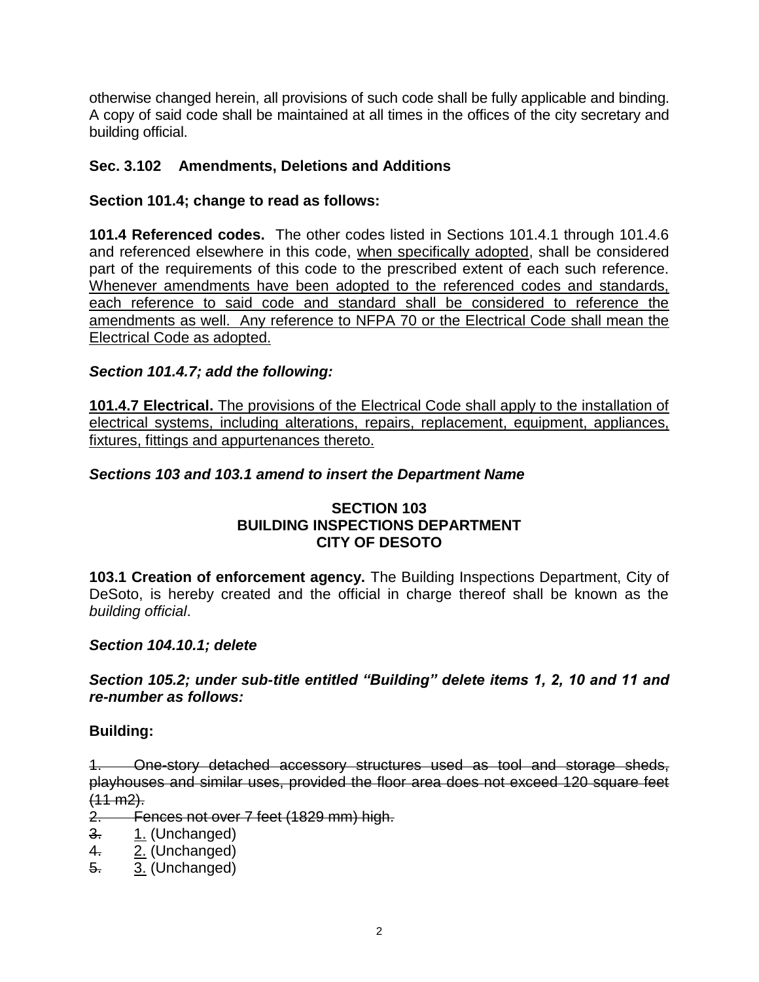otherwise changed herein, all provisions of such code shall be fully applicable and binding. A copy of said code shall be maintained at all times in the offices of the city secretary and building official.

## **Sec. 3.102 Amendments, Deletions and Additions**

### **Section 101.4; change to read as follows:**

**101.4 Referenced codes.** The other codes listed in Sections 101.4.1 through 101.4.6 and referenced elsewhere in this code, when specifically adopted, shall be considered part of the requirements of this code to the prescribed extent of each such reference. Whenever amendments have been adopted to the referenced codes and standards, each reference to said code and standard shall be considered to reference the amendments as well. Any reference to NFPA 70 or the Electrical Code shall mean the Electrical Code as adopted.

### *Section 101.4.7; add the following:*

**101.4.7 Electrical.** The provisions of the Electrical Code shall apply to the installation of electrical systems, including alterations, repairs, replacement, equipment, appliances, fixtures, fittings and appurtenances thereto.

### *Sections 103 and 103.1 amend to insert the Department Name*

### **SECTION 103 BUILDING INSPECTIONS DEPARTMENT CITY OF DESOTO**

**103.1 Creation of enforcement agency.** The Building Inspections Department, City of DeSoto, is hereby created and the official in charge thereof shall be known as the *building official*.

#### *Section 104.10.1; delete*

### *Section 105.2; under sub-title entitled "Building" delete items 1, 2, 10 and 11 and re-number as follows:*

### **Building:**

1. One-story detached accessory structures used as tool and storage sheds, playhouses and similar uses, provided the floor area does not exceed 120 square feet  $(11 \text{ m2})$ .

2. Fences not over 7 feet (1829 mm) high.

- 3. 1. (Unchanged)
- 4. 2. (Unchanged)
- 5. 3. (Unchanged)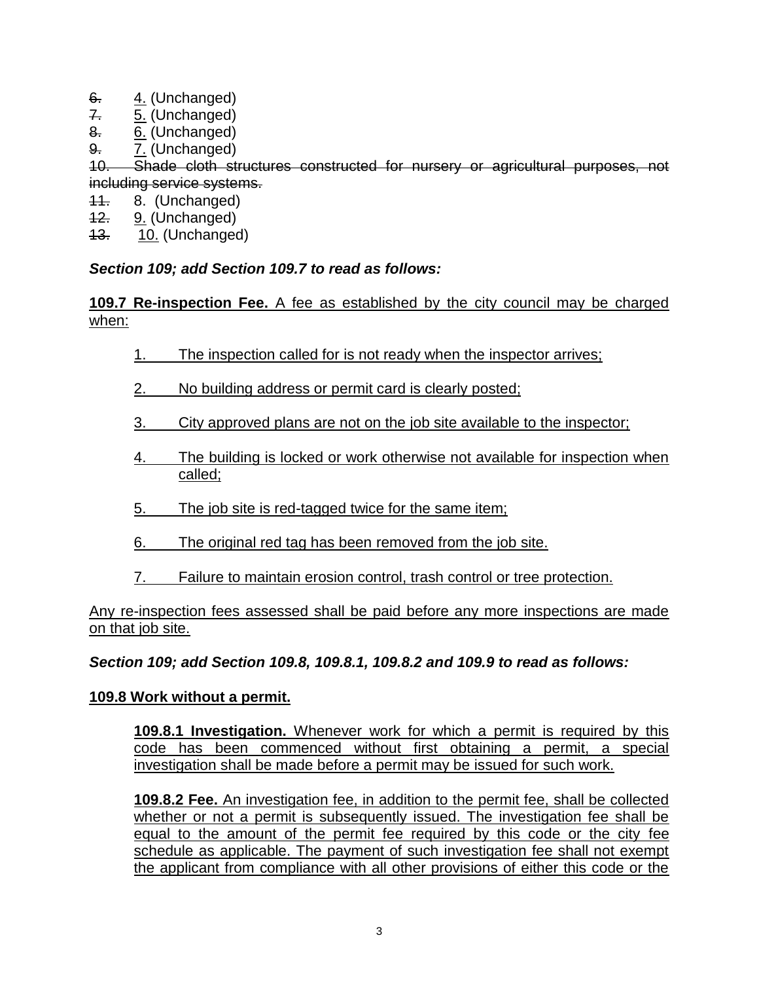- 6. 4. (Unchanged)
- $7. 5.$  (Unchanged)
- 8. 6. (Unchanged)
- 9. 7. (Unchanged)

10. Shade cloth structures constructed for nursery or agricultural purposes, not including service systems.

- 11. 8. (Unchanged)
- 12. 9. (Unchanged)
- 13. 10. (Unchanged)

## *Section 109; add Section 109.7 to read as follows:*

### **109.7 Re-inspection Fee.** A fee as established by the city council may be charged when:

- 1. The inspection called for is not ready when the inspector arrives;
- 2. No building address or permit card is clearly posted;
- 3. City approved plans are not on the job site available to the inspector;
- 4. The building is locked or work otherwise not available for inspection when called;
- 5. The job site is red-tagged twice for the same item;
- 6. The original red tag has been removed from the job site.
- 7. Failure to maintain erosion control, trash control or tree protection.

Any re-inspection fees assessed shall be paid before any more inspections are made on that job site.

*Section 109; add Section 109.8, 109.8.1, 109.8.2 and 109.9 to read as follows:*

### **109.8 Work without a permit.**

**109.8.1 Investigation.** Whenever work for which a permit is required by this code has been commenced without first obtaining a permit, a special investigation shall be made before a permit may be issued for such work.

**109.8.2 Fee.** An investigation fee, in addition to the permit fee, shall be collected whether or not a permit is subsequently issued. The investigation fee shall be equal to the amount of the permit fee required by this code or the city fee schedule as applicable. The payment of such investigation fee shall not exempt the applicant from compliance with all other provisions of either this code or the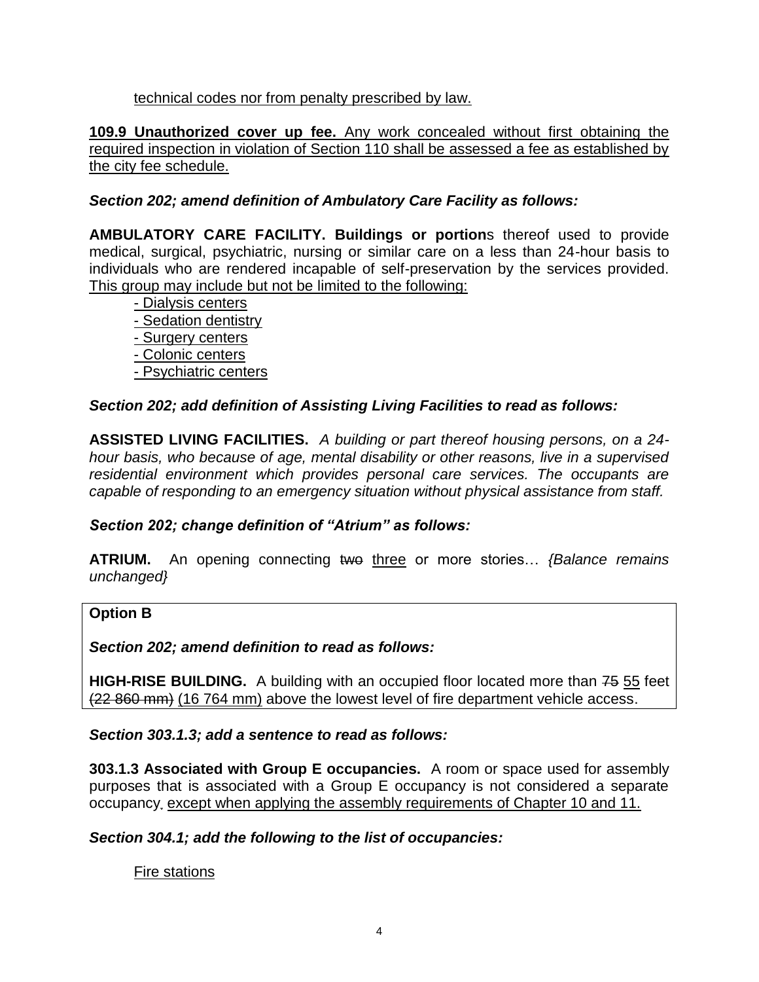technical codes nor from penalty prescribed by law.

**109.9 Unauthorized cover up fee.** Any work concealed without first obtaining the required inspection in violation of Section 110 shall be assessed a fee as established by the city fee schedule.

## *Section 202; amend definition of Ambulatory Care Facility as follows:*

**AMBULATORY CARE FACILITY. Buildings or portion**s thereof used to provide medical, surgical, psychiatric, nursing or similar care on a less than 24-hour basis to individuals who are rendered incapable of self-preservation by the services provided. This group may include but not be limited to the following:

- Dialysis centers - Sedation dentistry - Surgery centers - Colonic centers - Psychiatric centers

### *Section 202; add definition of Assisting Living Facilities to read as follows:*

**ASSISTED LIVING FACILITIES.** *A building or part thereof housing persons, on a 24 hour basis, who because of age, mental disability or other reasons, live in a supervised residential environment which provides personal care services. The occupants are capable of responding to an emergency situation without physical assistance from staff.*

#### *Section 202; change definition of "Atrium" as follows:*

**ATRIUM.** An opening connecting two three or more stories… *{Balance remains unchanged}*

#### **Option B**

*Section 202; amend definition to read as follows:*

**HIGH-RISE BUILDING.** A building with an occupied floor located more than 75 55 feet (22 860 mm) (16 764 mm) above the lowest level of fire department vehicle access.

*Section 303.1.3; add a sentence to read as follows:*

**303.1.3 Associated with Group E occupancies.** A room or space used for assembly purposes that is associated with a Group E occupancy is not considered a separate occupancy. except when applying the assembly requirements of Chapter 10 and 11.

*Section 304.1; add the following to the list of occupancies:*

Fire stations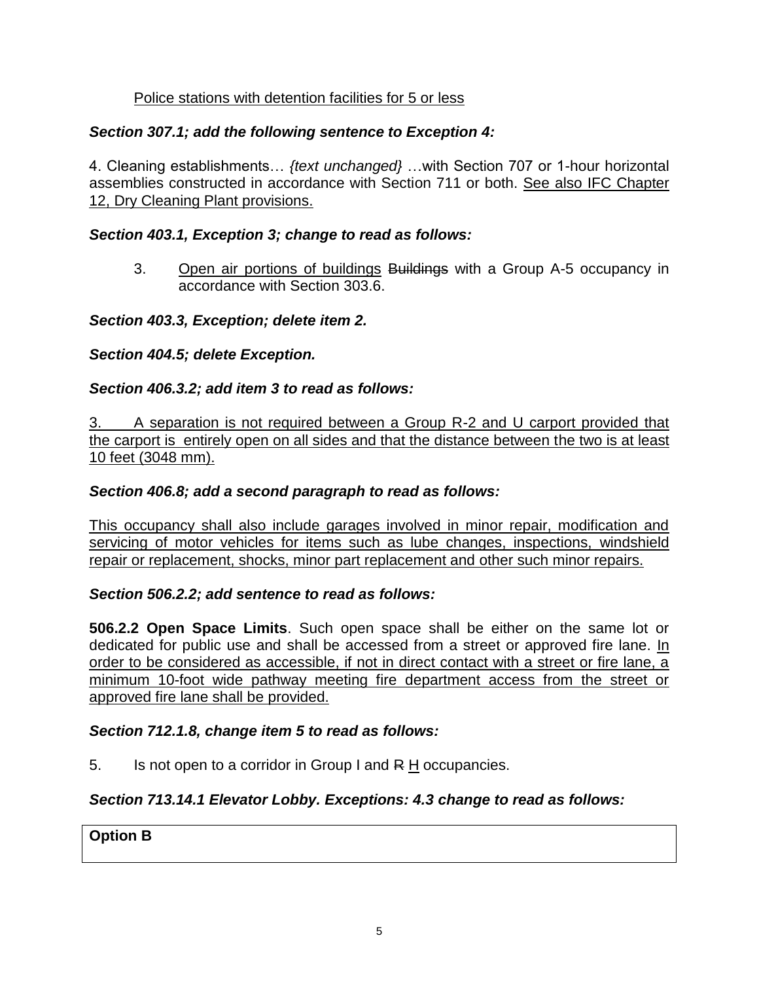## Police stations with detention facilities for 5 or less

## *Section 307.1; add the following sentence to Exception 4:*

4. Cleaning establishments… *{text unchanged}* …with Section 707 or 1-hour horizontal assemblies constructed in accordance with Section 711 or both. See also IFC Chapter 12, Dry Cleaning Plant provisions.

### *Section 403.1, Exception 3; change to read as follows:*

3. Open air portions of buildings Buildings with a Group A-5 occupancy in accordance with Section 303.6.

### *Section 403.3, Exception; delete item 2.*

### *Section 404.5; delete Exception.*

### *Section 406.3.2; add item 3 to read as follows:*

3. A separation is not required between a Group R-2 and U carport provided that the carport is entirely open on all sides and that the distance between the two is at least 10 feet (3048 mm).

### *Section 406.8; add a second paragraph to read as follows:*

This occupancy shall also include garages involved in minor repair, modification and servicing of motor vehicles for items such as lube changes, inspections, windshield repair or replacement, shocks, minor part replacement and other such minor repairs.

#### *Section 506.2.2; add sentence to read as follows:*

**506.2.2 Open Space Limits**. Such open space shall be either on the same lot or dedicated for public use and shall be accessed from a street or approved fire lane. In order to be considered as accessible, if not in direct contact with a street or fire lane, a minimum 10-foot wide pathway meeting fire department access from the street or approved fire lane shall be provided.

### *Section 712.1.8, change item 5 to read as follows:*

5. Is not open to a corridor in Group I and R H occupancies.

### *Section 713.14.1 Elevator Lobby. Exceptions: 4.3 change to read as follows:*

#### **Option B**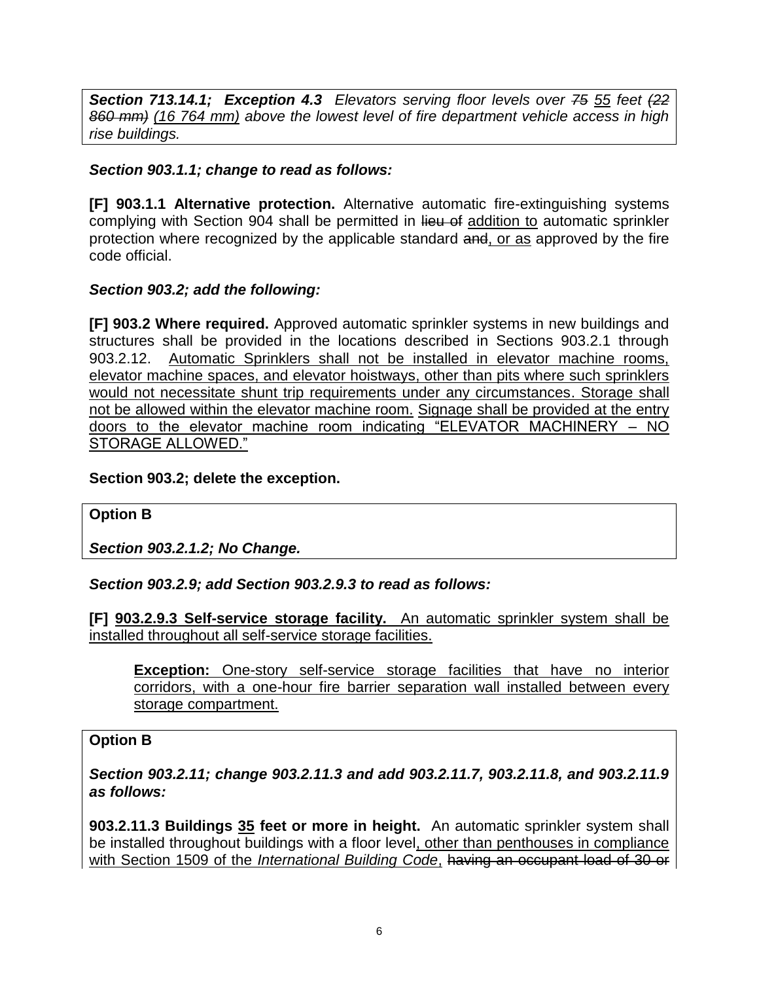*Section 713.14.1; Exception 4.3**Elevators serving floor levels over 75 55 feet (22 860 mm) (16 764 mm) above the lowest level of fire department vehicle access in high rise buildings.*

#### *Section 903.1.1; change to read as follows:*

**[F] 903.1.1 Alternative protection.** Alternative automatic fire-extinguishing systems complying with Section 904 shall be permitted in lieu of addition to automatic sprinkler protection where recognized by the applicable standard and, or as approved by the fire code official.

### *Section 903.2; add the following:*

**[F] 903.2 Where required.** Approved automatic sprinkler systems in new buildings and structures shall be provided in the locations described in Sections 903.2.1 through 903.2.12. Automatic Sprinklers shall not be installed in elevator machine rooms, elevator machine spaces, and elevator hoistways, other than pits where such sprinklers would not necessitate shunt trip requirements under any circumstances. Storage shall not be allowed within the elevator machine room. Signage shall be provided at the entry doors to the elevator machine room indicating "ELEVATOR MACHINERY – NO STORAGE ALLOWED."

#### **Section 903.2; delete the exception.**

#### **Option B**

*Section 903.2.1.2; No Change.*

#### *Section 903.2.9; add Section 903.2.9.3 to read as follows:*

**[F] 903.2.9.3 Self-service storage facility.** An automatic sprinkler system shall be installed throughout all self-service storage facilities.

**Exception:** One-story self-service storage facilities that have no interior corridors, with a one-hour fire barrier separation wall installed between every storage compartment.

#### **Option B**

*Section 903.2.11; change 903.2.11.3 and add 903.2.11.7, 903.2.11.8, and 903.2.11.9 as follows:*

**903.2.11.3 Buildings 35 feet or more in height.** An automatic sprinkler system shall be installed throughout buildings with a floor level, other than penthouses in compliance with Section 1509 of the *International Building Code*, having an occupant load of 30 or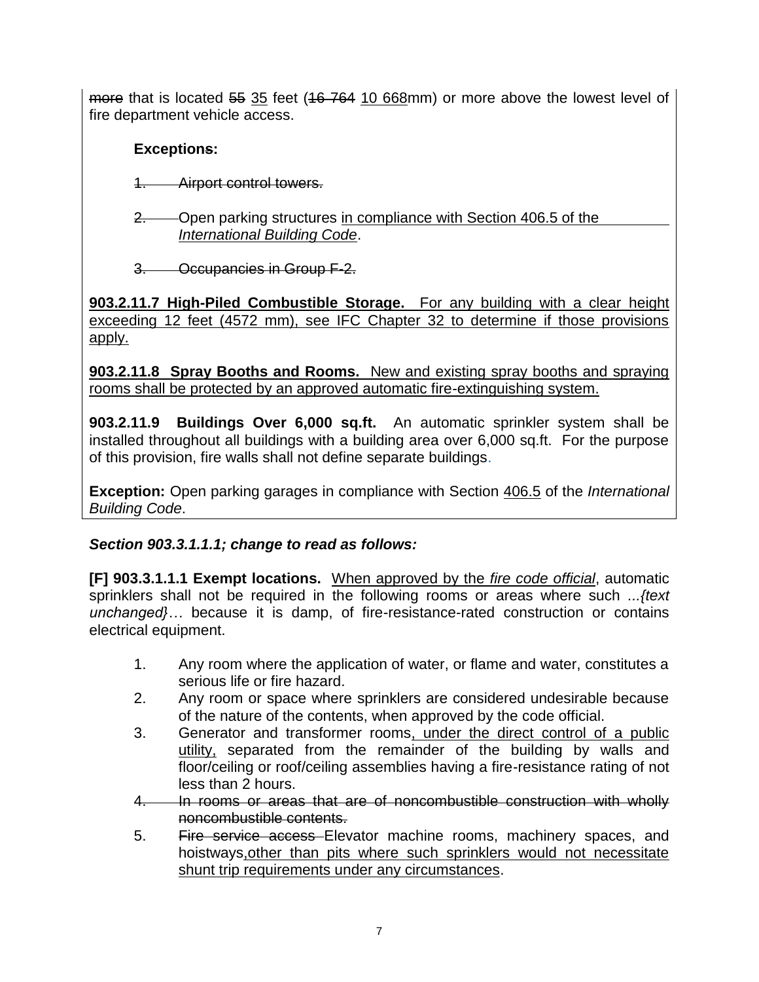more that is located 55 35 feet (16 764 10 668mm) or more above the lowest level of fire department vehicle access.

# **Exceptions:**

1. Airport control towers.

2. Open parking structures in compliance with Section 406.5 of the *International Building Code*.

3. Occupancies in Group F-2.

**903.2.11.7 High-Piled Combustible Storage.** For any building with a clear height exceeding 12 feet (4572 mm), see IFC Chapter 32 to determine if those provisions apply.

**903.2.11.8 Spray Booths and Rooms.** New and existing spray booths and spraying rooms shall be protected by an approved automatic fire-extinguishing system.

**903.2.11.9 Buildings Over 6,000 sq.ft.** An automatic sprinkler system shall be installed throughout all buildings with a building area over 6,000 sq.ft. For the purpose of this provision, fire walls shall not define separate buildings.

**Exception:** Open parking garages in compliance with Section 406.5 of the *International Building Code*.

## *Section 903.3.1.1.1; change to read as follows:*

**[F] 903.3.1.1.1 Exempt locations.** When approved by the *fire code official*, automatic sprinklers shall not be required in the following rooms or areas where such *...{text unchanged}…* because it is damp, of fire-resistance-rated construction or contains electrical equipment.

- 1. Any room where the application of water, or flame and water, constitutes a serious life or fire hazard.
- 2. Any room or space where sprinklers are considered undesirable because of the nature of the contents, when approved by the code official.
- 3. Generator and transformer rooms, under the direct control of a public utility, separated from the remainder of the building by walls and floor/ceiling or roof/ceiling assemblies having a fire-resistance rating of not less than 2 hours.
- 4. In rooms or areas that are of noncombustible construction with wholly noncombustible contents.
- 5. Fire service access Elevator machine rooms, machinery spaces, and hoistways,other than pits where such sprinklers would not necessitate shunt trip requirements under any circumstances.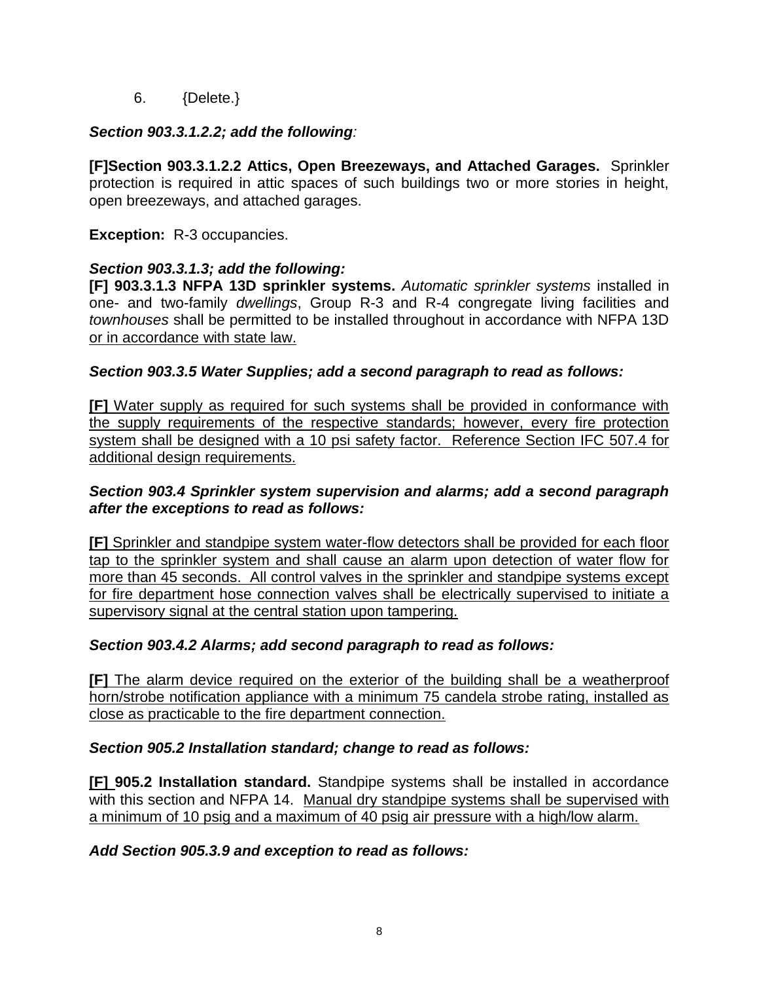6. {Delete.}

## *Section 903.3.1.2.2; add the following:*

**[F]Section 903.3.1.2.2 Attics, Open Breezeways, and Attached Garages.** Sprinkler protection is required in attic spaces of such buildings two or more stories in height, open breezeways, and attached garages.

**Exception:** R-3 occupancies.

### *Section 903.3.1.3; add the following:*

**[F] 903.3.1.3 NFPA 13D sprinkler systems.** *Automatic sprinkler systems* installed in one- and two-family *dwellings*, Group R-3 and R-4 congregate living facilities and *townhouses* shall be permitted to be installed throughout in accordance with NFPA 13D or in accordance with state law.

### *Section 903.3.5 Water Supplies; add a second paragraph to read as follows:*

**[F]** Water supply as required for such systems shall be provided in conformance with the supply requirements of the respective standards; however, every fire protection system shall be designed with a 10 psi safety factor. Reference Section IFC 507.4 for additional design requirements.

### *Section 903.4 Sprinkler system supervision and alarms; add a second paragraph after the exceptions to read as follows:*

**[F]** Sprinkler and standpipe system water-flow detectors shall be provided for each floor tap to the sprinkler system and shall cause an alarm upon detection of water flow for more than 45 seconds. All control valves in the sprinkler and standpipe systems except for fire department hose connection valves shall be electrically supervised to initiate a supervisory signal at the central station upon tampering.

### *Section 903.4.2 Alarms; add second paragraph to read as follows:*

**[F]** The alarm device required on the exterior of the building shall be a weatherproof horn/strobe notification appliance with a minimum 75 candela strobe rating, installed as close as practicable to the fire department connection.

### *Section 905.2 Installation standard; change to read as follows:*

**[F] 905.2 Installation standard.** Standpipe systems shall be installed in accordance with this section and NFPA 14. Manual dry standpipe systems shall be supervised with a minimum of 10 psig and a maximum of 40 psig air pressure with a high/low alarm.

### *Add Section 905.3.9 and exception to read as follows:*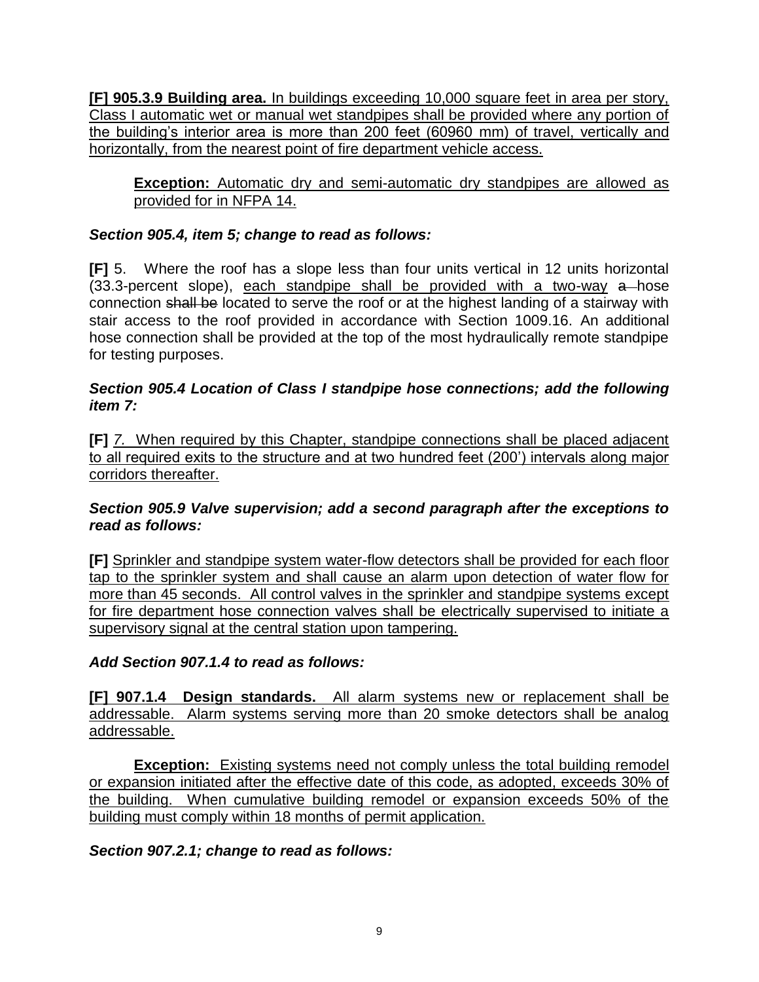**[F] 905.3.9 Building area.** In buildings exceeding 10,000 square feet in area per story, Class I automatic wet or manual wet standpipes shall be provided where any portion of the building's interior area is more than 200 feet (60960 mm) of travel, vertically and horizontally, from the nearest point of fire department vehicle access.

**Exception:** Automatic dry and semi-automatic dry standpipes are allowed as provided for in NFPA 14.

## *Section 905.4, item 5; change to read as follows:*

**[F]** 5. Where the roof has a slope less than four units vertical in 12 units horizontal (33.3-percent slope), each standpipe shall be provided with a two-way a hose connection shall be located to serve the roof or at the highest landing of a stairway with stair access to the roof provided in accordance with Section 1009.16. An additional hose connection shall be provided at the top of the most hydraulically remote standpipe for testing purposes.

### *Section 905.4 Location of Class I standpipe hose connections; add the following item 7:*

**[F]** *7.* When required by this Chapter, standpipe connections shall be placed adjacent to all required exits to the structure and at two hundred feet (200') intervals along major corridors thereafter.

### *Section 905.9 Valve supervision; add a second paragraph after the exceptions to read as follows:*

**[F]** Sprinkler and standpipe system water-flow detectors shall be provided for each floor tap to the sprinkler system and shall cause an alarm upon detection of water flow for more than 45 seconds. All control valves in the sprinkler and standpipe systems except for fire department hose connection valves shall be electrically supervised to initiate a supervisory signal at the central station upon tampering.

### *Add Section 907.1.4 to read as follows:*

**[F] 907.1.4 Design standards.** All alarm systems new or replacement shall be addressable. Alarm systems serving more than 20 smoke detectors shall be analog addressable.

**Exception:** Existing systems need not comply unless the total building remodel or expansion initiated after the effective date of this code, as adopted, exceeds 30% of the building. When cumulative building remodel or expansion exceeds 50% of the building must comply within 18 months of permit application.

### *Section 907.2.1; change to read as follows:*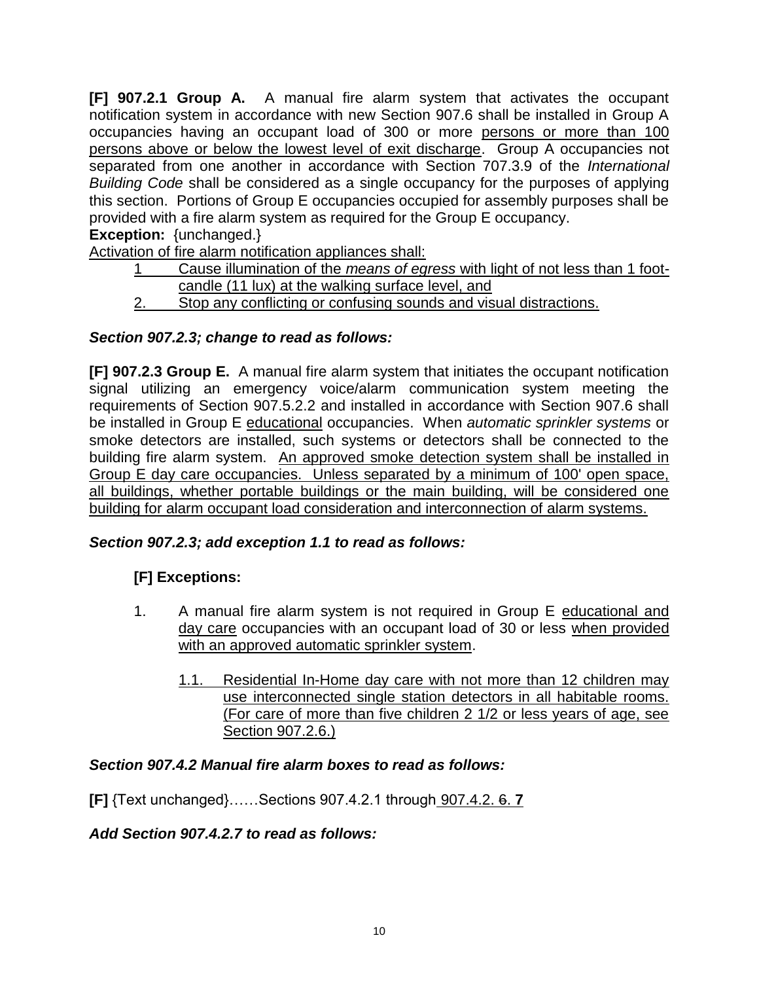**[F] 907.2.1 Group A.** A manual fire alarm system that activates the occupant notification system in accordance with new Section 907.6 shall be installed in Group A occupancies having an occupant load of 300 or more persons or more than 100 persons above or below the lowest level of exit discharge. Group A occupancies not separated from one another in accordance with Section 707.3.9 of the *International Building Code* shall be considered as a single occupancy for the purposes of applying this section. Portions of Group E occupancies occupied for assembly purposes shall be provided with a fire alarm system as required for the Group E occupancy.

**Exception:** {unchanged.}

Activation of fire alarm notification appliances shall:

- 1 Cause illumination of the *means of egress* with light of not less than 1 footcandle (11 lux) at the walking surface level, and
- 2. Stop any conflicting or confusing sounds and visual distractions.

### *Section 907.2.3; change to read as follows:*

**[F] 907.2.3 Group E.** A manual fire alarm system that initiates the occupant notification signal utilizing an emergency voice/alarm communication system meeting the requirements of Section 907.5.2.2 and installed in accordance with Section 907.6 shall be installed in Group E educational occupancies. When *automatic sprinkler systems* or smoke detectors are installed, such systems or detectors shall be connected to the building fire alarm system. An approved smoke detection system shall be installed in Group E day care occupancies. Unless separated by a minimum of 100' open space, all buildings, whether portable buildings or the main building, will be considered one building for alarm occupant load consideration and interconnection of alarm systems.

#### *Section 907.2.3; add exception 1.1 to read as follows:*

## **[F] Exceptions:**

- 1. A manual fire alarm system is not required in Group E educational and day care occupancies with an occupant load of 30 or less when provided with an approved automatic sprinkler system.
	- 1.1. Residential In-Home day care with not more than 12 children may use interconnected single station detectors in all habitable rooms. (For care of more than five children 2 1/2 or less years of age, see Section 907.2.6.)

#### *Section 907.4.2 Manual fire alarm boxes to read as follows:*

**[F]** {Text unchanged}……Sections 907.4.2.1 through 907.4.2. 6. **7**

#### *Add Section 907.4.2.7 to read as follows:*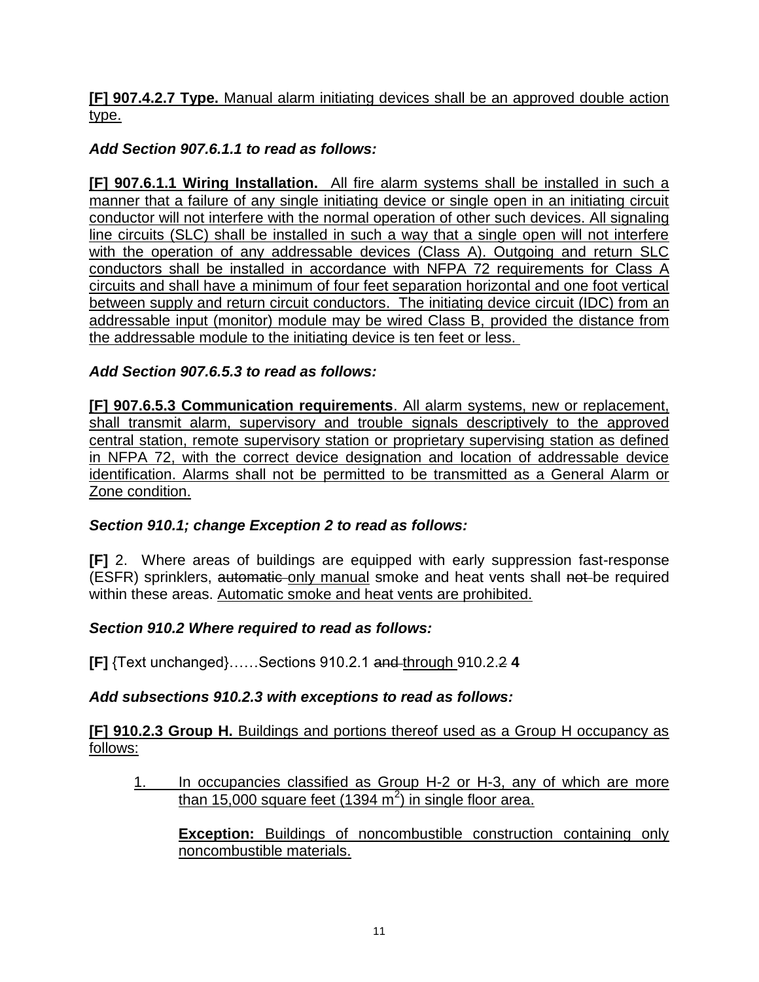### **[F] 907.4.2.7 Type.** Manual alarm initiating devices shall be an approved double action type.

## *Add Section 907.6.1.1 to read as follows:*

**[F] 907.6.1.1 Wiring Installation.** All fire alarm systems shall be installed in such a manner that a failure of any single initiating device or single open in an initiating circuit conductor will not interfere with the normal operation of other such devices. All signaling line circuits (SLC) shall be installed in such a way that a single open will not interfere with the operation of any addressable devices (Class A). Outgoing and return SLC conductors shall be installed in accordance with NFPA 72 requirements for Class A circuits and shall have a minimum of four feet separation horizontal and one foot vertical between supply and return circuit conductors. The initiating device circuit (IDC) from an addressable input (monitor) module may be wired Class B, provided the distance from the addressable module to the initiating device is ten feet or less.

### *Add Section 907.6.5.3 to read as follows:*

**[F] 907.6.5.3 Communication requirements**. All alarm systems, new or replacement, shall transmit alarm, supervisory and trouble signals descriptively to the approved central station, remote supervisory station or proprietary supervising station as defined in NFPA 72, with the correct device designation and location of addressable device identification. Alarms shall not be permitted to be transmitted as a General Alarm or Zone condition.

### *Section 910.1; change Exception 2 to read as follows:*

**[F]** 2.Where areas of buildings are equipped with early suppression fast-response (ESFR) sprinklers, automatic only manual smoke and heat vents shall not be required within these areas. Automatic smoke and heat vents are prohibited.

### *Section 910.2 Where required to read as follows:*

**[F]** {Text unchanged}……Sections 910.2.1 and through 910.2.2 **4**

#### *Add subsections 910.2.3 with exceptions to read as follows:*

**[F] 910.2.3 Group H.** Buildings and portions thereof used as a Group H occupancy as follows:

1. In occupancies classified as Group H-2 or H-3, any of which are more than 15,000 square feet (1394 m<sup>2</sup>) in single floor area.

**Exception:** Buildings of noncombustible construction containing only noncombustible materials.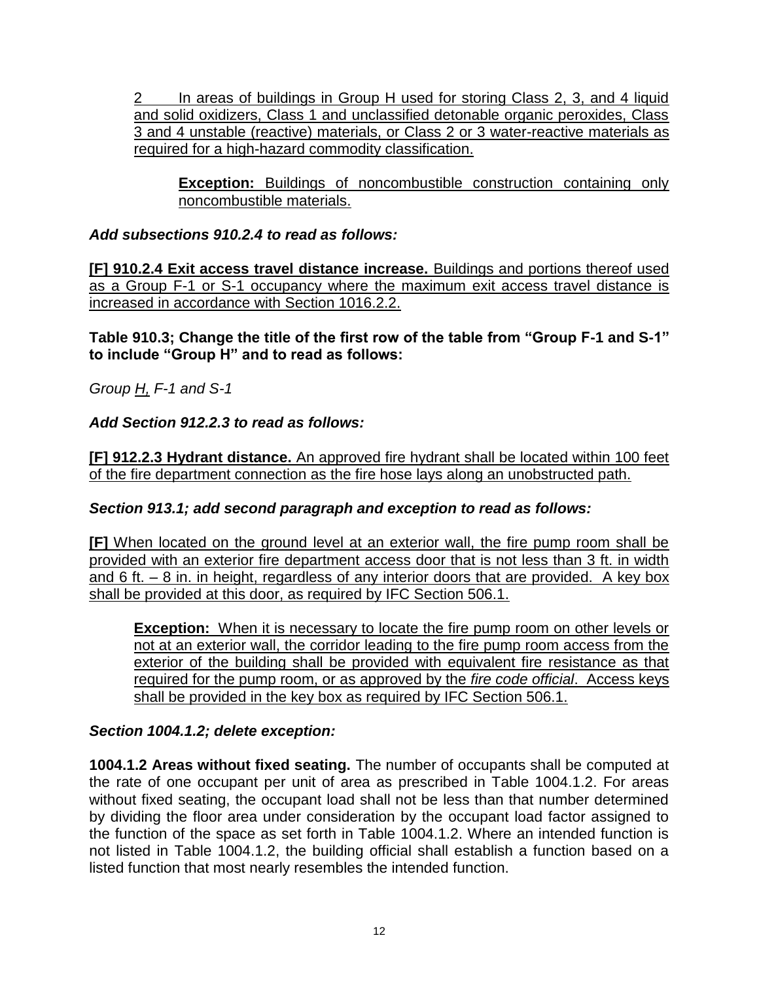2 In areas of buildings in Group H used for storing Class 2, 3, and 4 liquid and solid oxidizers, Class 1 and unclassified detonable organic peroxides, Class 3 and 4 unstable (reactive) materials, or Class 2 or 3 water-reactive materials as required for a high-hazard commodity classification.

**Exception:** Buildings of noncombustible construction containing only noncombustible materials.

*Add subsections 910.2.4 to read as follows:*

**[F] 910.2.4 Exit access travel distance increase.** Buildings and portions thereof used as a Group F-1 or S-1 occupancy where the maximum exit access travel distance is increased in accordance with Section 1016.2.2.

**Table 910.3; Change the title of the first row of the table from "Group F-1 and S-1" to include "Group H" and to read as follows:**

*Group H, F-1 and S-1*

### *Add Section 912.2.3 to read as follows:*

**[F] 912.2.3 Hydrant distance.** An approved fire hydrant shall be located within 100 feet of the fire department connection as the fire hose lays along an unobstructed path.

### *Section 913.1; add second paragraph and exception to read as follows:*

**[F]** When located on the ground level at an exterior wall, the fire pump room shall be provided with an exterior fire department access door that is not less than 3 ft. in width and 6 ft.  $-$  8 in. in height, regardless of any interior doors that are provided. A key box shall be provided at this door, as required by IFC Section 506.1.

**Exception:** When it is necessary to locate the fire pump room on other levels or not at an exterior wall, the corridor leading to the fire pump room access from the exterior of the building shall be provided with equivalent fire resistance as that required for the pump room, or as approved by the *fire code official*. Access keys shall be provided in the key box as required by IFC Section 506.1.

### *Section 1004.1.2; delete exception:*

**1004.1.2 Areas without fixed seating.** The number of occupants shall be computed at the rate of one occupant per unit of area as prescribed in Table 1004.1.2. For areas without fixed seating, the occupant load shall not be less than that number determined by dividing the floor area under consideration by the occupant load factor assigned to the function of the space as set forth in Table 1004.1.2. Where an intended function is not listed in Table 1004.1.2, the building official shall establish a function based on a listed function that most nearly resembles the intended function.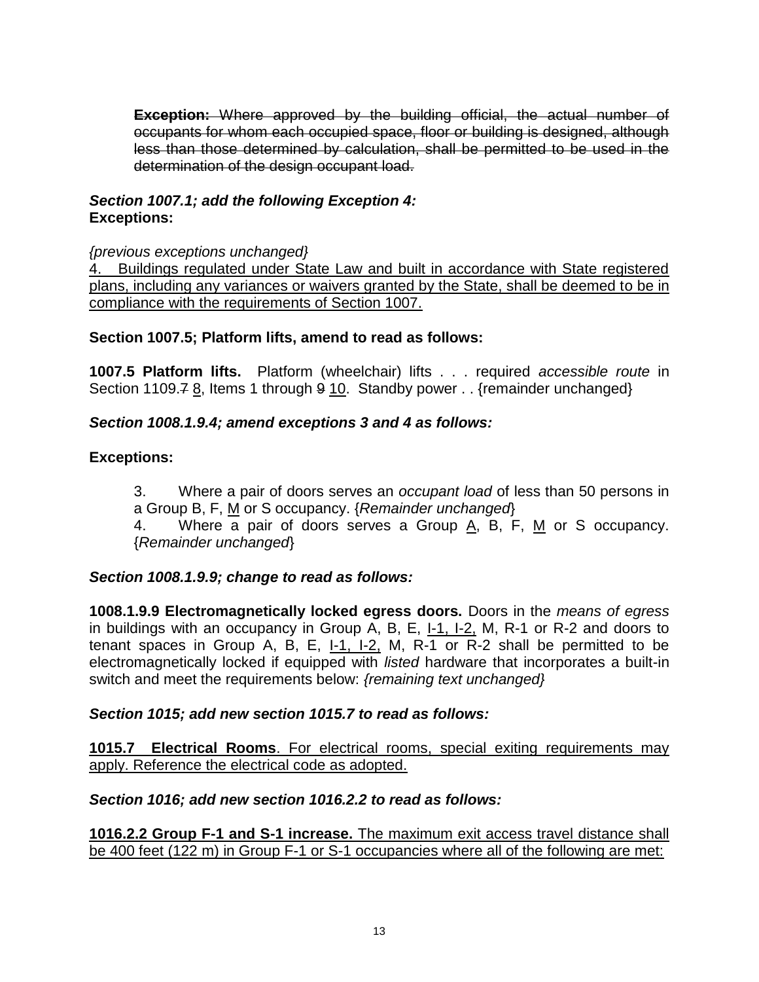**Exception:** Where approved by the building official, the actual number of occupants for whom each occupied space, floor or building is designed, although less than those determined by calculation, shall be permitted to be used in the determination of the design occupant load.

## *Section 1007.1; add the following Exception 4:* **Exceptions:**

#### *{previous exceptions unchanged}*

4. Buildings regulated under State Law and built in accordance with State registered plans, including any variances or waivers granted by the State, shall be deemed to be in compliance with the requirements of Section 1007.

### **Section 1007.5; Platform lifts, amend to read as follows:**

**1007.5 Platform lifts.** Platform (wheelchair) lifts . . . required *accessible route* in Section 1109.7 8, Items 1 through 9 10. Standby power . . {remainder unchanged}

### *Section 1008.1.9.4; amend exceptions 3 and 4 as follows:*

### **Exceptions:**

3. Where a pair of doors serves an *occupant load* of less than 50 persons in a Group B, F, M or S occupancy. {*Remainder unchanged*}

4. Where a pair of doors serves a Group A, B, F, M or S occupancy. {*Remainder unchanged*}

### *Section 1008.1.9.9; change to read as follows:*

**1008.1.9.9 Electromagnetically locked egress doors.** Doors in the *means of egress* in buildings with an occupancy in Group A, B, E, I-1, I-2, M, R-1 or R-2 and doors to tenant spaces in Group A, B, E,  $1-1$ ,  $1-2$ , M, R-1 or R-2 shall be permitted to be electromagnetically locked if equipped with *listed* hardware that incorporates a built-in switch and meet the requirements below: *{remaining text unchanged}*

#### *Section 1015; add new section 1015.7 to read as follows:*

**1015.7 Electrical Rooms**. For electrical rooms, special exiting requirements may apply. Reference the electrical code as adopted.

### *Section 1016; add new section 1016.2.2 to read as follows:*

**1016.2.2 Group F-1 and S-1 increase.** The maximum exit access travel distance shall be 400 feet (122 m) in Group F-1 or S-1 occupancies where all of the following are met: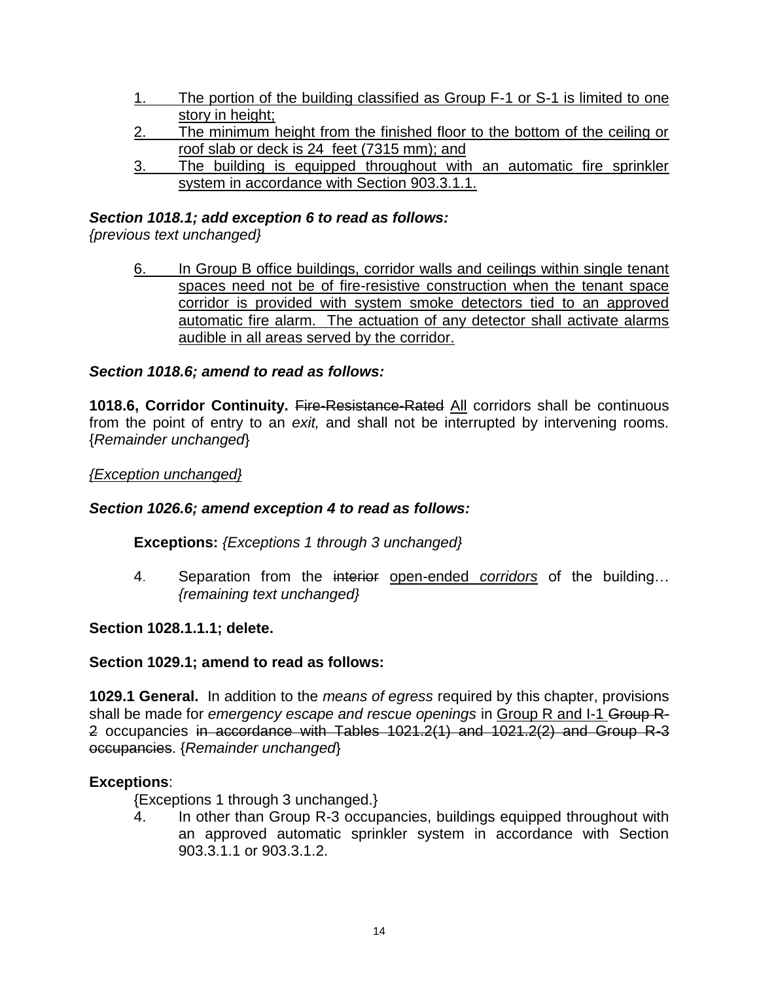- 1. The portion of the building classified as Group F-1 or S-1 is limited to one story in height;
- 2. The minimum height from the finished floor to the bottom of the ceiling or roof slab or deck is 24 feet (7315 mm); and
- 3. The building is equipped throughout with an automatic fire sprinkler system in accordance with Section 903.3.1.1.

### *Section 1018.1; add exception 6 to read as follows:*

*{previous text unchanged}*

6. In Group B office buildings, corridor walls and ceilings within single tenant spaces need not be of fire-resistive construction when the tenant space corridor is provided with system smoke detectors tied to an approved automatic fire alarm. The actuation of any detector shall activate alarms audible in all areas served by the corridor.

### *Section 1018.6; amend to read as follows:*

**1018.6, Corridor Continuity.** Fire-Resistance-Rated All corridors shall be continuous from the point of entry to an *exit,* and shall not be interrupted by intervening rooms*.* {*Remainder unchanged*}

#### *{Exception unchanged}*

#### *Section 1026.6; amend exception 4 to read as follows:*

#### **Exceptions:** *{Exceptions 1 through 3 unchanged}*

4. Separation from the interior open-ended *corridors* of the building… *{remaining text unchanged}*

#### **Section 1028.1.1.1; delete.**

#### **Section 1029.1; amend to read as follows:**

**1029.1 General.** In addition to the *means of egress* required by this chapter, provisions shall be made for *emergency escape and rescue openings* in Group R and I-1 Group R-2 occupancies in accordance with Tables 1021.2(1) and 1021.2(2) and Group R-3 occupancies. {*Remainder unchanged*}

#### **Exceptions**:

{Exceptions 1 through 3 unchanged.}

4. In other than Group R-3 occupancies, buildings equipped throughout with an approved automatic sprinkler system in accordance with Section 903.3.1.1 or 903.3.1.2.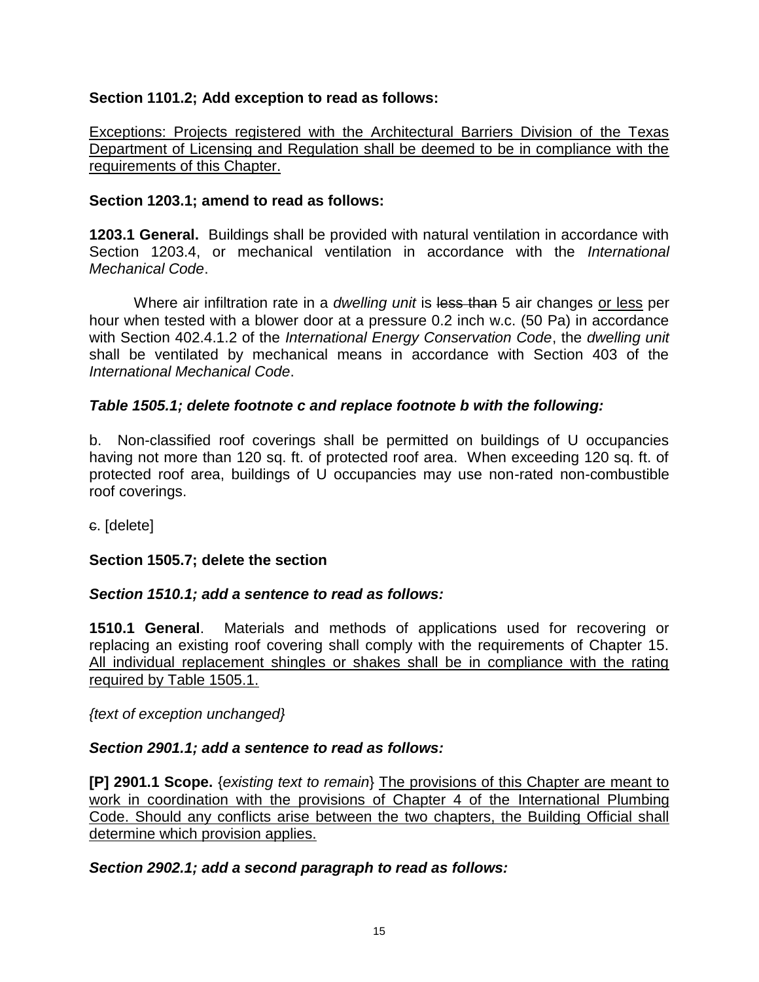### **Section 1101.2; Add exception to read as follows:**

Exceptions: Projects registered with the Architectural Barriers Division of the Texas Department of Licensing and Regulation shall be deemed to be in compliance with the requirements of this Chapter.

#### **Section 1203.1; amend to read as follows:**

**1203.1 General.** Buildings shall be provided with natural ventilation in accordance with Section 1203.4, or mechanical ventilation in accordance with the *International Mechanical Code*.

Where air infiltration rate in a *dwelling unit* is less than 5 air changes or less per hour when tested with a blower door at a pressure 0.2 inch w.c. (50 Pa) in accordance with Section 402.4.1.2 of the *International Energy Conservation Code*, the *dwelling unit* shall be ventilated by mechanical means in accordance with Section 403 of the *International Mechanical Code*.

### *Table 1505.1; delete footnote c and replace footnote b with the following:*

b. Non-classified roof coverings shall be permitted on buildings of U occupancies having not more than 120 sq. ft. of protected roof area. When exceeding 120 sq. ft. of protected roof area, buildings of U occupancies may use non-rated non-combustible roof coverings.

c. [delete]

### **Section 1505.7; delete the section**

### *Section 1510.1; add a sentence to read as follows:*

**1510.1 General**. Materials and methods of applications used for recovering or replacing an existing roof covering shall comply with the requirements of Chapter 15. All individual replacement shingles or shakes shall be in compliance with the rating required by Table 1505.1.

*{text of exception unchanged}*

### *Section 2901.1; add a sentence to read as follows:*

**[P] 2901.1 Scope.** {*existing text to remain*} The provisions of this Chapter are meant to work in coordination with the provisions of Chapter 4 of the International Plumbing Code. Should any conflicts arise between the two chapters, the Building Official shall determine which provision applies.

#### *Section 2902.1; add a second paragraph to read as follows:*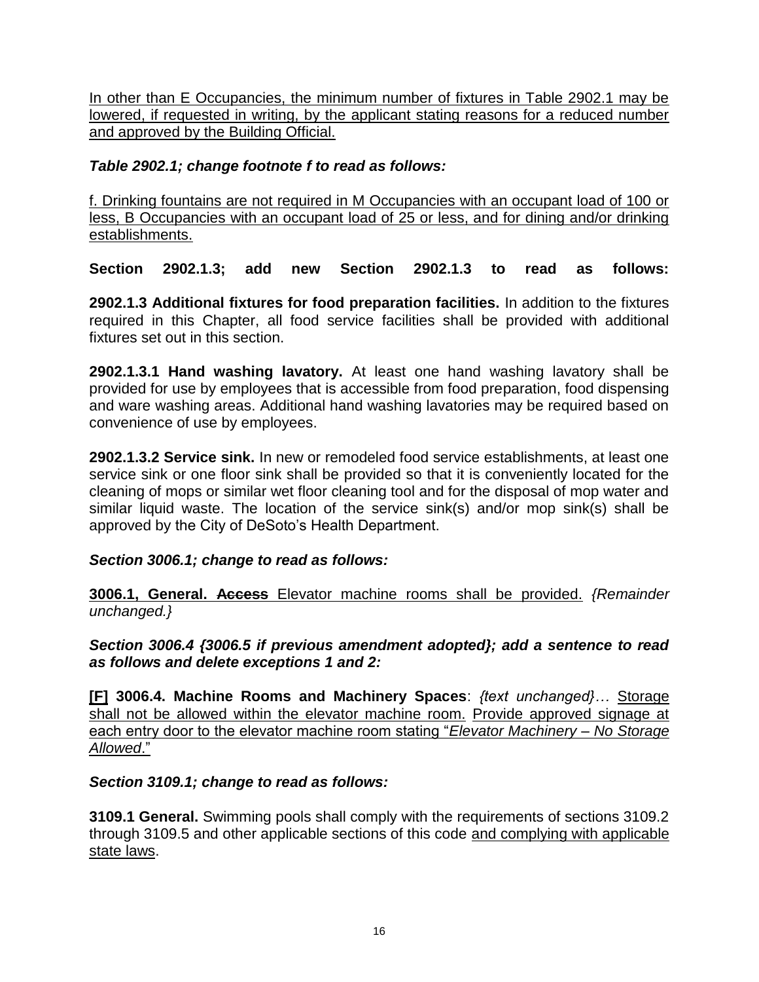In other than E Occupancies, the minimum number of fixtures in Table 2902.1 may be lowered, if requested in writing, by the applicant stating reasons for a reduced number and approved by the Building Official.

## *Table 2902.1; change footnote f to read as follows:*

f. Drinking fountains are not required in M Occupancies with an occupant load of 100 or less, B Occupancies with an occupant load of 25 or less, and for dining and/or drinking establishments.

**Section 2902.1.3; add new Section 2902.1.3 to read as follows:** 

**2902.1.3 Additional fixtures for food preparation facilities.** In addition to the fixtures required in this Chapter, all food service facilities shall be provided with additional fixtures set out in this section.

**2902.1.3.1 Hand washing lavatory.** At least one hand washing lavatory shall be provided for use by employees that is accessible from food preparation, food dispensing and ware washing areas. Additional hand washing lavatories may be required based on convenience of use by employees.

**2902.1.3.2 Service sink.** In new or remodeled food service establishments, at least one service sink or one floor sink shall be provided so that it is conveniently located for the cleaning of mops or similar wet floor cleaning tool and for the disposal of mop water and similar liquid waste. The location of the service sink(s) and/or mop sink(s) shall be approved by the City of DeSoto's Health Department.

### *Section 3006.1; change to read as follows:*

**3006.1, General. Access** Elevator machine rooms shall be provided. *{Remainder unchanged.}*

*Section 3006.4 {3006.5 if previous amendment adopted}; add a sentence to read as follows and delete exceptions 1 and 2:*

**[F] 3006.4. Machine Rooms and Machinery Spaces**: *{text unchanged}…* Storage shall not be allowed within the elevator machine room. Provide approved signage at each entry door to the elevator machine room stating "*Elevator Machinery – No Storage Allowed*."

#### *Section 3109.1; change to read as follows:*

**3109.1 General.** Swimming pools shall comply with the requirements of sections 3109.2 through 3109.5 and other applicable sections of this code and complying with applicable state laws.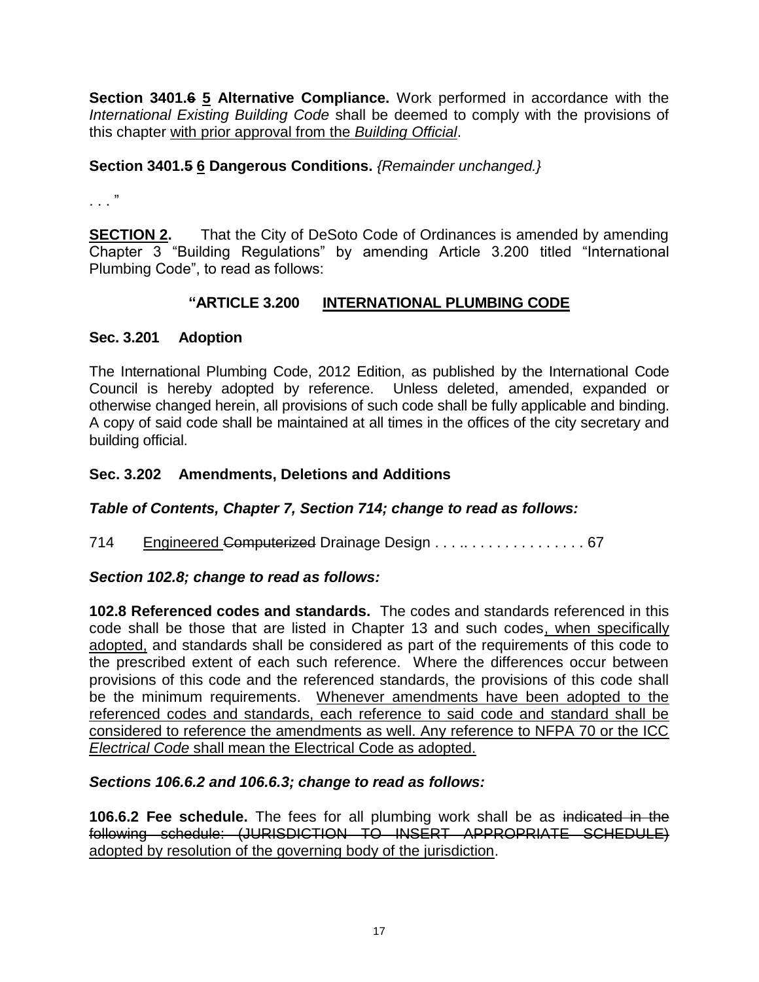**Section 3401.6 5 Alternative Compliance.** Work performed in accordance with the *International Existing Building Code* shall be deemed to comply with the provisions of this chapter with prior approval from the *Building Official*.

### **Section 3401.5 6 Dangerous Conditions.** *{Remainder unchanged.}*

. . . "

**SECTION 2.** That the City of DeSoto Code of Ordinances is amended by amending Chapter 3 "Building Regulations" by amending Article 3.200 titled "International Plumbing Code", to read as follows:

### **"ARTICLE 3.200 INTERNATIONAL PLUMBING CODE**

#### **Sec. 3.201 Adoption**

The International Plumbing Code, 2012 Edition, as published by the International Code Council is hereby adopted by reference. Unless deleted, amended, expanded or otherwise changed herein, all provisions of such code shall be fully applicable and binding. A copy of said code shall be maintained at all times in the offices of the city secretary and building official.

### **Sec. 3.202 Amendments, Deletions and Additions**

#### *Table of Contents, Chapter 7, Section 714; change to read as follows:*

714 Engineered Computerized Drainage Design . . . . . . . . . . . . . . . . . 67

#### *Section 102.8; change to read as follows:*

**102.8 Referenced codes and standards.** The codes and standards referenced in this code shall be those that are listed in Chapter 13 and such codes, when specifically adopted, and standards shall be considered as part of the requirements of this code to the prescribed extent of each such reference. Where the differences occur between provisions of this code and the referenced standards, the provisions of this code shall be the minimum requirements. Whenever amendments have been adopted to the referenced codes and standards, each reference to said code and standard shall be considered to reference the amendments as well. Any reference to NFPA 70 or the ICC *Electrical Code* shall mean the Electrical Code as adopted.

#### *Sections 106.6.2 and 106.6.3; change to read as follows:*

**106.6.2 Fee schedule.** The fees for all plumbing work shall be as indicated in the following schedule: (JURISDICTION TO INSERT APPROPRIATE SCHEDULE) adopted by resolution of the governing body of the jurisdiction.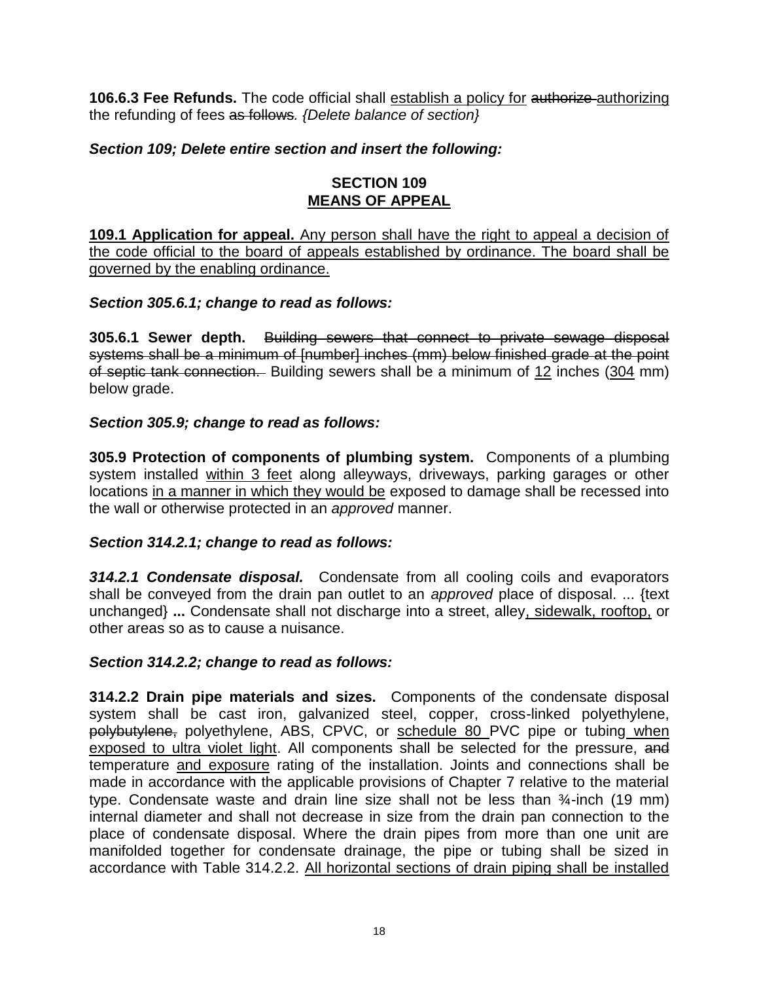**106.6.3 Fee Refunds.** The code official shall establish a policy for authorize authorizing the refunding of fees as follows*. {Delete balance of section}*

### *Section 109; Delete entire section and insert the following:*

#### **SECTION 109 MEANS OF APPEAL**

**109.1 Application for appeal.** Any person shall have the right to appeal a decision of the code official to the board of appeals established by ordinance. The board shall be governed by the enabling ordinance.

### *Section 305.6.1; change to read as follows:*

**305.6.1 Sewer depth.** Building sewers that connect to private sewage disposal systems shall be a minimum of [number] inches (mm) below finished grade at the point of septic tank connection. Building sewers shall be a minimum of 12 inches (304 mm) below grade.

### *Section 305.9; change to read as follows:*

**305.9 Protection of components of plumbing system.** Components of a plumbing system installed within 3 feet along alleyways, driveways, parking garages or other locations in a manner in which they would be exposed to damage shall be recessed into the wall or otherwise protected in an *approved* manner.

#### *Section 314.2.1; change to read as follows:*

*314.2.1 Condensate disposal.* Condensate from all cooling coils and evaporators shall be conveyed from the drain pan outlet to an *approved* place of disposal. ... {text unchanged} **...** Condensate shall not discharge into a street, alley, sidewalk, rooftop, or other areas so as to cause a nuisance.

#### *Section 314.2.2; change to read as follows:*

**314.2.2 Drain pipe materials and sizes.** Components of the condensate disposal system shall be cast iron, galvanized steel, copper, cross-linked polyethylene, polybutylene, polyethylene, ABS, CPVC, or schedule 80 PVC pipe or tubing when exposed to ultra violet light. All components shall be selected for the pressure, and temperature and exposure rating of the installation. Joints and connections shall be made in accordance with the applicable provisions of Chapter 7 relative to the material type. Condensate waste and drain line size shall not be less than ¾-inch (19 mm) internal diameter and shall not decrease in size from the drain pan connection to the place of condensate disposal. Where the drain pipes from more than one unit are manifolded together for condensate drainage, the pipe or tubing shall be sized in accordance with Table 314.2.2. All horizontal sections of drain piping shall be installed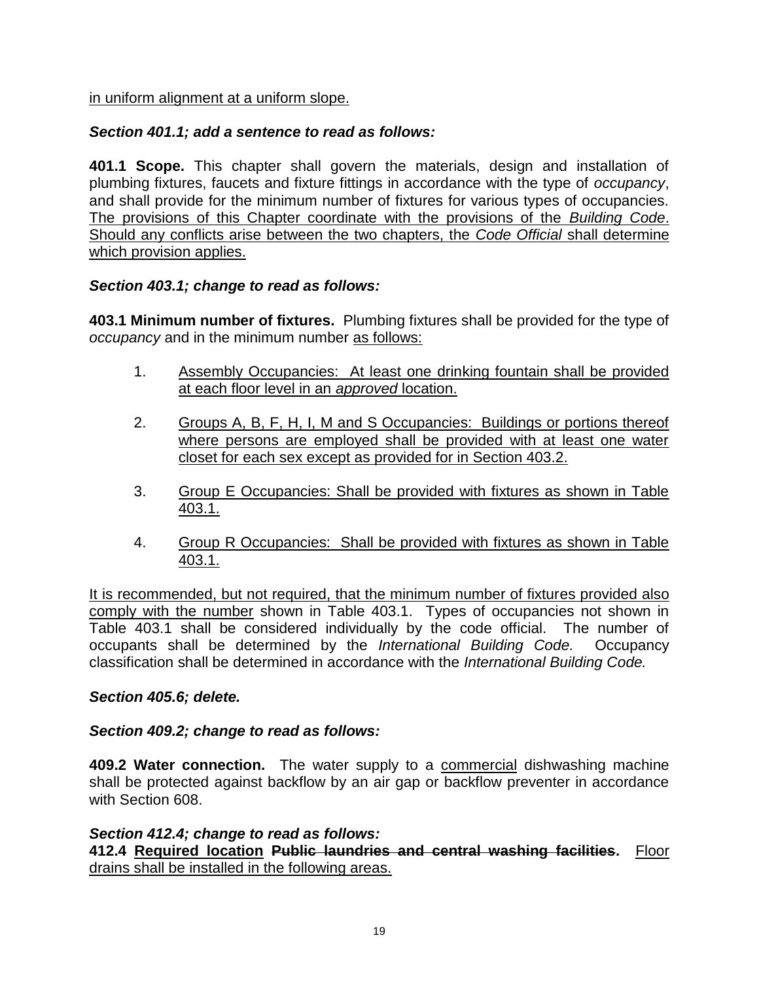in uniform alignment at a uniform slope.

## *Section 401.1; add a sentence to read as follows:*

**401.1 Scope.** This chapter shall govern the materials, design and installation of plumbing fixtures, faucets and fixture fittings in accordance with the type of *occupancy*, and shall provide for the minimum number of fixtures for various types of occupancies. The provisions of this Chapter coordinate with the provisions of the *Building Code*. Should any conflicts arise between the two chapters, the *Code Official* shall determine which provision applies.

### *Section 403.1; change to read as follows:*

**403.1 Minimum number of fixtures.** Plumbing fixtures shall be provided for the type of *occupancy* and in the minimum number as follows:

- 1. Assembly Occupancies: At least one drinking fountain shall be provided at each floor level in an *approved* location.
- 2. Groups A, B, F, H, I, M and S Occupancies: Buildings or portions thereof where persons are employed shall be provided with at least one water closet for each sex except as provided for in Section 403.2.
- 3. Group E Occupancies: Shall be provided with fixtures as shown in Table 403.1.
- 4. Group R Occupancies: Shall be provided with fixtures as shown in Table 403.1.

It is recommended, but not required, that the minimum number of fixtures provided also comply with the number shown in Table 403.1. Types of occupancies not shown in Table 403.1 shall be considered individually by the code official. The number of occupants shall be determined by the *International Building Code.* Occupancy classification shall be determined in accordance with the *International Building Code.*

### *Section 405.6; delete.*

### *Section 409.2; change to read as follows:*

**409.2 Water connection.** The water supply to a commercial dishwashing machine shall be protected against backflow by an air gap or backflow preventer in accordance with Section 608.

### *Section 412.4; change to read as follows:*

**412.4 Required location Public laundries and central washing facilities.** Floor drains shall be installed in the following areas.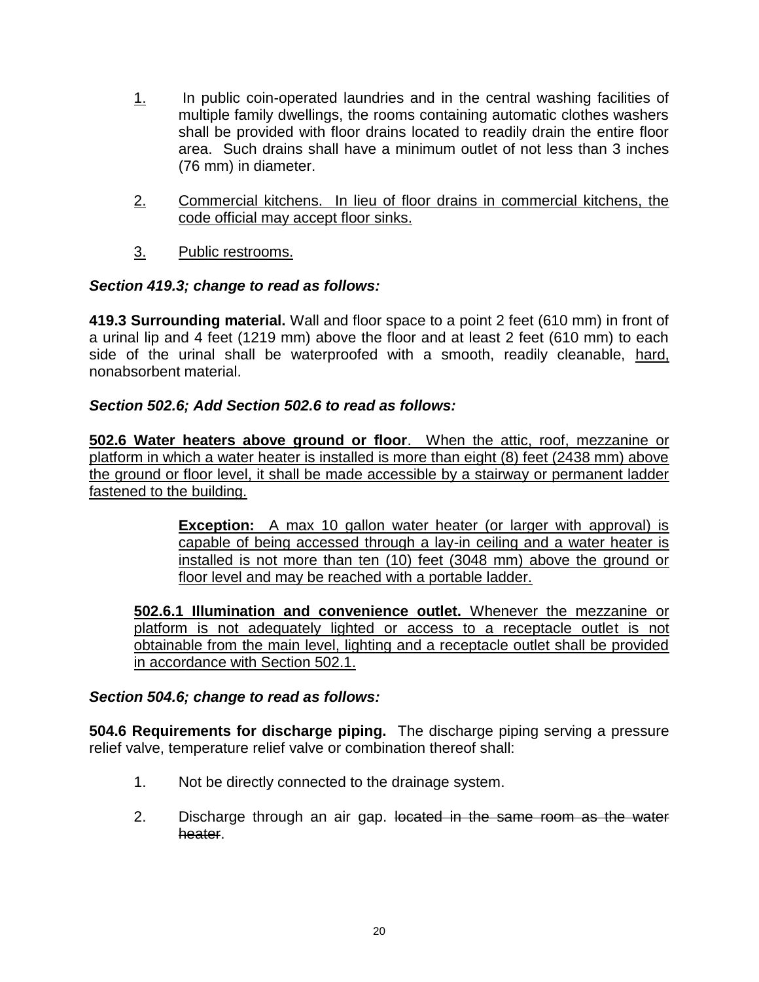- 1. In public coin-operated laundries and in the central washing facilities of multiple family dwellings, the rooms containing automatic clothes washers shall be provided with floor drains located to readily drain the entire floor area. Such drains shall have a minimum outlet of not less than 3 inches (76 mm) in diameter.
- 2. Commercial kitchens. In lieu of floor drains in commercial kitchens, the code official may accept floor sinks.
- 3. Public restrooms.

### *Section 419.3; change to read as follows:*

**419.3 Surrounding material.** Wall and floor space to a point 2 feet (610 mm) in front of a urinal lip and 4 feet (1219 mm) above the floor and at least 2 feet (610 mm) to each side of the urinal shall be waterproofed with a smooth, readily cleanable, hard, nonabsorbent material.

### *Section 502.6; Add Section 502.6 to read as follows:*

**502.6 Water heaters above ground or floor**. When the attic, roof, mezzanine or platform in which a water heater is installed is more than eight (8) feet (2438 mm) above the ground or floor level, it shall be made accessible by a stairway or permanent ladder fastened to the building.

> **Exception:** A max 10 gallon water heater (or larger with approval) is capable of being accessed through a lay-in ceiling and a water heater is installed is not more than ten (10) feet (3048 mm) above the ground or floor level and may be reached with a portable ladder.

**502.6.1 Illumination and convenience outlet.** Whenever the mezzanine or platform is not adequately lighted or access to a receptacle outlet is not obtainable from the main level, lighting and a receptacle outlet shall be provided in accordance with Section 502.1.

#### *Section 504.6; change to read as follows:*

**504.6 Requirements for discharge piping.** The discharge piping serving a pressure relief valve, temperature relief valve or combination thereof shall:

- 1. Not be directly connected to the drainage system.
- 2. Discharge through an air gap. located in the same room as the water heater.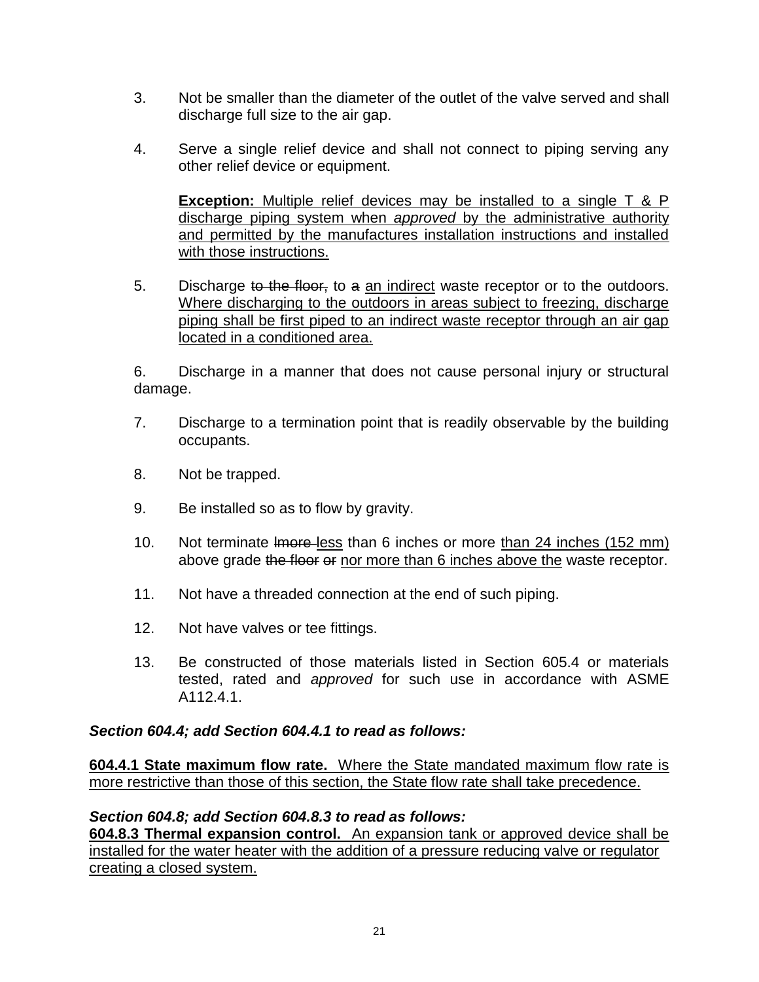- 3. Not be smaller than the diameter of the outlet of the valve served and shall discharge full size to the air gap.
- 4. Serve a single relief device and shall not connect to piping serving any other relief device or equipment.

**Exception:** Multiple relief devices may be installed to a single T & P discharge piping system when *approved* by the administrative authority and permitted by the manufactures installation instructions and installed with those instructions.

5. Discharge to the floor, to a an indirect waste receptor or to the outdoors. Where discharging to the outdoors in areas subject to freezing, discharge piping shall be first piped to an indirect waste receptor through an air gap located in a conditioned area.

6. Discharge in a manner that does not cause personal injury or structural damage.

- 7. Discharge to a termination point that is readily observable by the building occupants.
- 8. Not be trapped.
- 9. Be installed so as to flow by gravity.
- 10. Not terminate lmore less than 6 inches or more than 24 inches (152 mm) above grade the floor or nor more than 6 inches above the waste receptor.
- 11. Not have a threaded connection at the end of such piping.
- 12. Not have valves or tee fittings.
- 13. Be constructed of those materials listed in Section 605.4 or materials tested, rated and *approved* for such use in accordance with ASME A112.4.1.

#### *Section 604.4; add Section 604.4.1 to read as follows:*

**604.4.1 State maximum flow rate.** Where the State mandated maximum flow rate is more restrictive than those of this section, the State flow rate shall take precedence.

#### *Section 604.8; add Section 604.8.3 to read as follows:*

**604.8.3 Thermal expansion control.** An expansion tank or approved device shall be installed for the water heater with the addition of a pressure reducing valve or regulator creating a closed system.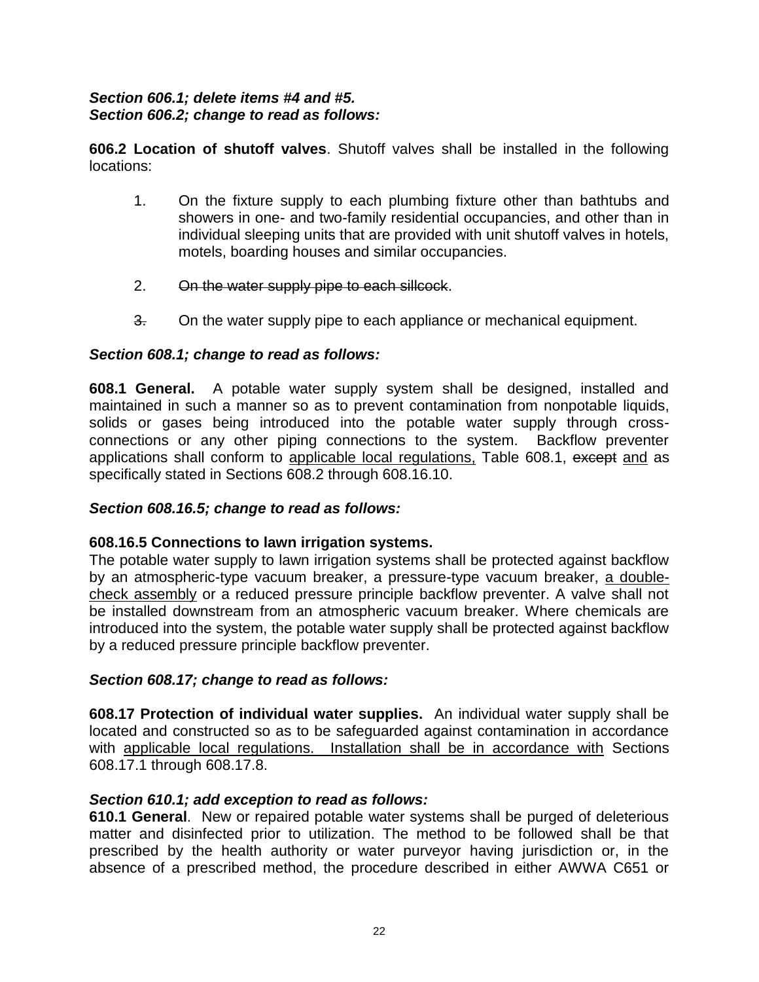#### *Section 606.1; delete items #4 and #5. Section 606.2; change to read as follows:*

**606.2 Location of shutoff valves**. Shutoff valves shall be installed in the following locations:

- 1. On the fixture supply to each plumbing fixture other than bathtubs and showers in one- and two-family residential occupancies, and other than in individual sleeping units that are provided with unit shutoff valves in hotels, motels, boarding houses and similar occupancies.
- 2. On the water supply pipe to each sillcock.
- 3. On the water supply pipe to each appliance or mechanical equipment.

### *Section 608.1; change to read as follows:*

**608.1 General.** A potable water supply system shall be designed, installed and maintained in such a manner so as to prevent contamination from nonpotable liquids, solids or gases being introduced into the potable water supply through crossconnections or any other piping connections to the system. Backflow preventer applications shall conform to applicable local regulations, Table 608.1, except and as specifically stated in Sections 608.2 through 608.16.10.

#### *Section 608.16.5; change to read as follows:*

#### **608.16.5 Connections to lawn irrigation systems.**

The potable water supply to lawn irrigation systems shall be protected against backflow by an atmospheric-type vacuum breaker, a pressure-type vacuum breaker, a doublecheck assembly or a reduced pressure principle backflow preventer. A valve shall not be installed downstream from an atmospheric vacuum breaker. Where chemicals are introduced into the system, the potable water supply shall be protected against backflow by a reduced pressure principle backflow preventer.

#### *Section 608.17; change to read as follows:*

**608.17 Protection of individual water supplies.** An individual water supply shall be located and constructed so as to be safeguarded against contamination in accordance with applicable local regulations. Installation shall be in accordance with Sections 608.17.1 through 608.17.8.

#### *Section 610.1; add exception to read as follows:*

**610.1 General**. New or repaired potable water systems shall be purged of deleterious matter and disinfected prior to utilization. The method to be followed shall be that prescribed by the health authority or water purveyor having jurisdiction or, in the absence of a prescribed method, the procedure described in either AWWA C651 or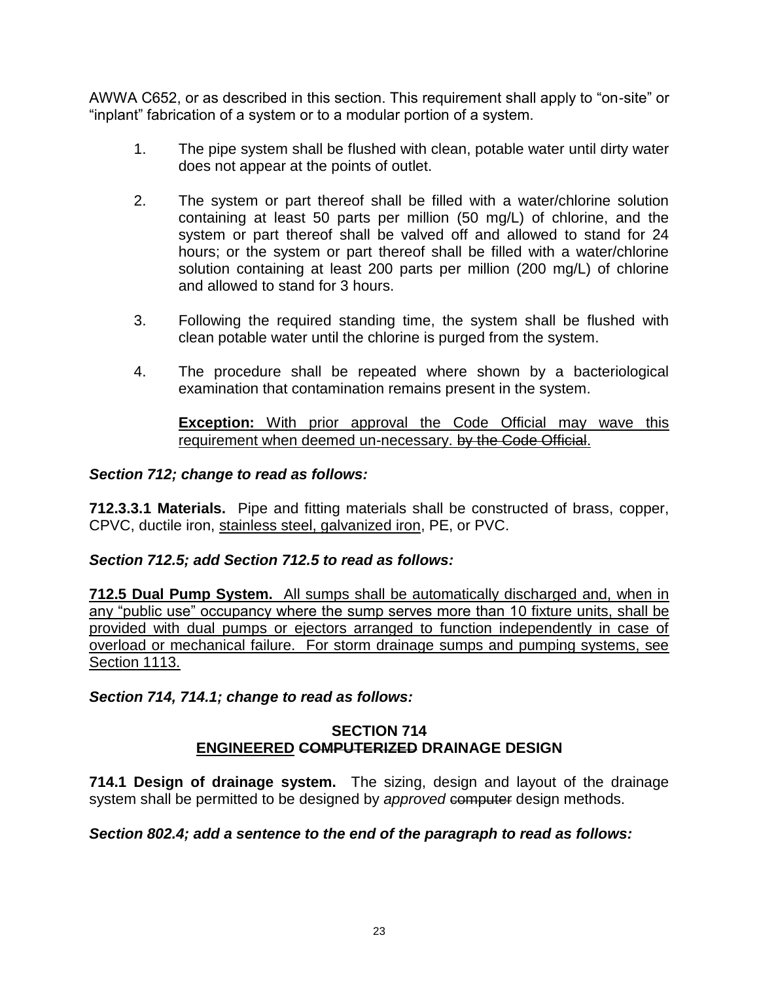AWWA C652, or as described in this section. This requirement shall apply to "on-site" or "inplant" fabrication of a system or to a modular portion of a system.

- 1. The pipe system shall be flushed with clean, potable water until dirty water does not appear at the points of outlet.
- 2. The system or part thereof shall be filled with a water/chlorine solution containing at least 50 parts per million (50 mg/L) of chlorine, and the system or part thereof shall be valved off and allowed to stand for 24 hours; or the system or part thereof shall be filled with a water/chlorine solution containing at least 200 parts per million (200 mg/L) of chlorine and allowed to stand for 3 hours.
- 3. Following the required standing time, the system shall be flushed with clean potable water until the chlorine is purged from the system.
- 4. The procedure shall be repeated where shown by a bacteriological examination that contamination remains present in the system.

**Exception:** With prior approval the Code Official may wave this requirement when deemed un-necessary. by the Code Official.

### *Section 712; change to read as follows:*

**712.3.3.1 Materials.** Pipe and fitting materials shall be constructed of brass, copper, CPVC, ductile iron, stainless steel, galvanized iron, PE, or PVC.

#### *Section 712.5; add Section 712.5 to read as follows:*

**712.5 Dual Pump System.** All sumps shall be automatically discharged and, when in any "public use" occupancy where the sump serves more than 10 fixture units, shall be provided with dual pumps or ejectors arranged to function independently in case of overload or mechanical failure. For storm drainage sumps and pumping systems, see Section 1113.

#### *Section 714, 714.1; change to read as follows:*

#### **SECTION 714 ENGINEERED COMPUTERIZED DRAINAGE DESIGN**

**714.1 Design of drainage system.** The sizing, design and layout of the drainage system shall be permitted to be designed by *approved* computer design methods.

#### *Section 802.4; add a sentence to the end of the paragraph to read as follows:*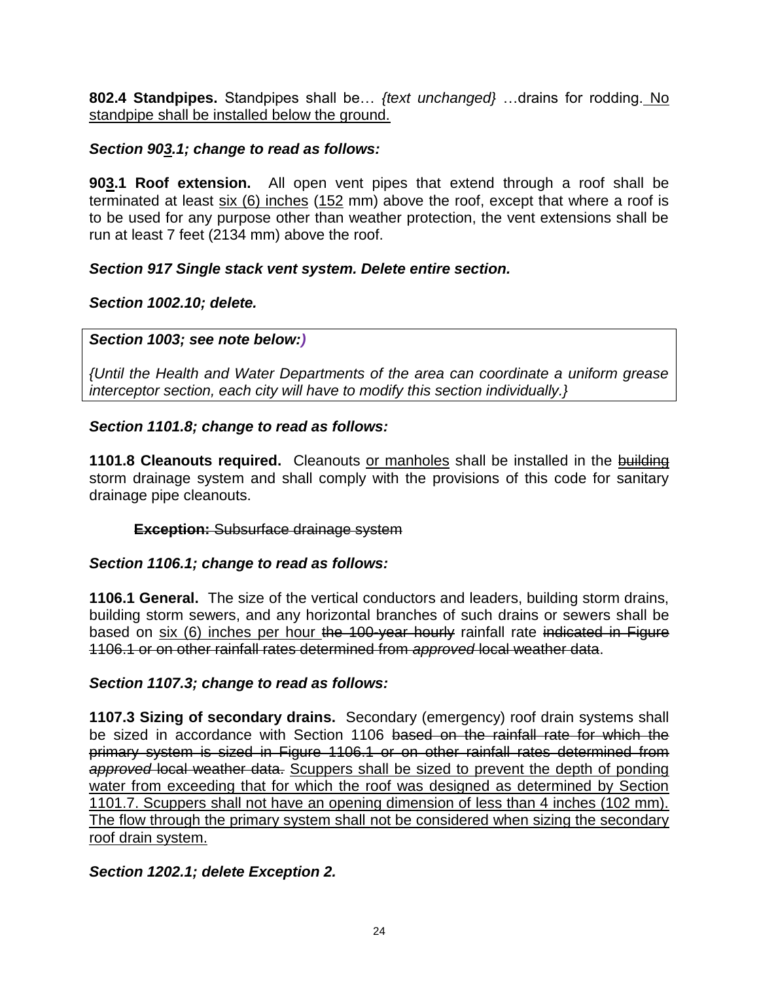**802.4 Standpipes.** Standpipes shall be… *{text unchanged}* …drains for rodding. No standpipe shall be installed below the ground.

## *Section 903.1; change to read as follows:*

**903.1 Roof extension.** All open vent pipes that extend through a roof shall be terminated at least  $six(6)$  inches  $(152 \text{ mm})$  above the roof, except that where a roof is to be used for any purpose other than weather protection, the vent extensions shall be run at least 7 feet (2134 mm) above the roof.

## *Section 917 Single stack vent system. Delete entire section.*

## *Section 1002.10; delete.*

## *Section 1003; see note below:)*

*{Until the Health and Water Departments of the area can coordinate a uniform grease interceptor section, each city will have to modify this section individually.}*

## *Section 1101.8; change to read as follows:*

**1101.8 Cleanouts required.** Cleanouts or manholes shall be installed in the building storm drainage system and shall comply with the provisions of this code for sanitary drainage pipe cleanouts.

### **Exception:** Subsurface drainage system

### *Section 1106.1; change to read as follows:*

**1106.1 General.** The size of the vertical conductors and leaders, building storm drains, building storm sewers, and any horizontal branches of such drains or sewers shall be based on six (6) inches per hour the 100-year hourly rainfall rate indicated in Figure 1106.1 or on other rainfall rates determined from *approved* local weather data.

### *Section 1107.3; change to read as follows:*

**1107.3 Sizing of secondary drains.** Secondary (emergency) roof drain systems shall be sized in accordance with Section 1106 based on the rainfall rate for which the primary system is sized in Figure 1106.1 or on other rainfall rates determined from *approved* local weather data. Scuppers shall be sized to prevent the depth of ponding water from exceeding that for which the roof was designed as determined by Section 1101.7. Scuppers shall not have an opening dimension of less than 4 inches (102 mm). The flow through the primary system shall not be considered when sizing the secondary roof drain system.

## *Section 1202.1; delete Exception 2.*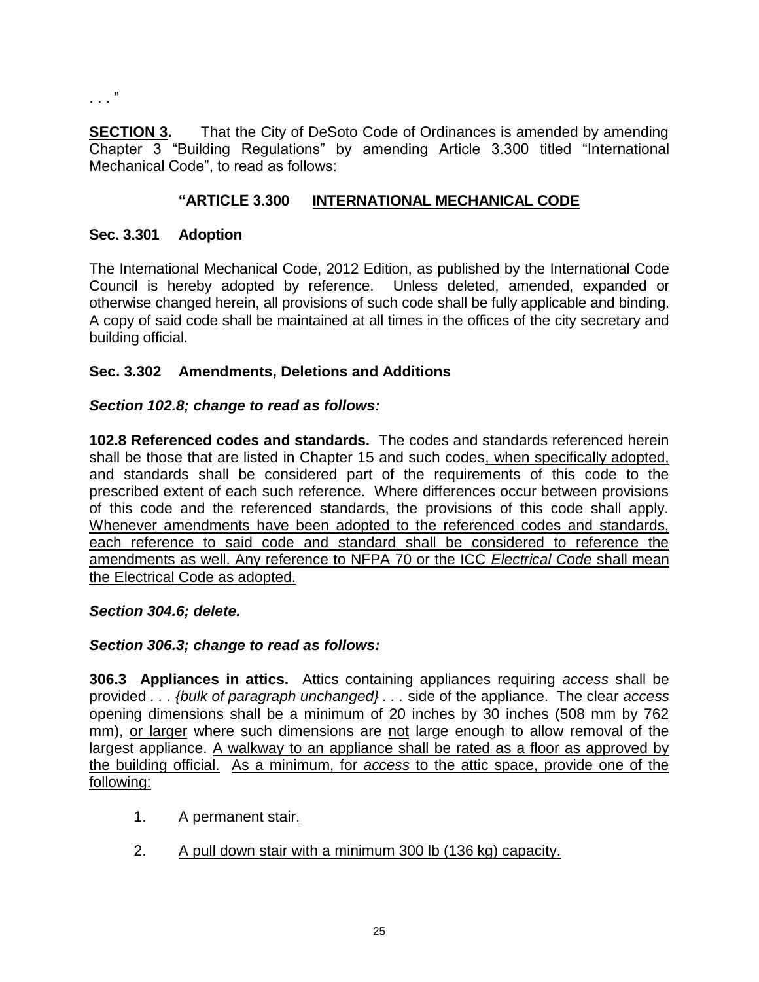. . . "

**SECTION 3.** That the City of DeSoto Code of Ordinances is amended by amending Chapter 3 "Building Regulations" by amending Article 3.300 titled "International Mechanical Code", to read as follows:

### **"ARTICLE 3.300 INTERNATIONAL MECHANICAL CODE**

#### **Sec. 3.301 Adoption**

The International Mechanical Code, 2012 Edition, as published by the International Code Council is hereby adopted by reference. Unless deleted, amended, expanded or otherwise changed herein, all provisions of such code shall be fully applicable and binding. A copy of said code shall be maintained at all times in the offices of the city secretary and building official.

#### **Sec. 3.302 Amendments, Deletions and Additions**

#### *Section 102.8; change to read as follows:*

**102.8 Referenced codes and standards.** The codes and standards referenced herein shall be those that are listed in Chapter 15 and such codes, when specifically adopted, and standards shall be considered part of the requirements of this code to the prescribed extent of each such reference. Where differences occur between provisions of this code and the referenced standards, the provisions of this code shall apply. Whenever amendments have been adopted to the referenced codes and standards, each reference to said code and standard shall be considered to reference the amendments as well. Any reference to NFPA 70 or the ICC *Electrical Code* shall mean the Electrical Code as adopted.

#### *Section 304.6; delete.*

#### *Section 306.3; change to read as follows:*

**306.3 Appliances in attics.** Attics containing appliances requiring *access* shall be provided *. . . {bulk of paragraph unchanged} . . .* side of the appliance. The clear *access* opening dimensions shall be a minimum of 20 inches by 30 inches (508 mm by 762 mm), or larger where such dimensions are not large enough to allow removal of the largest appliance. A walkway to an appliance shall be rated as a floor as approved by the building official. As a minimum, for *access* to the attic space, provide one of the following:

- 1. A permanent stair.
- 2. A pull down stair with a minimum 300 lb (136 kg) capacity.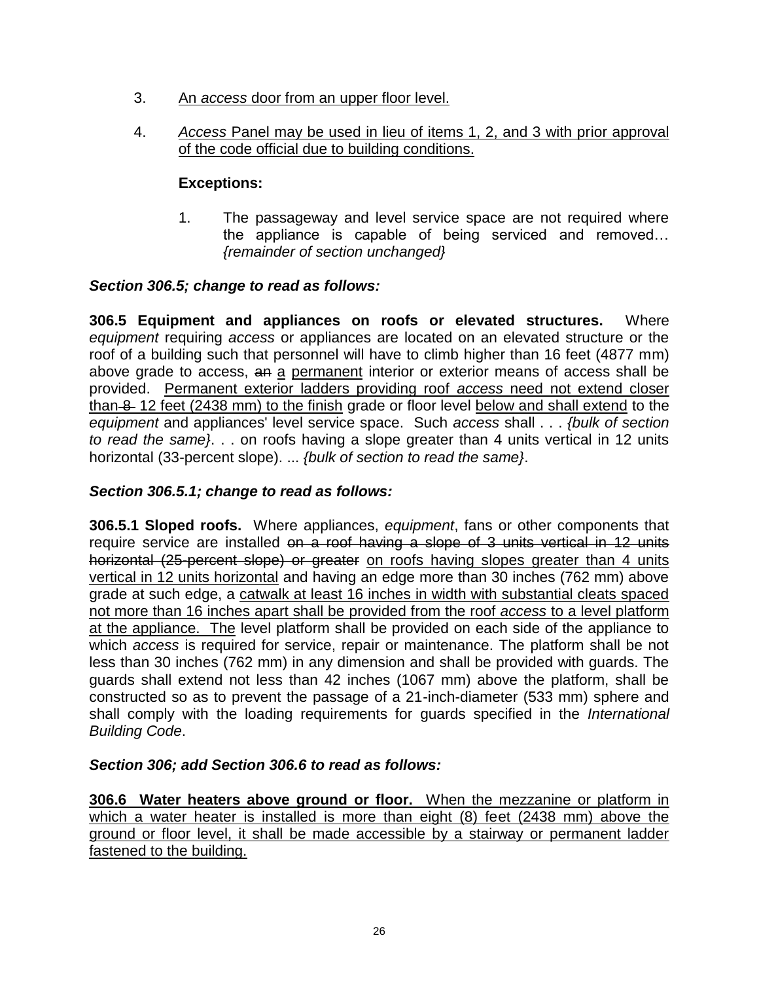- 3. An *access* door from an upper floor level.
- 4. *Access* Panel may be used in lieu of items 1, 2, and 3 with prior approval of the code official due to building conditions.

## **Exceptions:**

1. The passageway and level service space are not required where the appliance is capable of being serviced and removed… *{remainder of section unchanged}*

### *Section 306.5; change to read as follows:*

**306.5 Equipment and appliances on roofs or elevated structures.** Where *equipment* requiring *access* or appliances are located on an elevated structure or the roof of a building such that personnel will have to climb higher than 16 feet (4877 mm) above grade to access, an a permanent interior or exterior means of access shall be provided. Permanent exterior ladders providing roof *access* need not extend closer than 8-12 feet (2438 mm) to the finish grade or floor level below and shall extend to the *equipment* and appliances' level service space. Such *access* shall . . . *{bulk of section to read the same}*. . . on roofs having a slope greater than 4 units vertical in 12 units horizontal (33-percent slope). ... *{bulk of section to read the same}*.

### *Section 306.5.1; change to read as follows:*

**306.5.1 Sloped roofs.** Where appliances, *equipment*, fans or other components that require service are installed on a roof having a slope of 3 units vertical in 12 units horizontal (25-percent slope) or greater on roofs having slopes greater than 4 units vertical in 12 units horizontal and having an edge more than 30 inches (762 mm) above grade at such edge, a catwalk at least 16 inches in width with substantial cleats spaced not more than 16 inches apart shall be provided from the roof *access* to a level platform at the appliance. The level platform shall be provided on each side of the appliance to which *access* is required for service, repair or maintenance. The platform shall be not less than 30 inches (762 mm) in any dimension and shall be provided with guards. The guards shall extend not less than 42 inches (1067 mm) above the platform, shall be constructed so as to prevent the passage of a 21-inch-diameter (533 mm) sphere and shall comply with the loading requirements for guards specified in the *International Building Code*.

### *Section 306; add Section 306.6 to read as follows:*

**306.6 Water heaters above ground or floor.** When the mezzanine or platform in which a water heater is installed is more than eight (8) feet (2438 mm) above the ground or floor level, it shall be made accessible by a stairway or permanent ladder fastened to the building.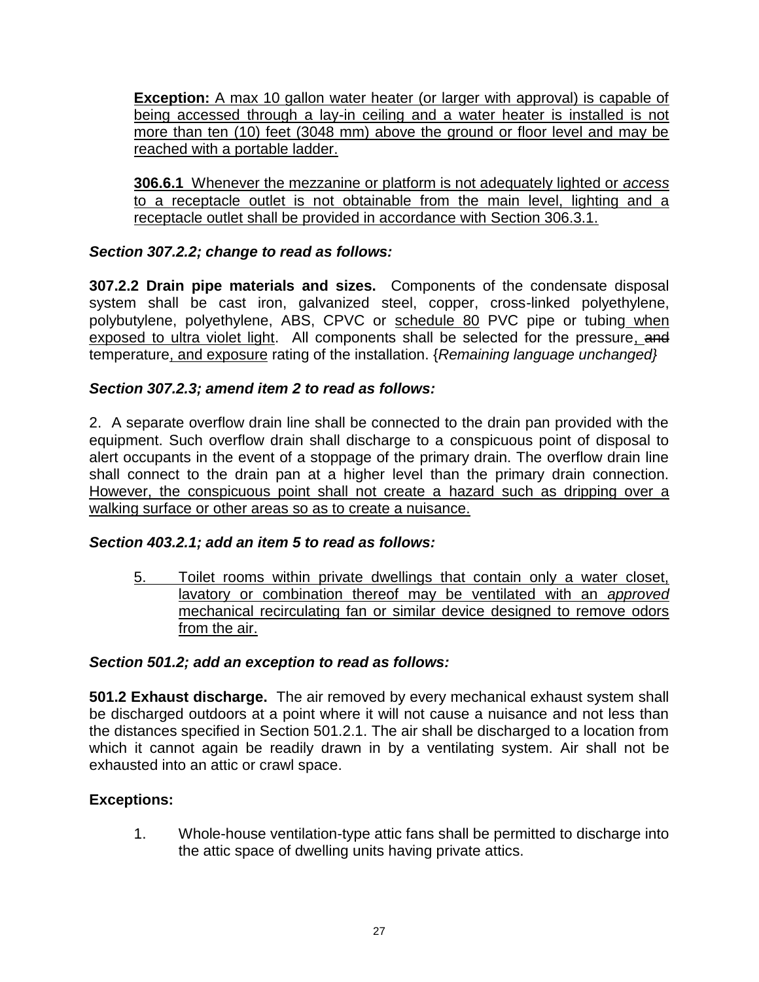**Exception:** A max 10 gallon water heater (or larger with approval) is capable of being accessed through a lay-in ceiling and a water heater is installed is not more than ten (10) feet (3048 mm) above the ground or floor level and may be reached with a portable ladder.

**306.6.1** Whenever the mezzanine or platform is not adequately lighted or *access* to a receptacle outlet is not obtainable from the main level, lighting and a receptacle outlet shall be provided in accordance with Section 306.3.1.

### *Section 307.2.2; change to read as follows:*

**307.2.2 Drain pipe materials and sizes.** Components of the condensate disposal system shall be cast iron, galvanized steel, copper, cross-linked polyethylene, polybutylene, polyethylene, ABS, CPVC or schedule 80 PVC pipe or tubing when exposed to ultra violet light. All components shall be selected for the pressure, and temperature, and exposure rating of the installation. {*Remaining language unchanged}*

### *Section 307.2.3; amend item 2 to read as follows:*

2. A separate overflow drain line shall be connected to the drain pan provided with the equipment. Such overflow drain shall discharge to a conspicuous point of disposal to alert occupants in the event of a stoppage of the primary drain. The overflow drain line shall connect to the drain pan at a higher level than the primary drain connection. However, the conspicuous point shall not create a hazard such as dripping over a walking surface or other areas so as to create a nuisance.

#### *Section 403.2.1; add an item 5 to read as follows:*

5. Toilet rooms within private dwellings that contain only a water closet, lavatory or combination thereof may be ventilated with an *approved* mechanical recirculating fan or similar device designed to remove odors from the air.

#### *Section 501.2; add an exception to read as follows:*

**501.2 Exhaust discharge.** The air removed by every mechanical exhaust system shall be discharged outdoors at a point where it will not cause a nuisance and not less than the distances specified in Section 501.2.1. The air shall be discharged to a location from which it cannot again be readily drawn in by a ventilating system. Air shall not be exhausted into an attic or crawl space.

#### **Exceptions:**

1. Whole-house ventilation-type attic fans shall be permitted to discharge into the attic space of dwelling units having private attics.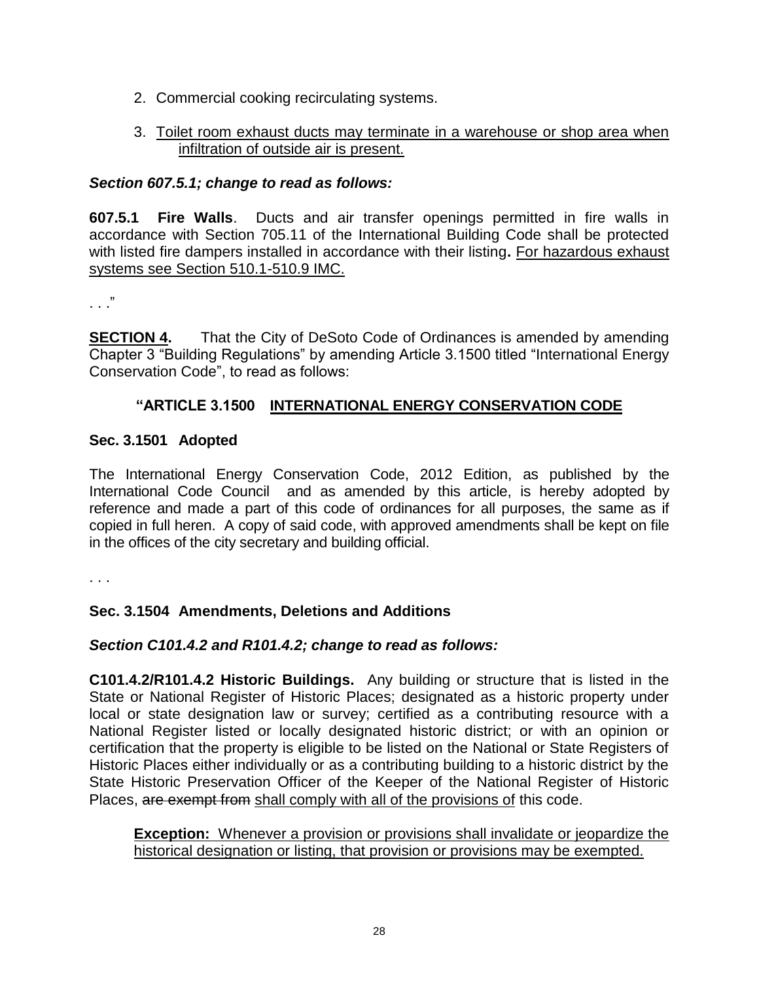- 2. Commercial cooking recirculating systems.
- 3. Toilet room exhaust ducts may terminate in a warehouse or shop area when infiltration of outside air is present.

#### *Section 607.5.1; change to read as follows:*

**607.5.1 Fire Walls**. Ducts and air transfer openings permitted in fire walls in accordance with Section 705.11 of the International Building Code shall be protected with listed fire dampers installed in accordance with their listing**.** For hazardous exhaust systems see Section 510.1-510.9 IMC.

. . ."

**SECTION 4.** That the City of DeSoto Code of Ordinances is amended by amending Chapter 3 "Building Regulations" by amending Article 3.1500 titled "International Energy Conservation Code", to read as follows:

#### **"ARTICLE 3.1500 INTERNATIONAL ENERGY CONSERVATION CODE**

#### **Sec. 3.1501 Adopted**

The International Energy Conservation Code, 2012 Edition, as published by the International Code Council and as amended by this article, is hereby adopted by reference and made a part of this code of ordinances for all purposes, the same as if copied in full heren. A copy of said code, with approved amendments shall be kept on file in the offices of the city secretary and building official.

. . .

#### **Sec. 3.1504 Amendments, Deletions and Additions**

#### *Section C101.4.2 and R101.4.2; change to read as follows:*

**C101.4.2/R101.4.2 Historic Buildings.** Any building or structure that is listed in the State or National Register of Historic Places; designated as a historic property under local or state designation law or survey; certified as a contributing resource with a National Register listed or locally designated historic district; or with an opinion or certification that the property is eligible to be listed on the National or State Registers of Historic Places either individually or as a contributing building to a historic district by the State Historic Preservation Officer of the Keeper of the National Register of Historic Places, are exempt from shall comply with all of the provisions of this code.

**Exception:** Whenever a provision or provisions shall invalidate or jeopardize the historical designation or listing, that provision or provisions may be exempted.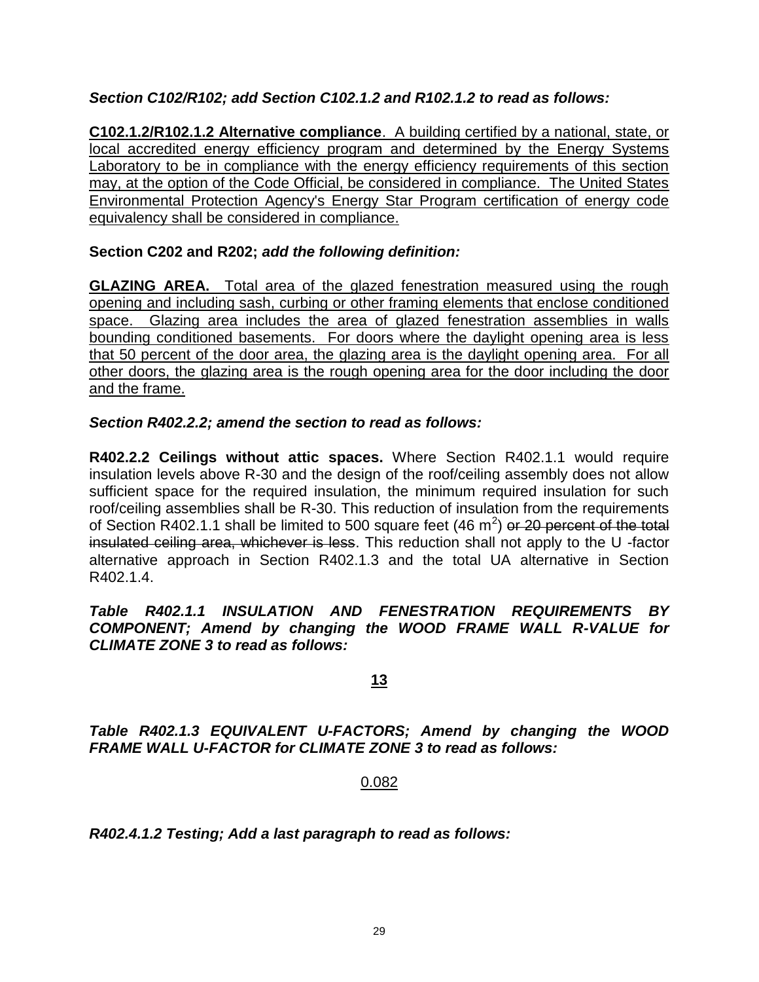### *Section C102/R102; add Section C102.1.2 and R102.1.2 to read as follows:*

**C102.1.2/R102.1.2 Alternative compliance**. A building certified by a national, state, or local accredited energy efficiency program and determined by the Energy Systems Laboratory to be in compliance with the energy efficiency requirements of this section may, at the option of the Code Official, be considered in compliance. The United States Environmental Protection Agency's Energy Star Program certification of energy code equivalency shall be considered in compliance.

#### **Section C202 and R202;** *add the following definition:*

**GLAZING AREA.** Total area of the glazed fenestration measured using the rough opening and including sash, curbing or other framing elements that enclose conditioned space. Glazing area includes the area of glazed fenestration assemblies in walls bounding conditioned basements. For doors where the daylight opening area is less that 50 percent of the door area, the glazing area is the daylight opening area. For all other doors, the glazing area is the rough opening area for the door including the door and the frame.

#### *Section R402.2.2; amend the section to read as follows:*

**R402.2.2 Ceilings without attic spaces.** Where Section R402.1.1 would require insulation levels above R-30 and the design of the roof/ceiling assembly does not allow sufficient space for the required insulation, the minimum required insulation for such roof/ceiling assemblies shall be R-30. This reduction of insulation from the requirements of Section R402.1.1 shall be limited to 500 square feet (46 m<sup>2</sup>) or 20 percent of the total insulated ceiling area, whichever is less. This reduction shall not apply to the U -factor alternative approach in Section R402.1.3 and the total UA alternative in Section R402.1.4.

#### *Table R402.1.1 INSULATION AND FENESTRATION REQUIREMENTS BY COMPONENT; Amend by changing the WOOD FRAME WALL R-VALUE for CLIMATE ZONE 3 to read as follows:*

### **13**

*Table R402.1.3 EQUIVALENT U-FACTORS; Amend by changing the WOOD FRAME WALL U-FACTOR for CLIMATE ZONE 3 to read as follows:*

#### 0.082

*R402.4.1.2 Testing; Add a last paragraph to read as follows:*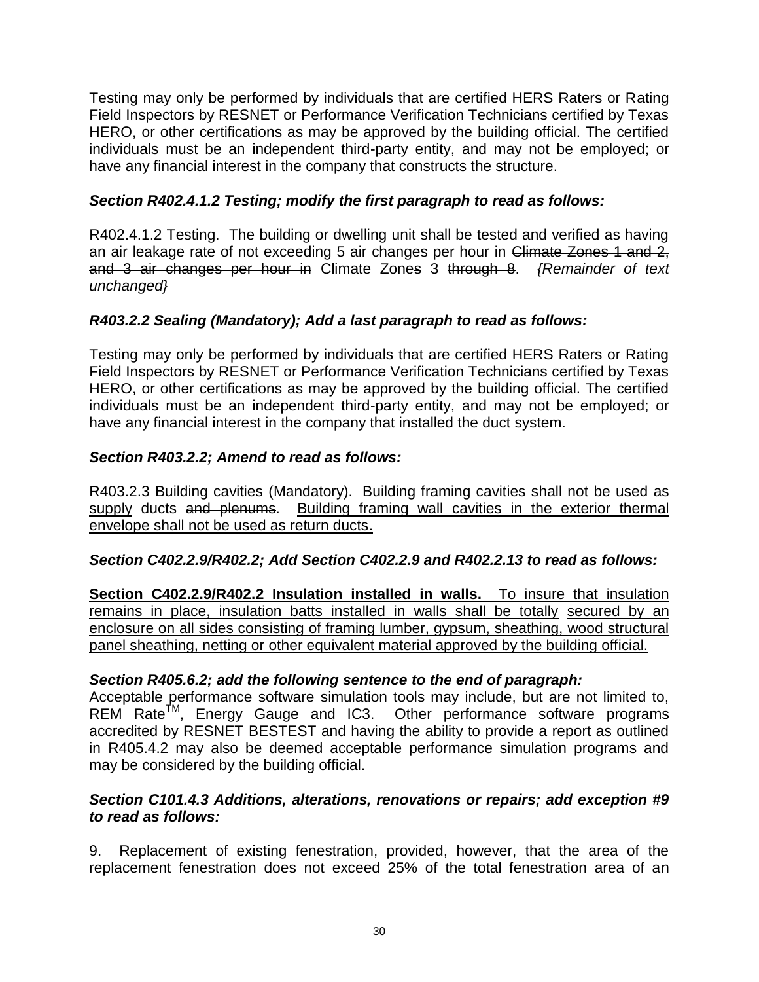Testing may only be performed by individuals that are certified HERS Raters or Rating Field Inspectors by RESNET or Performance Verification Technicians certified by Texas HERO, or other certifications as may be approved by the building official. The certified individuals must be an independent third-party entity, and may not be employed; or have any financial interest in the company that constructs the structure.

### *Section R402.4.1.2 Testing; modify the first paragraph to read as follows:*

R402.4.1.2 Testing. The building or dwelling unit shall be tested and verified as having an air leakage rate of not exceeding 5 air changes per hour in Climate Zones 1 and 2, and 3 air changes per hour in Climate Zones 3 through 8. *{Remainder of text unchanged}*

### *R403.2.2 Sealing (Mandatory); Add a last paragraph to read as follows:*

Testing may only be performed by individuals that are certified HERS Raters or Rating Field Inspectors by RESNET or Performance Verification Technicians certified by Texas HERO, or other certifications as may be approved by the building official. The certified individuals must be an independent third-party entity, and may not be employed; or have any financial interest in the company that installed the duct system.

### *Section R403.2.2; Amend to read as follows:*

R403.2.3 Building cavities (Mandatory). Building framing cavities shall not be used as supply ducts and plenums. Building framing wall cavities in the exterior thermal envelope shall not be used as return ducts.

#### *Section C402.2.9/R402.2; Add Section C402.2.9 and R402.2.13 to read as follows:*

**Section C402.2.9/R402.2 Insulation installed in walls.** To insure that insulation remains in place, insulation batts installed in walls shall be totally secured by an enclosure on all sides consisting of framing lumber, gypsum, sheathing, wood structural panel sheathing, netting or other equivalent material approved by the building official.

#### *Section R405.6.2; add the following sentence to the end of paragraph:*

Acceptable performance software simulation tools may include, but are not limited to, REM Rate<sup>TM</sup>, Energy Gauge and IC3. Other performance software programs accredited by RESNET BESTEST and having the ability to provide a report as outlined in R405.4.2 may also be deemed acceptable performance simulation programs and may be considered by the building official.

#### *Section C101.4.3 Additions, alterations, renovations or repairs; add exception #9 to read as follows:*

9. Replacement of existing fenestration, provided, however, that the area of the replacement fenestration does not exceed 25% of the total fenestration area of an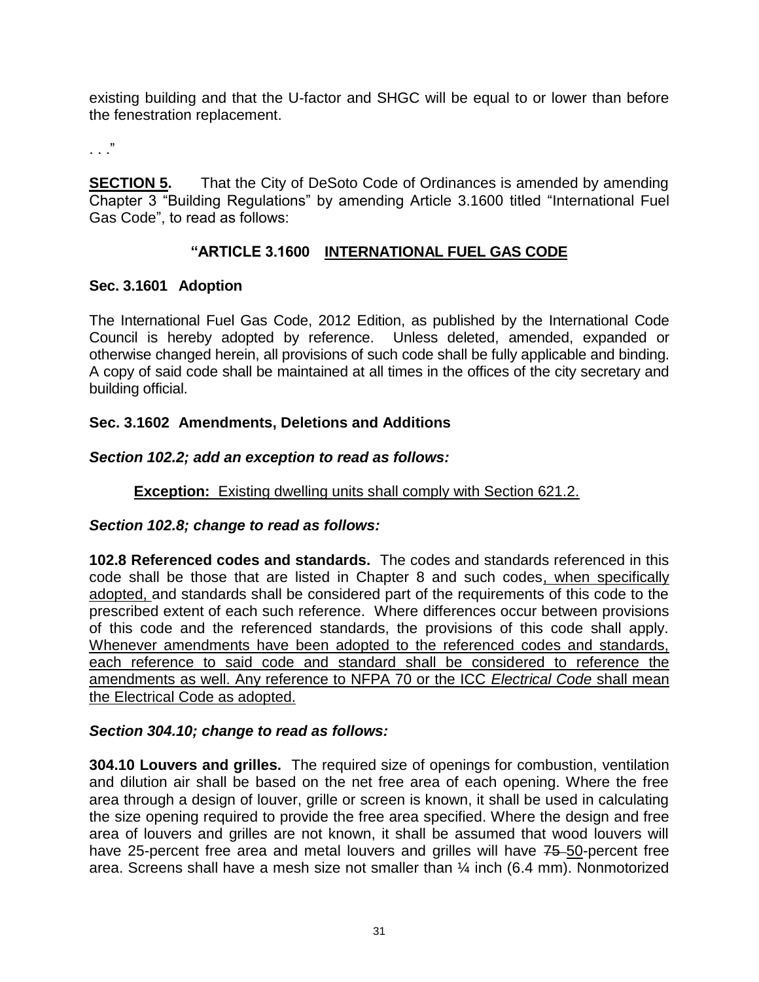existing building and that the U-factor and SHGC will be equal to or lower than before the fenestration replacement.

. . ."

**SECTION 5.** That the City of DeSoto Code of Ordinances is amended by amending Chapter 3 "Building Regulations" by amending Article 3.1600 titled "International Fuel Gas Code", to read as follows:

## **"ARTICLE 3.1600 INTERNATIONAL FUEL GAS CODE**

### **Sec. 3.1601 Adoption**

The International Fuel Gas Code, 2012 Edition, as published by the International Code Council is hereby adopted by reference. Unless deleted, amended, expanded or otherwise changed herein, all provisions of such code shall be fully applicable and binding. A copy of said code shall be maintained at all times in the offices of the city secretary and building official.

### **Sec. 3.1602 Amendments, Deletions and Additions**

## *Section 102.2; add an exception to read as follows:*

## **Exception:** Existing dwelling units shall comply with Section 621.2.

### *Section 102.8; change to read as follows:*

**102.8 Referenced codes and standards.** The codes and standards referenced in this code shall be those that are listed in Chapter 8 and such codes, when specifically adopted, and standards shall be considered part of the requirements of this code to the prescribed extent of each such reference. Where differences occur between provisions of this code and the referenced standards, the provisions of this code shall apply. Whenever amendments have been adopted to the referenced codes and standards, each reference to said code and standard shall be considered to reference the amendments as well. Any reference to NFPA 70 or the ICC *Electrical Code* shall mean the Electrical Code as adopted.

### *Section 304.10; change to read as follows:*

**304.10 Louvers and grilles.** The required size of openings for combustion, ventilation and dilution air shall be based on the net free area of each opening. Where the free area through a design of louver, grille or screen is known, it shall be used in calculating the size opening required to provide the free area specified. Where the design and free area of louvers and grilles are not known, it shall be assumed that wood louvers will have 25-percent free area and metal louvers and grilles will have 75-50-percent free area. Screens shall have a mesh size not smaller than ¼ inch (6.4 mm). Nonmotorized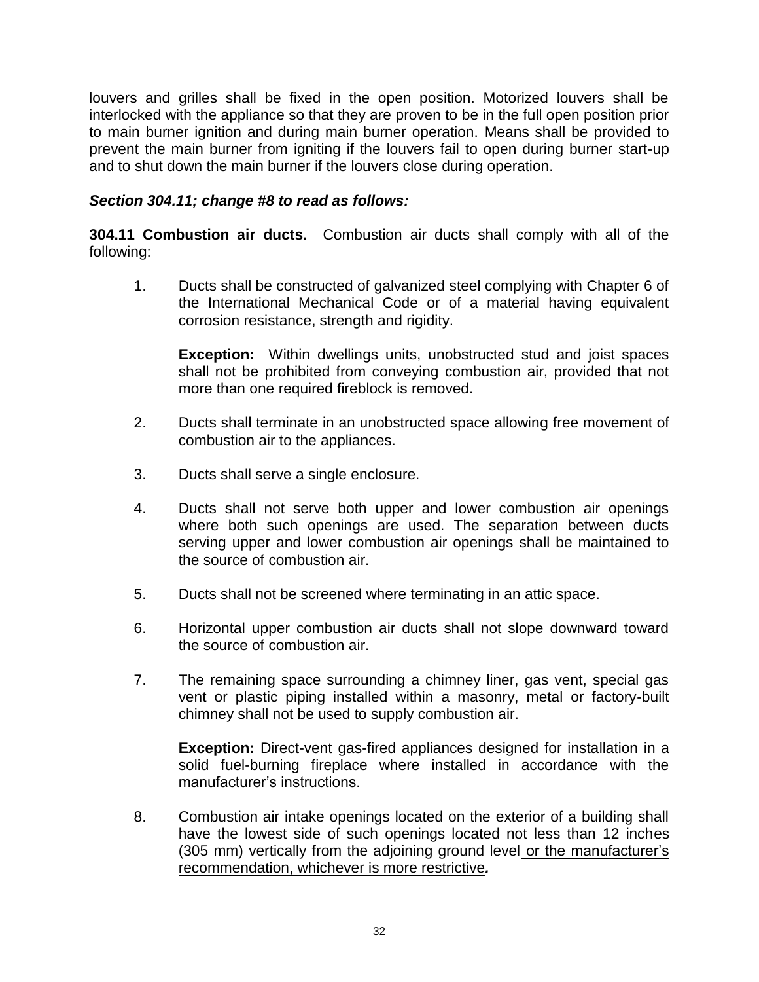louvers and grilles shall be fixed in the open position. Motorized louvers shall be interlocked with the appliance so that they are proven to be in the full open position prior to main burner ignition and during main burner operation. Means shall be provided to prevent the main burner from igniting if the louvers fail to open during burner start-up and to shut down the main burner if the louvers close during operation.

#### *Section 304.11; change #8 to read as follows:*

**304.11 Combustion air ducts.** Combustion air ducts shall comply with all of the following:

1. Ducts shall be constructed of galvanized steel complying with Chapter 6 of the International Mechanical Code or of a material having equivalent corrosion resistance, strength and rigidity.

**Exception:** Within dwellings units, unobstructed stud and joist spaces shall not be prohibited from conveying combustion air, provided that not more than one required fireblock is removed.

- 2. Ducts shall terminate in an unobstructed space allowing free movement of combustion air to the appliances.
- 3. Ducts shall serve a single enclosure.
- 4. Ducts shall not serve both upper and lower combustion air openings where both such openings are used. The separation between ducts serving upper and lower combustion air openings shall be maintained to the source of combustion air.
- 5. Ducts shall not be screened where terminating in an attic space.
- 6. Horizontal upper combustion air ducts shall not slope downward toward the source of combustion air.
- 7. The remaining space surrounding a chimney liner, gas vent, special gas vent or plastic piping installed within a masonry, metal or factory-built chimney shall not be used to supply combustion air.

**Exception:** Direct-vent gas-fired appliances designed for installation in a solid fuel-burning fireplace where installed in accordance with the manufacturer's instructions.

8. Combustion air intake openings located on the exterior of a building shall have the lowest side of such openings located not less than 12 inches (305 mm) vertically from the adjoining ground level or the manufacturer's recommendation, whichever is more restrictive*.*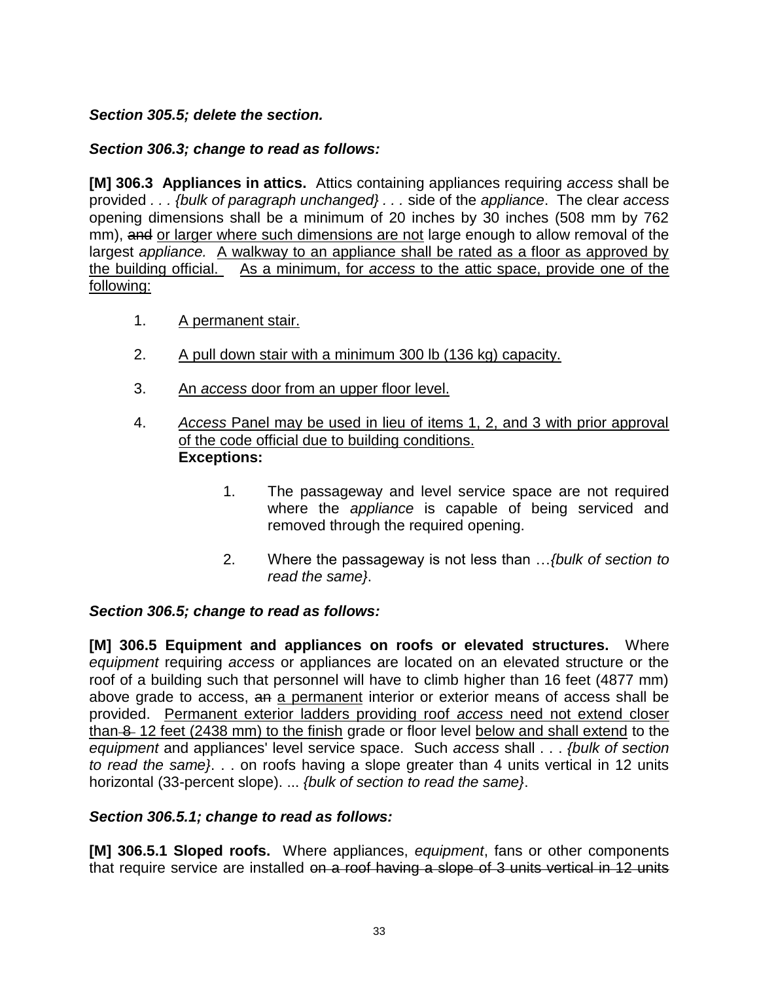## *Section 305.5; delete the section.*

### *Section 306.3; change to read as follows:*

**[M] 306.3 Appliances in attics.** Attics containing appliances requiring *access* shall be provided *. . . {bulk of paragraph unchanged} . . .* side of the *appliance*. The clear *access* opening dimensions shall be a minimum of 20 inches by 30 inches (508 mm by 762 mm), and or larger where such dimensions are not large enough to allow removal of the largest *appliance.* A walkway to an appliance shall be rated as a floor as approved by the building official. As a minimum, for *access* to the attic space, provide one of the following:

- 1. A permanent stair.
- 2. A pull down stair with a minimum 300 lb (136 kg) capacity.
- 3. An *access* door from an upper floor level.
- 4. *Access* Panel may be used in lieu of items 1, 2, and 3 with prior approval of the code official due to building conditions. **Exceptions:**
	- 1. The passageway and level service space are not required where the *appliance* is capable of being serviced and removed through the required opening.
	- 2. Where the passageway is not less than …*{bulk of section to read the same}*.

### *Section 306.5; change to read as follows:*

**[M] 306.5 Equipment and appliances on roofs or elevated structures.** Where *equipment* requiring *access* or appliances are located on an elevated structure or the roof of a building such that personnel will have to climb higher than 16 feet (4877 mm) above grade to access, an a permanent interior or exterior means of access shall be provided. Permanent exterior ladders providing roof *access* need not extend closer than 8 12 feet (2438 mm) to the finish grade or floor level below and shall extend to the *equipment* and appliances' level service space. Such *access* shall . . . *{bulk of section to read the same}*. . . on roofs having a slope greater than 4 units vertical in 12 units horizontal (33-percent slope). ... *{bulk of section to read the same}*.

#### *Section 306.5.1; change to read as follows:*

**[M] 306.5.1 Sloped roofs.** Where appliances, *equipment*, fans or other components that require service are installed on a roof having a slope of 3 units vertical in 12 units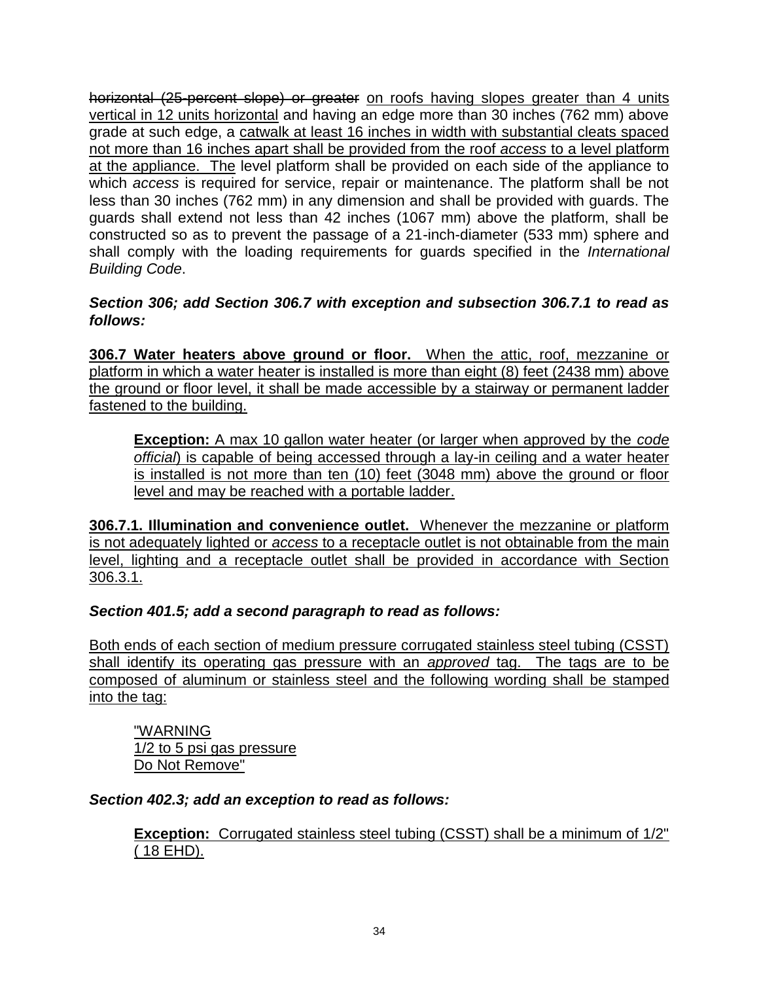horizontal (25-percent slope) or greater on roofs having slopes greater than 4 units vertical in 12 units horizontal and having an edge more than 30 inches (762 mm) above grade at such edge, a catwalk at least 16 inches in width with substantial cleats spaced not more than 16 inches apart shall be provided from the roof *access* to a level platform at the appliance. The level platform shall be provided on each side of the appliance to which *access* is required for service, repair or maintenance. The platform shall be not less than 30 inches (762 mm) in any dimension and shall be provided with guards. The guards shall extend not less than 42 inches (1067 mm) above the platform, shall be constructed so as to prevent the passage of a 21-inch-diameter (533 mm) sphere and shall comply with the loading requirements for guards specified in the *International Building Code*.

*Section 306; add Section 306.7 with exception and subsection 306.7.1 to read as follows:*

**306.7 Water heaters above ground or floor.** When the attic, roof, mezzanine or platform in which a water heater is installed is more than eight (8) feet (2438 mm) above the ground or floor level, it shall be made accessible by a stairway or permanent ladder fastened to the building.

**Exception:** A max 10 gallon water heater (or larger when approved by the *code official*) is capable of being accessed through a lay-in ceiling and a water heater is installed is not more than ten (10) feet (3048 mm) above the ground or floor level and may be reached with a portable ladder.

**306.7.1. Illumination and convenience outlet.** Whenever the mezzanine or platform is not adequately lighted or *access* to a receptacle outlet is not obtainable from the main level, lighting and a receptacle outlet shall be provided in accordance with Section 306.3.1.

#### *Section 401.5; add a second paragraph to read as follows:*

Both ends of each section of medium pressure corrugated stainless steel tubing (CSST) shall identify its operating gas pressure with an *approved* tag. The tags are to be composed of aluminum or stainless steel and the following wording shall be stamped into the tag:

"WARNING 1/2 to 5 psi gas pressure Do Not Remove"

#### *Section 402.3; add an exception to read as follows:*

**Exception:** Corrugated stainless steel tubing (CSST) shall be a minimum of 1/2" ( 18 EHD).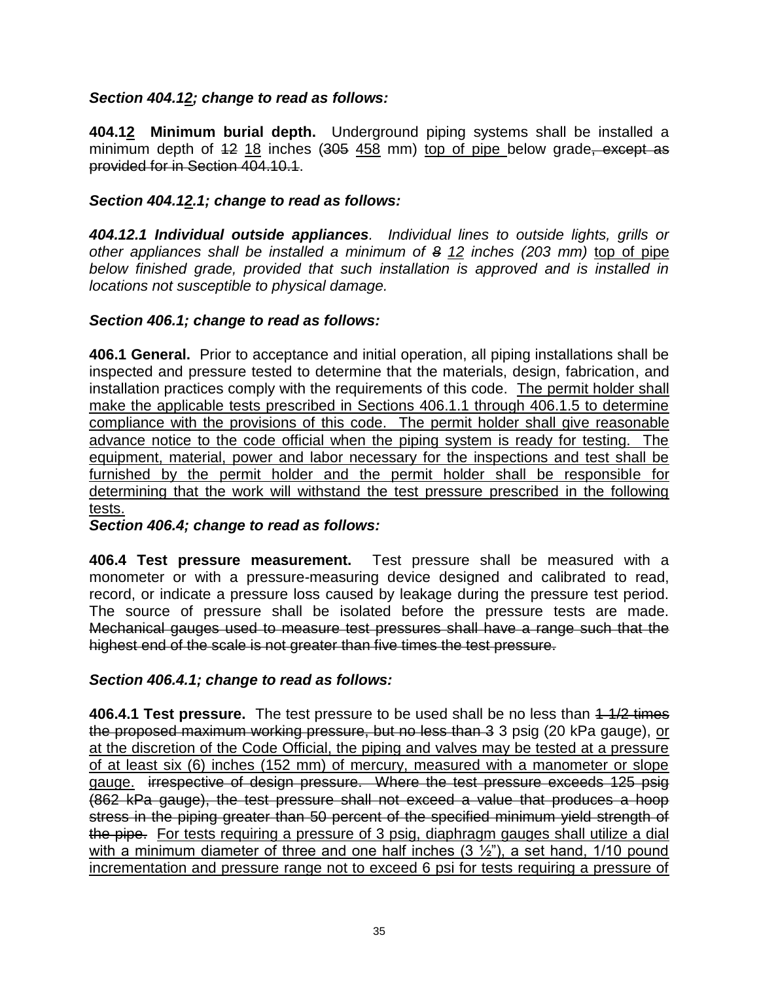#### *Section 404.12; change to read as follows:*

**404.12 Minimum burial depth.** Underground piping systems shall be installed a minimum depth of  $12 \tcdot 18$  inches ( $305 \tcdot 458$  mm) top of pipe below grade, except as provided for in Section 404.10.1.

#### *Section 404.12.1; change to read as follows:*

*404.12.1 Individual outside appliances. Individual lines to outside lights, grills or other appliances shall be installed a minimum of 8 12 inches (203 mm)* top of pipe *below finished grade, provided that such installation is approved and is installed in locations not susceptible to physical damage.*

### *Section 406.1; change to read as follows:*

**406.1 General.** Prior to acceptance and initial operation, all piping installations shall be inspected and pressure tested to determine that the materials, design, fabrication, and installation practices comply with the requirements of this code. The permit holder shall make the applicable tests prescribed in Sections 406.1.1 through 406.1.5 to determine compliance with the provisions of this code. The permit holder shall give reasonable advance notice to the code official when the piping system is ready for testing. The equipment, material, power and labor necessary for the inspections and test shall be furnished by the permit holder and the permit holder shall be responsible for determining that the work will withstand the test pressure prescribed in the following tests.

*Section 406.4; change to read as follows:*

**406.4 Test pressure measurement.** Test pressure shall be measured with a monometer or with a pressure-measuring device designed and calibrated to read, record, or indicate a pressure loss caused by leakage during the pressure test period. The source of pressure shall be isolated before the pressure tests are made. Mechanical gauges used to measure test pressures shall have a range such that the highest end of the scale is not greater than five times the test pressure.

#### *Section 406.4.1; change to read as follows:*

**406.4.1 Test pressure.** The test pressure to be used shall be no less than  $4\frac{1}{2}$  times the proposed maximum working pressure, but no less than 3 3 psig (20 kPa gauge), or at the discretion of the Code Official, the piping and valves may be tested at a pressure of at least six (6) inches (152 mm) of mercury, measured with a manometer or slope gauge. irrespective of design pressure. Where the test pressure exceeds 125 psig (862 kPa gauge), the test pressure shall not exceed a value that produces a hoop stress in the piping greater than 50 percent of the specified minimum yield strength of the pipe. For tests requiring a pressure of 3 psig, diaphragm gauges shall utilize a dial with a minimum diameter of three and one half inches  $(3 \frac{1}{2})$ , a set hand, 1/10 pound incrementation and pressure range not to exceed 6 psi for tests requiring a pressure of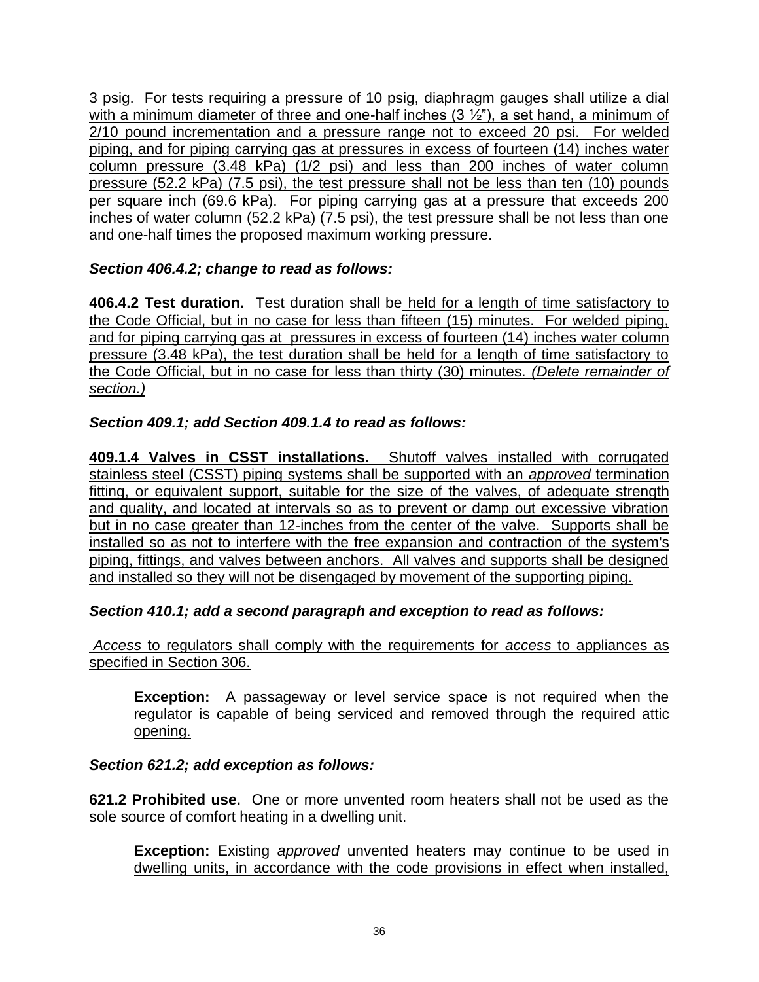3 psig. For tests requiring a pressure of 10 psig, diaphragm gauges shall utilize a dial with a minimum diameter of three and one-half inches  $(3 \frac{1}{2})$ , a set hand, a minimum of 2/10 pound incrementation and a pressure range not to exceed 20 psi. For welded piping, and for piping carrying gas at pressures in excess of fourteen (14) inches water column pressure (3.48 kPa) (1/2 psi) and less than 200 inches of water column pressure (52.2 kPa) (7.5 psi), the test pressure shall not be less than ten (10) pounds per square inch (69.6 kPa). For piping carrying gas at a pressure that exceeds 200 inches of water column (52.2 kPa) (7.5 psi), the test pressure shall be not less than one and one-half times the proposed maximum working pressure.

## *Section 406.4.2; change to read as follows:*

**406.4.2 Test duration.** Test duration shall be held for a length of time satisfactory to the Code Official, but in no case for less than fifteen (15) minutes. For welded piping, and for piping carrying gas at pressures in excess of fourteen (14) inches water column pressure (3.48 kPa), the test duration shall be held for a length of time satisfactory to the Code Official, but in no case for less than thirty (30) minutes. *(Delete remainder of section.)*

## *Section 409.1; add Section 409.1.4 to read as follows:*

**409.1.4 Valves in CSST installations.** Shutoff valves installed with corrugated stainless steel (CSST) piping systems shall be supported with an *approved* termination fitting, or equivalent support, suitable for the size of the valves, of adequate strength and quality, and located at intervals so as to prevent or damp out excessive vibration but in no case greater than 12-inches from the center of the valve. Supports shall be installed so as not to interfere with the free expansion and contraction of the system's piping, fittings, and valves between anchors. All valves and supports shall be designed and installed so they will not be disengaged by movement of the supporting piping.

### *Section 410.1; add a second paragraph and exception to read as follows:*

*Access* to regulators shall comply with the requirements for *access* to appliances as specified in Section 306.

**Exception:** A passageway or level service space is not required when the regulator is capable of being serviced and removed through the required attic opening.

### *Section 621.2; add exception as follows:*

**621.2 Prohibited use.** One or more unvented room heaters shall not be used as the sole source of comfort heating in a dwelling unit.

**Exception:** Existing *approved* unvented heaters may continue to be used in dwelling units, in accordance with the code provisions in effect when installed,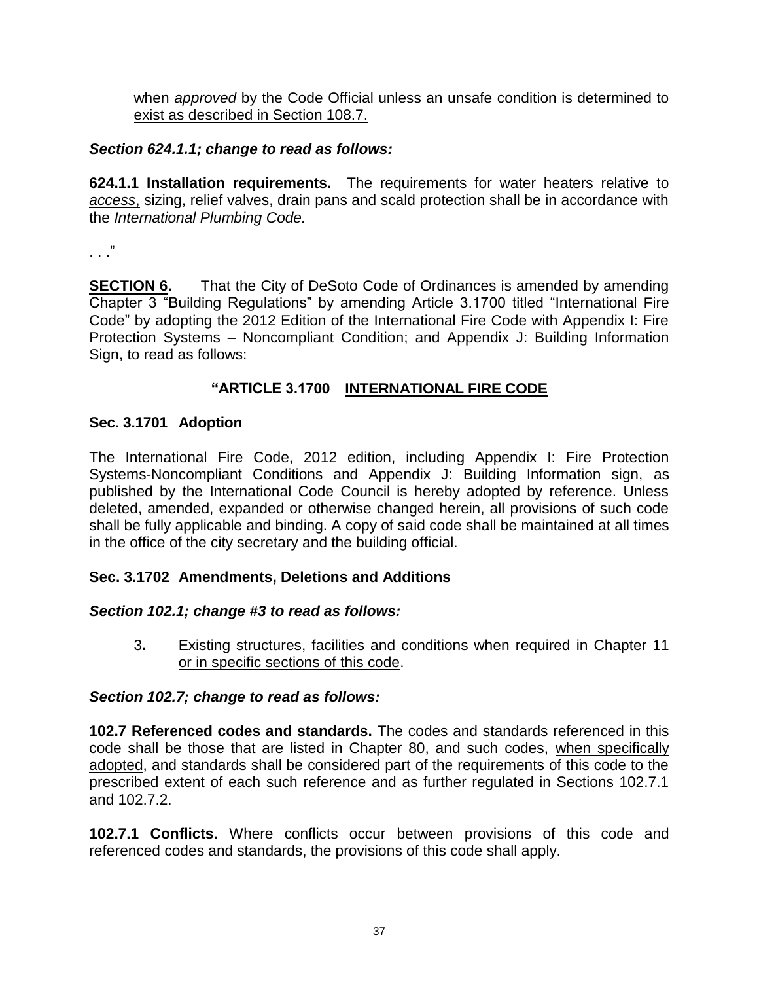when *approved* by the Code Official unless an unsafe condition is determined to exist as described in Section 108.7.

### *Section 624.1.1; change to read as follows:*

**624.1.1 Installation requirements.** The requirements for water heaters relative to *access*, sizing, relief valves, drain pans and scald protection shall be in accordance with the *International Plumbing Code.*

. . ."

**SECTION 6.** That the City of DeSoto Code of Ordinances is amended by amending Chapter 3 "Building Regulations" by amending Article 3.1700 titled "International Fire Code" by adopting the 2012 Edition of the International Fire Code with Appendix I: Fire Protection Systems – Noncompliant Condition; and Appendix J: Building Information Sign, to read as follows:

### **"ARTICLE 3.1700 INTERNATIONAL FIRE CODE**

### **Sec. 3.1701 Adoption**

The International Fire Code, 2012 edition, including Appendix I: Fire Protection Systems-Noncompliant Conditions and Appendix J: Building Information sign, as published by the International Code Council is hereby adopted by reference. Unless deleted, amended, expanded or otherwise changed herein, all provisions of such code shall be fully applicable and binding. A copy of said code shall be maintained at all times in the office of the city secretary and the building official.

## **Sec. 3.1702 Amendments, Deletions and Additions**

### *Section 102.1; change #3 to read as follows:*

3**.** Existing structures, facilities and conditions when required in Chapter 11 or in specific sections of this code.

### *Section 102.7; change to read as follows:*

**102.7 Referenced codes and standards.** The codes and standards referenced in this code shall be those that are listed in Chapter 80, and such codes, when specifically adopted, and standards shall be considered part of the requirements of this code to the prescribed extent of each such reference and as further regulated in Sections 102.7.1 and 102.7.2.

**102.7.1 Conflicts.** Where conflicts occur between provisions of this code and referenced codes and standards, the provisions of this code shall apply.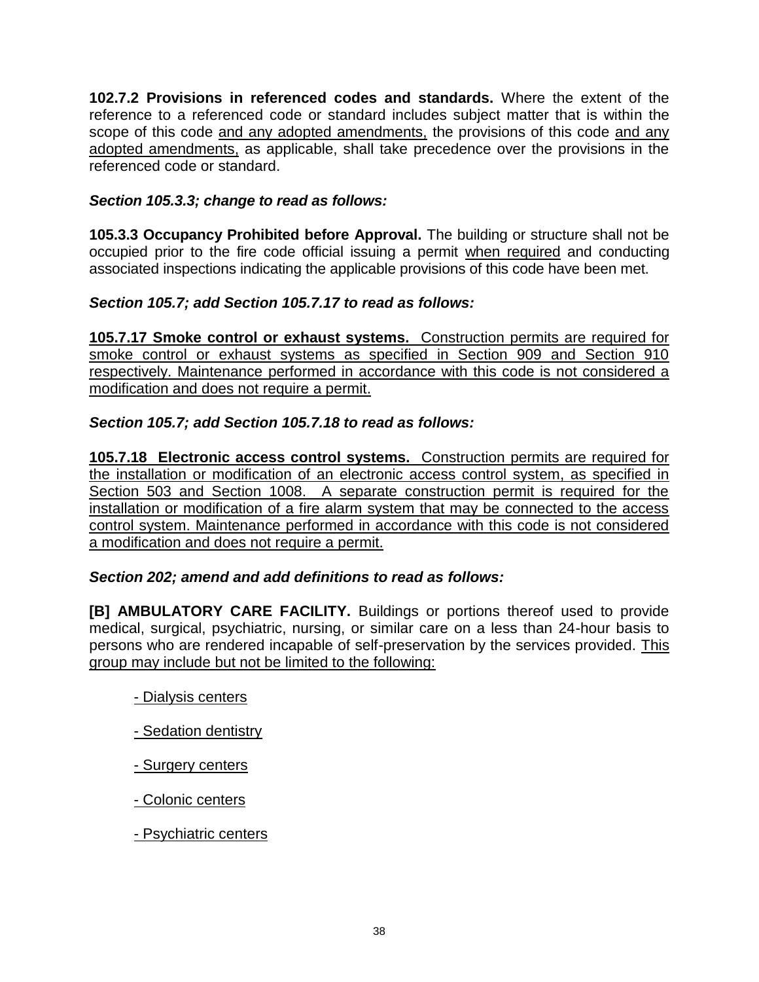**102.7.2 Provisions in referenced codes and standards.** Where the extent of the reference to a referenced code or standard includes subject matter that is within the scope of this code and any adopted amendments, the provisions of this code and any adopted amendments, as applicable, shall take precedence over the provisions in the referenced code or standard.

### *Section 105.3.3; change to read as follows:*

**105.3.3 Occupancy Prohibited before Approval.** The building or structure shall not be occupied prior to the fire code official issuing a permit when required and conducting associated inspections indicating the applicable provisions of this code have been met.

### *Section 105.7; add Section 105.7.17 to read as follows:*

**105.7.17 Smoke control or exhaust systems.** Construction permits are required for smoke control or exhaust systems as specified in Section 909 and Section 910 respectively. Maintenance performed in accordance with this code is not considered a modification and does not require a permit.

### *Section 105.7; add Section 105.7.18 to read as follows:*

**105.7.18 Electronic access control systems.** Construction permits are required for the installation or modification of an electronic access control system, as specified in Section 503 and Section 1008. A separate construction permit is required for the installation or modification of a fire alarm system that may be connected to the access control system. Maintenance performed in accordance with this code is not considered a modification and does not require a permit.

#### *Section 202; amend and add definitions to read as follows:*

**[B] AMBULATORY CARE FACILITY.** Buildings or portions thereof used to provide medical, surgical, psychiatric, nursing, or similar care on a less than 24-hour basis to persons who are rendered incapable of self-preservation by the services provided. This group may include but not be limited to the following:

- Dialysis centers
- Sedation dentistry
- Surgery centers
- Colonic centers
- Psychiatric centers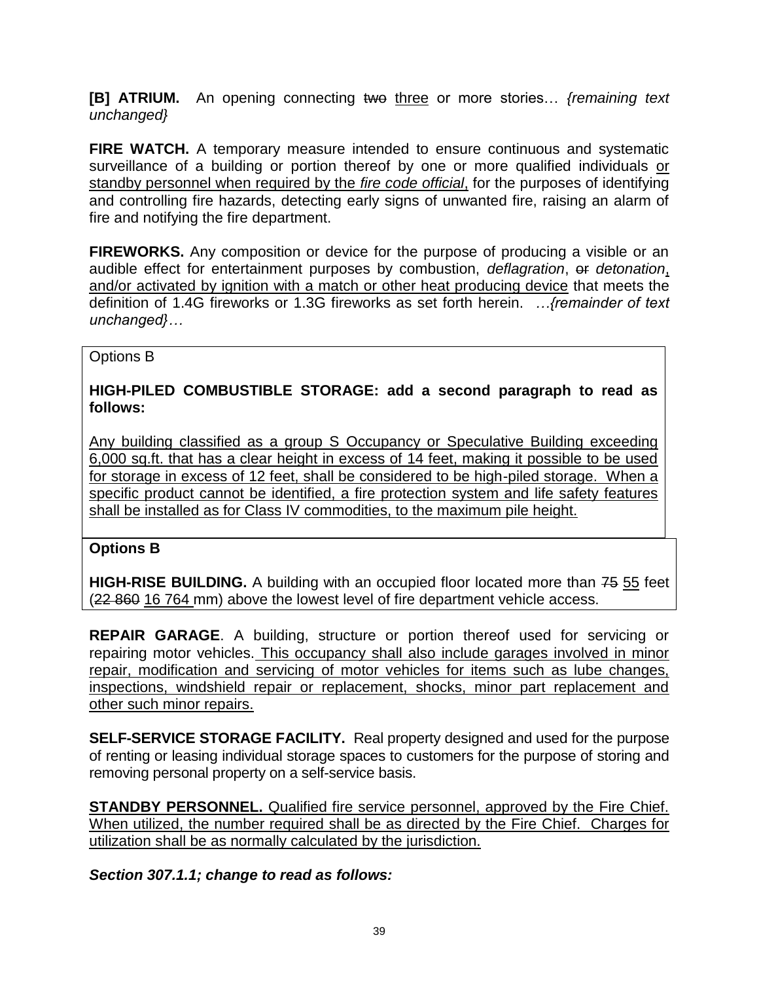**[B] ATRIUM.** An opening connecting two three or more stories… *{remaining text unchanged}*

**FIRE WATCH.** A temporary measure intended to ensure continuous and systematic surveillance of a building or portion thereof by one or more qualified individuals or standby personnel when required by the *fire code official*, for the purposes of identifying and controlling fire hazards, detecting early signs of unwanted fire, raising an alarm of fire and notifying the fire department.

**FIREWORKS.** Any composition or device for the purpose of producing a visible or an audible effect for entertainment purposes by combustion, *deflagration*, or *detonation*, and/or activated by ignition with a match or other heat producing device that meets the definition of 1.4G fireworks or 1.3G fireworks as set forth herein. *…{remainder of text unchanged}…*

### Options B

**HIGH-PILED COMBUSTIBLE STORAGE: add a second paragraph to read as follows:**

Any building classified as a group S Occupancy or Speculative Building exceeding 6,000 sq.ft. that has a clear height in excess of 14 feet, making it possible to be used for storage in excess of 12 feet, shall be considered to be high-piled storage. When a specific product cannot be identified, a fire protection system and life safety features shall be installed as for Class IV commodities, to the maximum pile height.

### **Options B**

**HIGH-RISE BUILDING.** A building with an occupied floor located more than 75 55 feet (22 860 16 764 mm) above the lowest level of fire department vehicle access.

**REPAIR GARAGE**. A building, structure or portion thereof used for servicing or repairing motor vehicles. This occupancy shall also include garages involved in minor repair, modification and servicing of motor vehicles for items such as lube changes, inspections, windshield repair or replacement, shocks, minor part replacement and other such minor repairs.

**SELF-SERVICE STORAGE FACILITY.** Real property designed and used for the purpose of renting or leasing individual storage spaces to customers for the purpose of storing and removing personal property on a self-service basis.

**STANDBY PERSONNEL.** Qualified fire service personnel, approved by the Fire Chief. When utilized, the number required shall be as directed by the Fire Chief. Charges for utilization shall be as normally calculated by the jurisdiction.

*Section 307.1.1; change to read as follows:*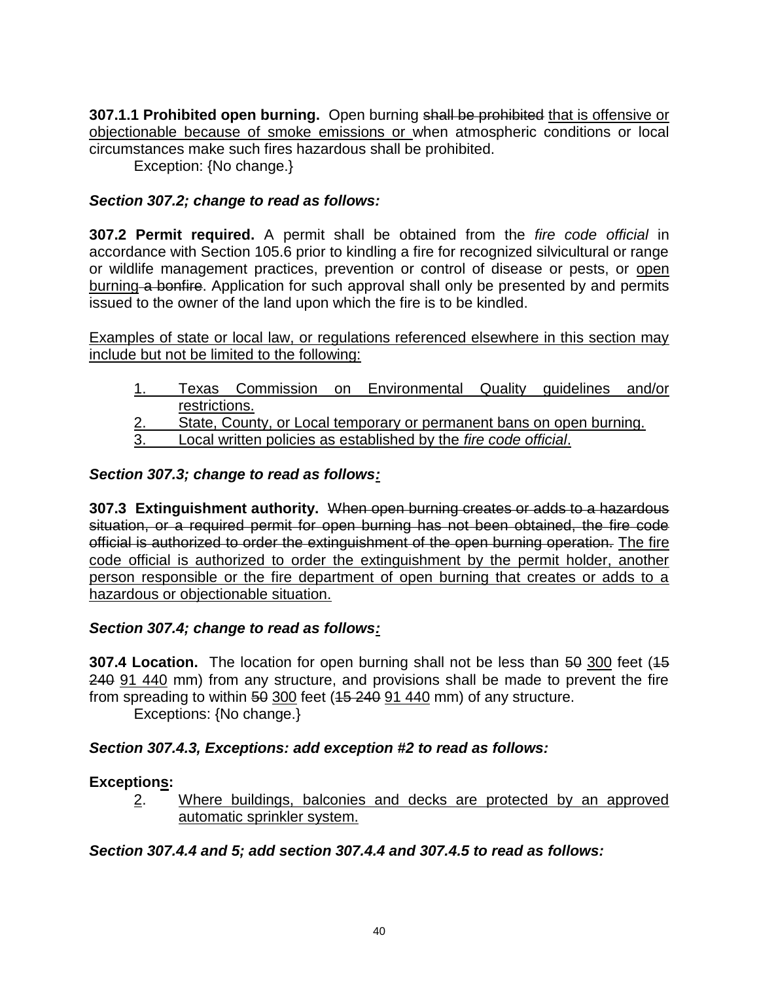**307.1.1 Prohibited open burning.** Open burning shall be prohibited that is offensive or objectionable because of smoke emissions or when atmospheric conditions or local circumstances make such fires hazardous shall be prohibited.

Exception: {No change.}

### *Section 307.2; change to read as follows:*

**307.2 Permit required.** A permit shall be obtained from the *fire code official* in accordance with Section 105.6 prior to kindling a fire for recognized silvicultural or range or wildlife management practices, prevention or control of disease or pests, or open burning a bonfire. Application for such approval shall only be presented by and permits issued to the owner of the land upon which the fire is to be kindled.

Examples of state or local law, or regulations referenced elsewhere in this section may include but not be limited to the following:

- 1. Texas Commission on Environmental Quality guidelines and/or restrictions.
- 2. State, County, or Local temporary or permanent bans on open burning.
- 3. Local written policies as established by the *fire code official*.

### *Section 307.3; change to read as follows:*

**307.3 Extinguishment authority.** When open burning creates or adds to a hazardous situation, or a required permit for open burning has not been obtained, the fire code official is authorized to order the extinguishment of the open burning operation. The fire code official is authorized to order the extinguishment by the permit holder, another person responsible or the fire department of open burning that creates or adds to a hazardous or objectionable situation.

### *Section 307.4; change to read as follows:*

**307.4 Location.** The location for open burning shall not be less than 50 300 feet (15 240 91 440 mm) from any structure, and provisions shall be made to prevent the fire from spreading to within  $50,300$  feet ( $15,240,91,440$  mm) of any structure.

Exceptions: {No change.}

### *Section 307.4.3, Exceptions: add exception #2 to read as follows:*

### **Exceptions:**

2. Where buildings, balconies and decks are protected by an approved automatic sprinkler system.

### *Section 307.4.4 and 5; add section 307.4.4 and 307.4.5 to read as follows:*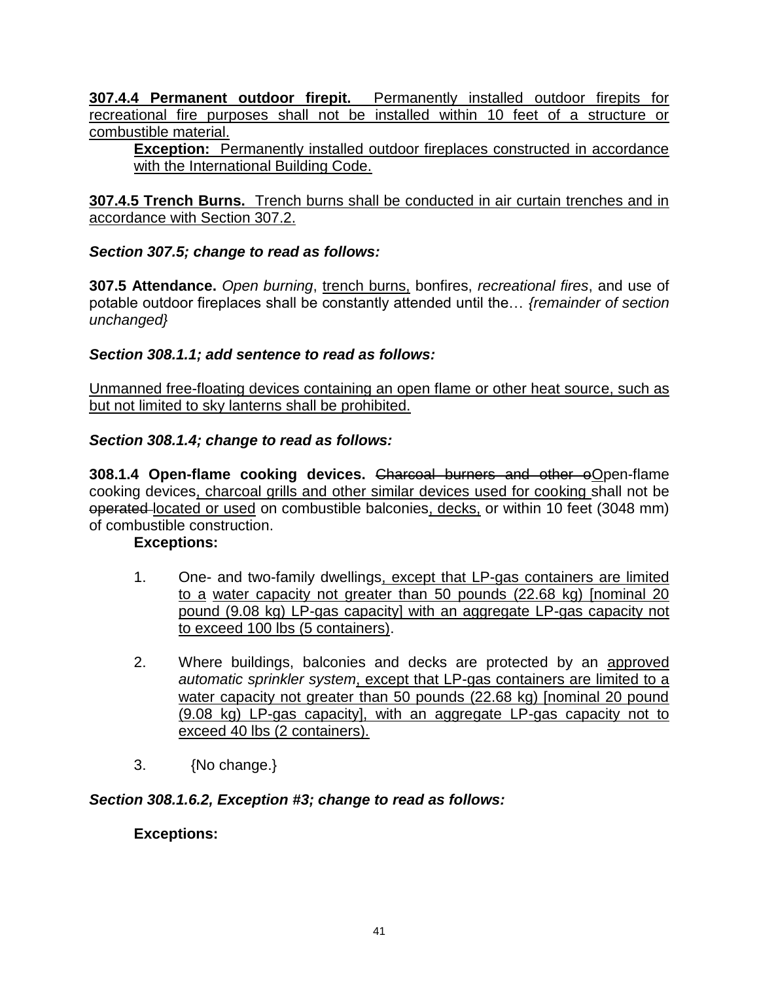**307.4.4 Permanent outdoor firepit.** Permanently installed outdoor firepits for recreational fire purposes shall not be installed within 10 feet of a structure or combustible material.

**Exception:** Permanently installed outdoor fireplaces constructed in accordance with the International Building Code.

**307.4.5 Trench Burns.** Trench burns shall be conducted in air curtain trenches and in accordance with Section 307.2.

### *Section 307.5; change to read as follows:*

**307.5 Attendance.** *Open burning*, trench burns, bonfires, *recreational fires*, and use of potable outdoor fireplaces shall be constantly attended until the… *{remainder of section unchanged}*

### *Section 308.1.1; add sentence to read as follows:*

Unmanned free-floating devices containing an open flame or other heat source, such as but not limited to sky lanterns shall be prohibited.

### *Section 308.1.4; change to read as follows:*

**308.1.4 Open-flame cooking devices.** Charcoal burners and other oOpen-flame cooking devices, charcoal grills and other similar devices used for cooking shall not be operated located or used on combustible balconies, decks, or within 10 feet (3048 mm) of combustible construction.

#### **Exceptions:**

- 1. One- and two-family dwellings, except that LP-gas containers are limited to a water capacity not greater than 50 pounds (22.68 kg) [nominal 20 pound (9.08 kg) LP-gas capacity] with an aggregate LP-gas capacity not to exceed 100 lbs (5 containers).
- 2. Where buildings, balconies and decks are protected by an approved *automatic sprinkler system*, except that LP-gas containers are limited to a water capacity not greater than 50 pounds (22.68 kg) [nominal 20 pound (9.08 kg) LP-gas capacity], with an aggregate LP-gas capacity not to exceed 40 lbs (2 containers).
- 3. {No change.}

#### *Section 308.1.6.2, Exception #3; change to read as follows:*

#### **Exceptions:**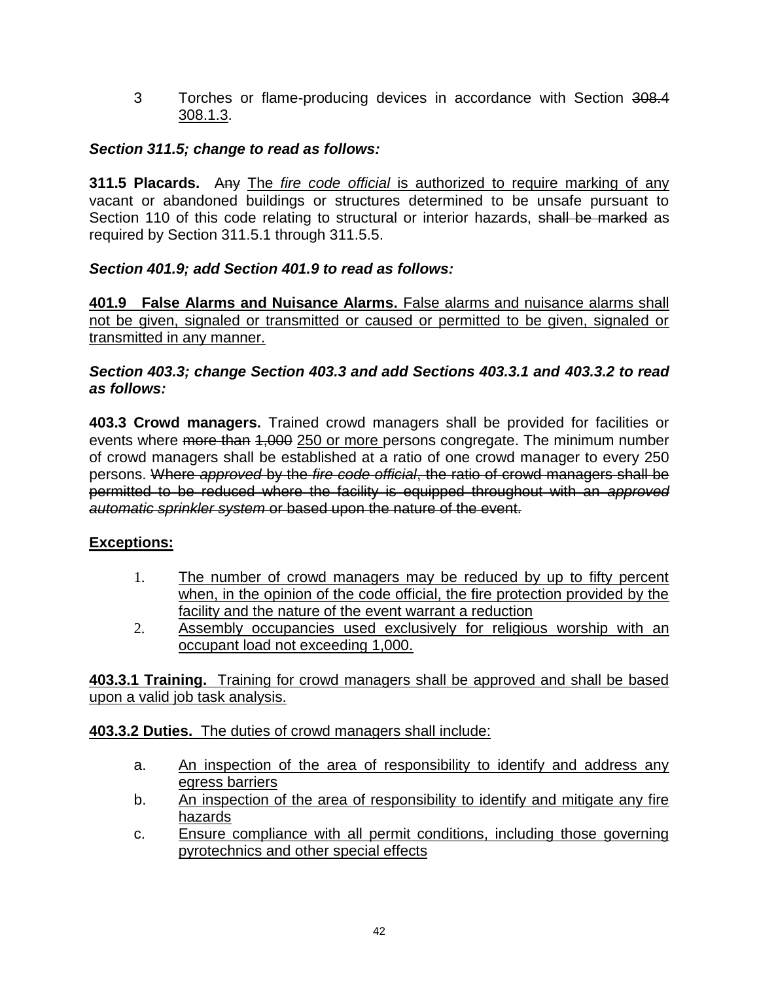3 Torches or flame-producing devices in accordance with Section 308.4 308.1.3.

### *Section 311.5; change to read as follows:*

**311.5 Placards.** Any The *fire code official* is authorized to require marking of any vacant or abandoned buildings or structures determined to be unsafe pursuant to Section 110 of this code relating to structural or interior hazards, shall be marked as required by Section 311.5.1 through 311.5.5.

## *Section 401.9; add Section 401.9 to read as follows:*

**401.9 False Alarms and Nuisance Alarms.** False alarms and nuisance alarms shall not be given, signaled or transmitted or caused or permitted to be given, signaled or transmitted in any manner.

### *Section 403.3; change Section 403.3 and add Sections 403.3.1 and 403.3.2 to read as follows:*

**403.3 Crowd managers.** Trained crowd managers shall be provided for facilities or events where more than 1,000 250 or more persons congregate. The minimum number of crowd managers shall be established at a ratio of one crowd manager to every 250 persons. Where *approved* by the *fire code official*, the ratio of crowd managers shall be permitted to be reduced where the facility is equipped throughout with an *approved automatic sprinkler system* or based upon the nature of the event.

### **Exceptions:**

- 1. The number of crowd managers may be reduced by up to fifty percent when, in the opinion of the code official, the fire protection provided by the facility and the nature of the event warrant a reduction
- 2. Assembly occupancies used exclusively for religious worship with an occupant load not exceeding 1,000.

**403.3.1 Training.** Training for crowd managers shall be approved and shall be based upon a valid job task analysis.

**403.3.2 Duties.** The duties of crowd managers shall include:

- a. An inspection of the area of responsibility to identify and address any egress barriers
- b. An inspection of the area of responsibility to identify and mitigate any fire hazards
- c. Ensure compliance with all permit conditions, including those governing pyrotechnics and other special effects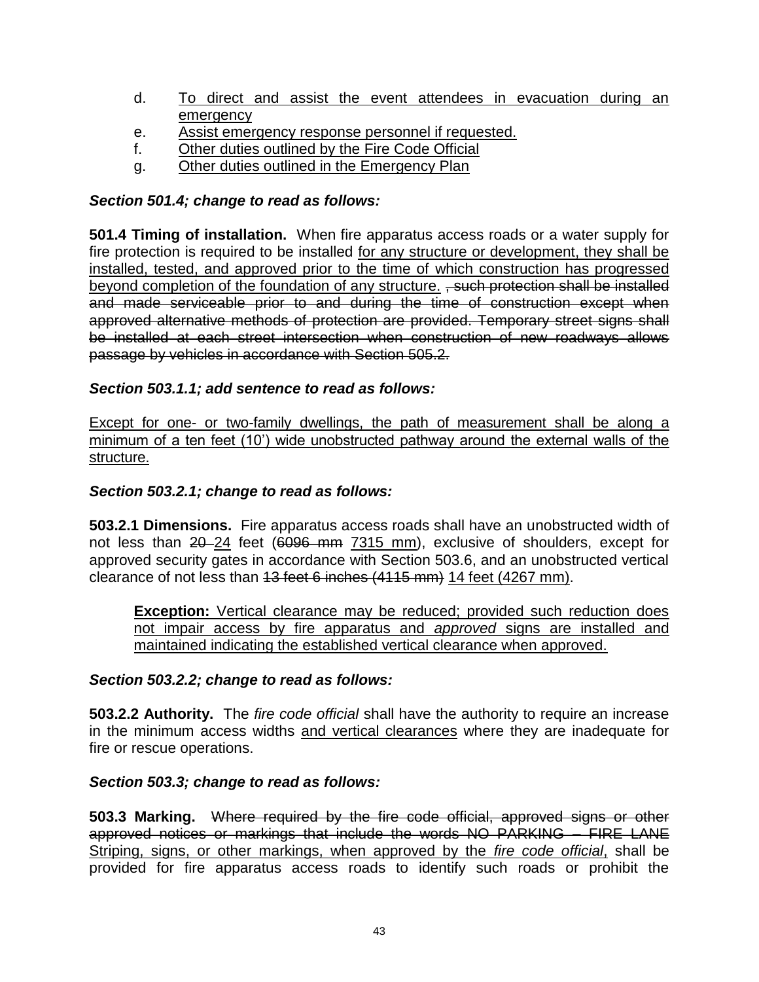- d. To direct and assist the event attendees in evacuation during an emergency
- e. Assist emergency response personnel if requested.
- f. Other duties outlined by the Fire Code Official
- g. Other duties outlined in the Emergency Plan

### *Section 501.4; change to read as follows:*

**501.4 Timing of installation.** When fire apparatus access roads or a water supply for fire protection is required to be installed for any structure or development, they shall be installed, tested, and approved prior to the time of which construction has progressed beyond completion of the foundation of any structure. , such protection shall be installed and made serviceable prior to and during the time of construction except when approved alternative methods of protection are provided. Temporary street signs shall be installed at each street intersection when construction of new roadways allows passage by vehicles in accordance with Section 505.2.

### *Section 503.1.1; add sentence to read as follows:*

Except for one- or two-family dwellings, the path of measurement shall be along a minimum of a ten feet (10') wide unobstructed pathway around the external walls of the structure.

#### *Section 503.2.1; change to read as follows:*

**503.2.1 Dimensions.** Fire apparatus access roads shall have an unobstructed width of not less than 20-24 feet (6096 mm 7315 mm), exclusive of shoulders, except for approved security gates in accordance with Section 503.6, and an unobstructed vertical clearance of not less than 13 feet 6 inches (4115 mm) 14 feet (4267 mm).

**Exception:** Vertical clearance may be reduced; provided such reduction does not impair access by fire apparatus and *approved* signs are installed and maintained indicating the established vertical clearance when approved.

#### *Section 503.2.2; change to read as follows:*

**503.2.2 Authority.** The *fire code official* shall have the authority to require an increase in the minimum access widths and vertical clearances where they are inadequate for fire or rescue operations.

#### *Section 503.3; change to read as follows:*

**503.3 Marking.** Where required by the fire code official, approved signs or other approved notices or markings that include the words NO PARKING – FIRE LANE Striping, signs, or other markings, when approved by the *fire code official*, shall be provided for fire apparatus access roads to identify such roads or prohibit the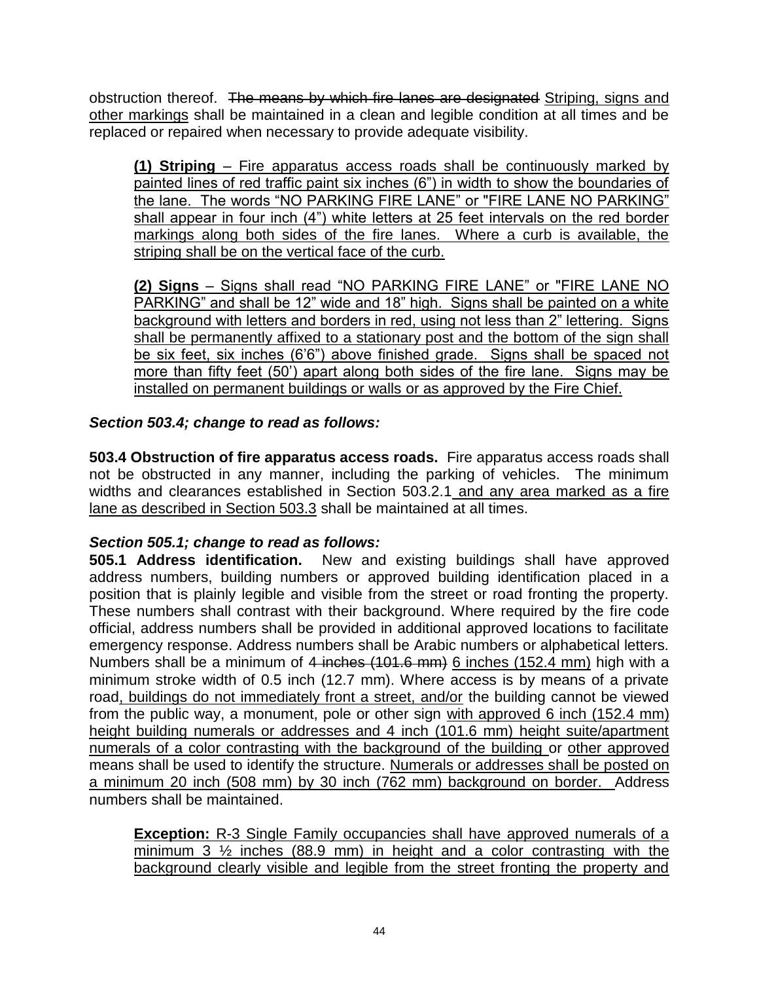obstruction thereof. The means by which fire lanes are designated Striping, signs and other markings shall be maintained in a clean and legible condition at all times and be replaced or repaired when necessary to provide adequate visibility.

**(1) Striping** – Fire apparatus access roads shall be continuously marked by painted lines of red traffic paint six inches (6") in width to show the boundaries of the lane. The words "NO PARKING FIRE LANE" or "FIRE LANE NO PARKING" shall appear in four inch (4") white letters at 25 feet intervals on the red border markings along both sides of the fire lanes. Where a curb is available, the striping shall be on the vertical face of the curb.

**(2) Signs** – Signs shall read "NO PARKING FIRE LANE" or "FIRE LANE NO PARKING" and shall be 12" wide and 18" high. Signs shall be painted on a white background with letters and borders in red, using not less than 2" lettering. Signs shall be permanently affixed to a stationary post and the bottom of the sign shall be six feet, six inches (6'6") above finished grade. Signs shall be spaced not more than fifty feet (50') apart along both sides of the fire lane. Signs may be installed on permanent buildings or walls or as approved by the Fire Chief.

## *Section 503.4; change to read as follows:*

**503.4 Obstruction of fire apparatus access roads.** Fire apparatus access roads shall not be obstructed in any manner, including the parking of vehicles. The minimum widths and clearances established in Section 503.2.1 and any area marked as a fire lane as described in Section 503.3 shall be maintained at all times.

### *Section 505.1; change to read as follows:*

**505.1 Address identification.** New and existing buildings shall have approved address numbers, building numbers or approved building identification placed in a position that is plainly legible and visible from the street or road fronting the property. These numbers shall contrast with their background. Where required by the fire code official, address numbers shall be provided in additional approved locations to facilitate emergency response. Address numbers shall be Arabic numbers or alphabetical letters. Numbers shall be a minimum of 4 inches (101.6 mm) 6 inches (152.4 mm) high with a minimum stroke width of 0.5 inch (12.7 mm). Where access is by means of a private road, buildings do not immediately front a street, and/or the building cannot be viewed from the public way, a monument, pole or other sign with approved 6 inch (152.4 mm) height building numerals or addresses and 4 inch (101.6 mm) height suite/apartment numerals of a color contrasting with the background of the building or other approved means shall be used to identify the structure. Numerals or addresses shall be posted on a minimum 20 inch (508 mm) by 30 inch (762 mm) background on border. Address numbers shall be maintained.

**Exception:** R-3 Single Family occupancies shall have approved numerals of a minimum  $3\frac{1}{2}$  inches (88.9 mm) in height and a color contrasting with the background clearly visible and legible from the street fronting the property and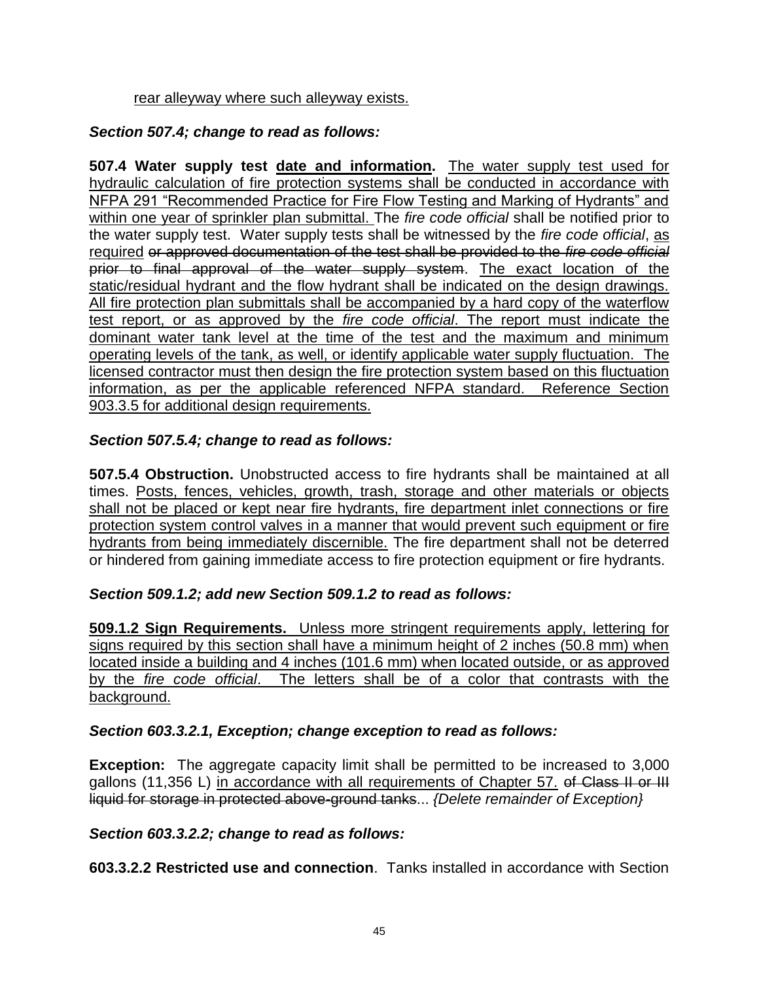#### rear alleyway where such alleyway exists.

### *Section 507.4; change to read as follows:*

**507.4 Water supply test date and information.** The water supply test used for hydraulic calculation of fire protection systems shall be conducted in accordance with NFPA 291 "Recommended Practice for Fire Flow Testing and Marking of Hydrants" and within one year of sprinkler plan submittal. The *fire code official* shall be notified prior to the water supply test. Water supply tests shall be witnessed by the *fire code official*, as required or approved documentation of the test shall be provided to the *fire code official* prior to final approval of the water supply system. The exact location of the static/residual hydrant and the flow hydrant shall be indicated on the design drawings. All fire protection plan submittals shall be accompanied by a hard copy of the waterflow test report, or as approved by the *fire code official*. The report must indicate the dominant water tank level at the time of the test and the maximum and minimum operating levels of the tank, as well, or identify applicable water supply fluctuation. The licensed contractor must then design the fire protection system based on this fluctuation information, as per the applicable referenced NFPA standard. Reference Section 903.3.5 for additional design requirements.

### *Section 507.5.4; change to read as follows:*

**507.5.4 Obstruction.** Unobstructed access to fire hydrants shall be maintained at all times. Posts, fences, vehicles, growth, trash, storage and other materials or objects shall not be placed or kept near fire hydrants, fire department inlet connections or fire protection system control valves in a manner that would prevent such equipment or fire hydrants from being immediately discernible. The fire department shall not be deterred or hindered from gaining immediate access to fire protection equipment or fire hydrants.

### *Section 509.1.2; add new Section 509.1.2 to read as follows:*

**509.1.2 Sign Requirements.** Unless more stringent requirements apply, lettering for signs required by this section shall have a minimum height of 2 inches (50.8 mm) when located inside a building and 4 inches (101.6 mm) when located outside, or as approved by the *fire code official*. The letters shall be of a color that contrasts with the background.

#### *Section 603.3.2.1, Exception; change exception to read as follows:*

**Exception:** The aggregate capacity limit shall be permitted to be increased to 3,000 gallons (11,356 L) in accordance with all requirements of Chapter 57. of Class II or III liquid for storage in protected above-ground tanks... *{Delete remainder of Exception}*

#### *Section 603.3.2.2; change to read as follows:*

**603.3.2.2 Restricted use and connection**. Tanks installed in accordance with Section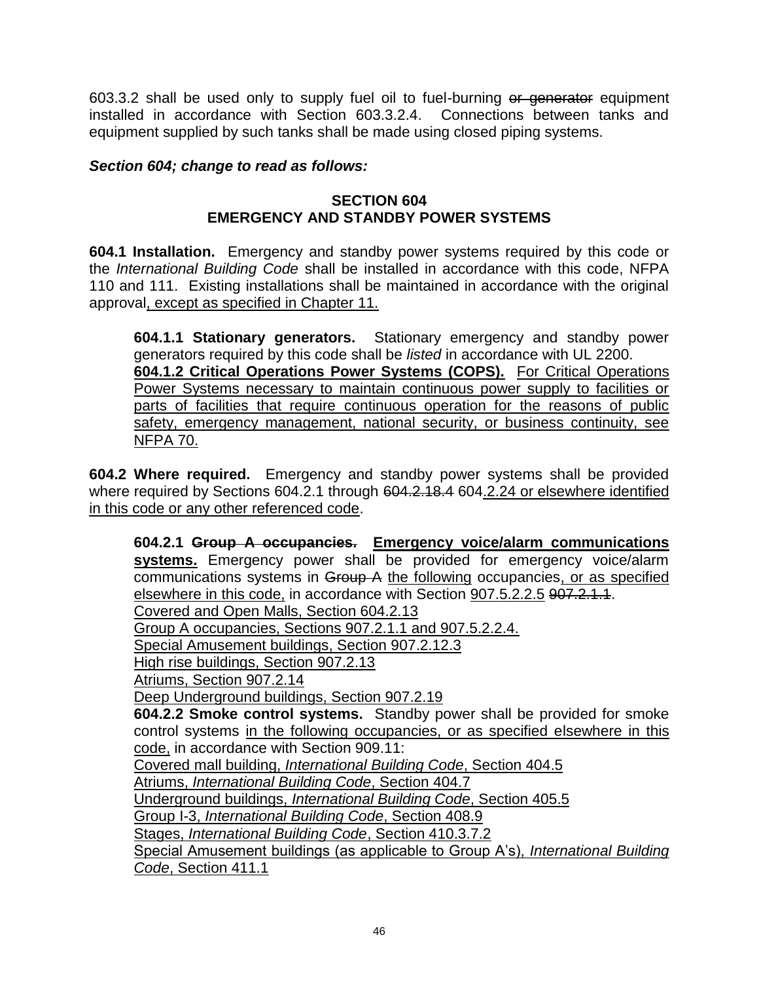603.3.2 shall be used only to supply fuel oil to fuel-burning or generator equipment installed in accordance with Section 603.3.2.4. Connections between tanks and equipment supplied by such tanks shall be made using closed piping systems.

### *Section 604; change to read as follows:*

#### **SECTION 604 EMERGENCY AND STANDBY POWER SYSTEMS**

**604.1 Installation.** Emergency and standby power systems required by this code or the *International Building Code* shall be installed in accordance with this code, NFPA 110 and 111. Existing installations shall be maintained in accordance with the original approval, except as specified in Chapter 11.

**604.1.1 Stationary generators.** Stationary emergency and standby power generators required by this code shall be *listed* in accordance with UL 2200. **604.1.2 Critical Operations Power Systems (COPS).** For Critical Operations Power Systems necessary to maintain continuous power supply to facilities or parts of facilities that require continuous operation for the reasons of public safety, emergency management, national security, or business continuity, see NFPA 70.

**604.2 Where required.** Emergency and standby power systems shall be provided where required by Sections 604.2.1 through 604.2.18.4 604.2.24 or elsewhere identified in this code or any other referenced code.

**604.2.1 Group A occupancies. Emergency voice/alarm communications**  systems. Emergency power shall be provided for emergency voice/alarm communications systems in Group A the following occupancies, or as specified elsewhere in this code, in accordance with Section 907.5.2.2.5 907.2.1.1. Covered and Open Malls, Section 604.2.13 Group A occupancies, Sections 907.2.1.1 and 907.5.2.2.4. Special Amusement buildings, Section 907.2.12.3 High rise buildings, Section 907.2.13 Atriums, Section 907.2.14 Deep Underground buildings, Section 907.2.19 **604.2.2 Smoke control systems.** Standby power shall be provided for smoke control systems in the following occupancies, or as specified elsewhere in this code, in accordance with Section 909.11: Covered mall building, *International Building Code*, Section 404.5 Atriums, *International Building Code*, Section 404.7 Underground buildings, *International Building Code*, Section 405.5 Group I-3, *International Building Code*, Section 408.9 Stages, *International Building Code*, Section 410.3.7.2 Special Amusement buildings (as applicable to Group A's), *International Building Code*, Section 411.1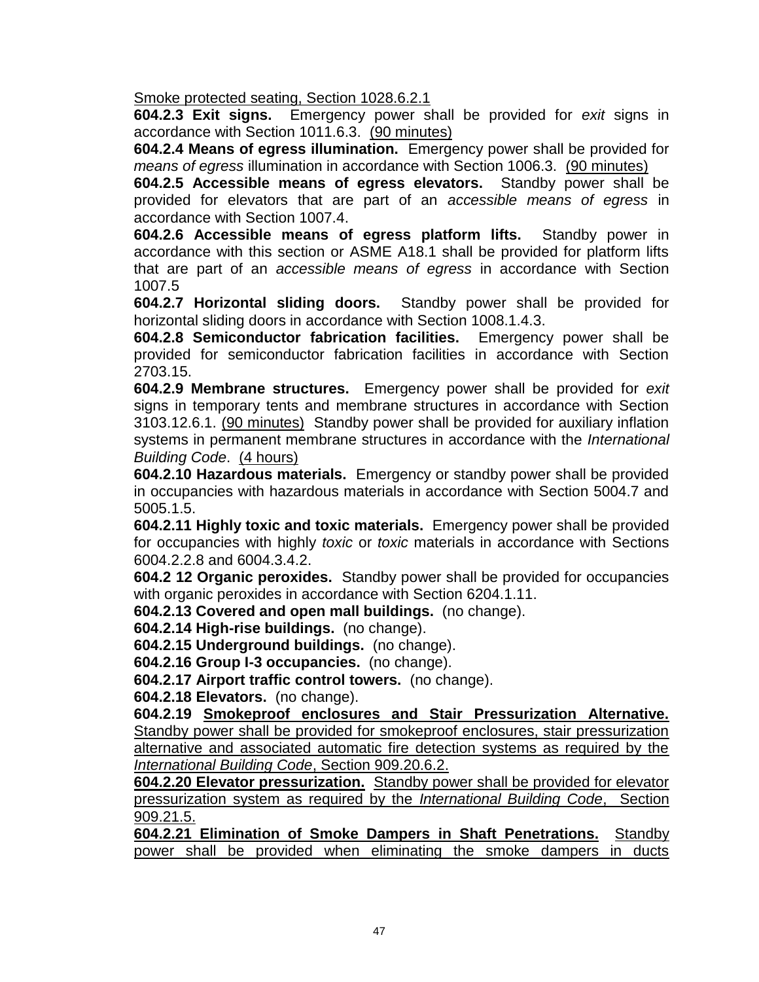Smoke protected seating, Section 1028.6.2.1

**604.2.3 Exit signs.** Emergency power shall be provided for *exit* signs in accordance with Section 1011.6.3. (90 minutes)

**604.2.4 Means of egress illumination.** Emergency power shall be provided for *means of egress* illumination in accordance with Section 1006.3. (90 minutes)

**604.2.5 Accessible means of egress elevators.** Standby power shall be provided for elevators that are part of an *accessible means of egress* in accordance with Section 1007.4.

**604.2.6 Accessible means of egress platform lifts.** Standby power in accordance with this section or ASME A18.1 shall be provided for platform lifts that are part of an *accessible means of egress* in accordance with Section 1007.5

**604.2.7 Horizontal sliding doors.** Standby power shall be provided for horizontal sliding doors in accordance with Section 1008.1.4.3.

**604.2.8 Semiconductor fabrication facilities.** Emergency power shall be provided for semiconductor fabrication facilities in accordance with Section 2703.15.

**604.2.9 Membrane structures.** Emergency power shall be provided for *exit* signs in temporary tents and membrane structures in accordance with Section 3103.12.6.1. (90 minutes) Standby power shall be provided for auxiliary inflation systems in permanent membrane structures in accordance with the *International Building Code*. (4 hours)

**604.2.10 Hazardous materials.** Emergency or standby power shall be provided in occupancies with hazardous materials in accordance with Section 5004.7 and 5005.1.5.

**604.2.11 Highly toxic and toxic materials.** Emergency power shall be provided for occupancies with highly *toxic* or *toxic* materials in accordance with Sections 6004.2.2.8 and 6004.3.4.2.

**604.2 12 Organic peroxides.** Standby power shall be provided for occupancies with organic peroxides in accordance with Section 6204.1.11.

**604.2.13 Covered and open mall buildings.** (no change).

**604.2.14 High-rise buildings.** (no change).

**604.2.15 Underground buildings.** (no change).

**604.2.16 Group I-3 occupancies.** (no change).

**604.2.17 Airport traffic control towers.** (no change).

**604.2.18 Elevators.** (no change).

**604.2.19 Smokeproof enclosures and Stair Pressurization Alternative.** Standby power shall be provided for smokeproof enclosures, stair pressurization alternative and associated automatic fire detection systems as required by the *International Building Code*, Section 909.20.6.2.

**604.2.20 Elevator pressurization.** Standby power shall be provided for elevator pressurization system as required by the *International Building Code*, Section 909.21.5.

**604.2.21 Elimination of Smoke Dampers in Shaft Penetrations.** Standby power shall be provided when eliminating the smoke dampers in ducts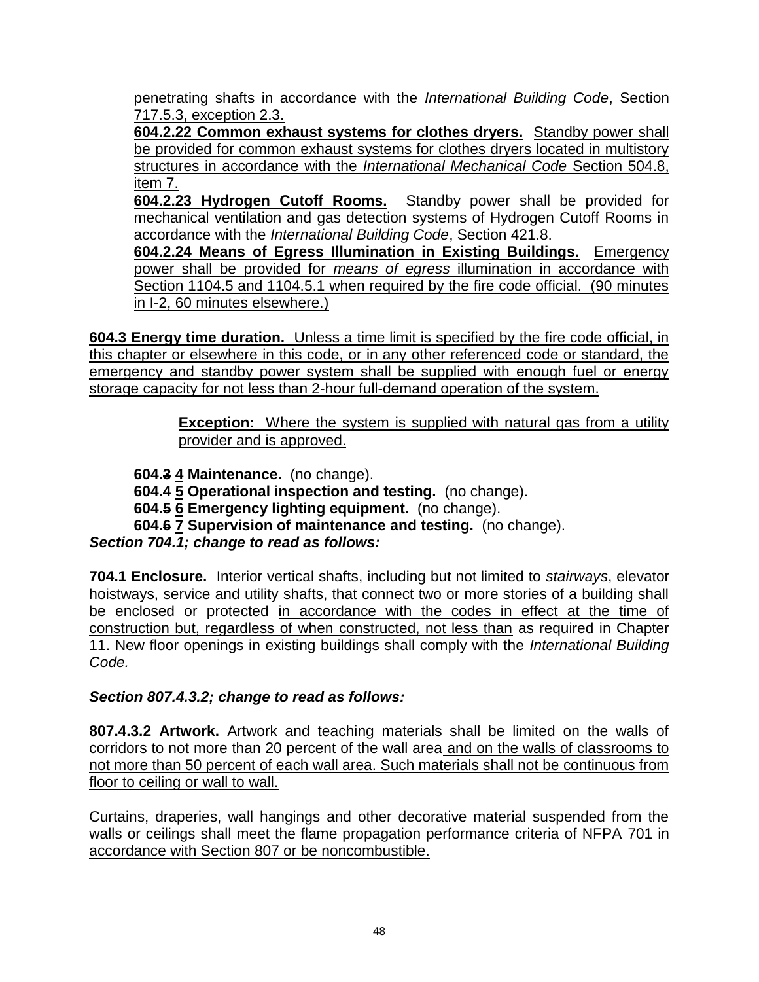penetrating shafts in accordance with the *International Building Code*, Section 717.5.3, exception 2.3.

**604.2.22 Common exhaust systems for clothes dryers.** Standby power shall be provided for common exhaust systems for clothes dryers located in multistory structures in accordance with the *International Mechanical Code* Section 504.8, item 7.

**604.2.23 Hydrogen Cutoff Rooms.** Standby power shall be provided for mechanical ventilation and gas detection systems of Hydrogen Cutoff Rooms in accordance with the *International Building Code*, Section 421.8.

**604.2.24 Means of Egress Illumination in Existing Buildings.** Emergency power shall be provided for *means of egress* illumination in accordance with Section 1104.5 and 1104.5.1 when required by the fire code official. (90 minutes in I-2, 60 minutes elsewhere.)

**604.3 Energy time duration.** Unless a time limit is specified by the fire code official, in this chapter or elsewhere in this code, or in any other referenced code or standard, the emergency and standby power system shall be supplied with enough fuel or energy storage capacity for not less than 2-hour full-demand operation of the system.

> **Exception:** Where the system is supplied with natural gas from a utility provider and is approved.

**604.3 4 Maintenance.** (no change). **604.4 5 Operational inspection and testing.** (no change). **604.5 6 Emergency lighting equipment.** (no change). **604.6 7 Supervision of maintenance and testing.** (no change). *Section 704.1; change to read as follows:*

**704.1 Enclosure.** Interior vertical shafts, including but not limited to *stairways*, elevator hoistways, service and utility shafts, that connect two or more stories of a building shall be enclosed or protected in accordance with the codes in effect at the time of construction but, regardless of when constructed, not less than as required in Chapter 11. New floor openings in existing buildings shall comply with the *International Building Code.*

*Section 807.4.3.2; change to read as follows:*

**807.4.3.2 Artwork.** Artwork and teaching materials shall be limited on the walls of corridors to not more than 20 percent of the wall area and on the walls of classrooms to not more than 50 percent of each wall area. Such materials shall not be continuous from floor to ceiling or wall to wall.

Curtains, draperies, wall hangings and other decorative material suspended from the walls or ceilings shall meet the flame propagation performance criteria of NFPA 701 in accordance with Section 807 or be noncombustible.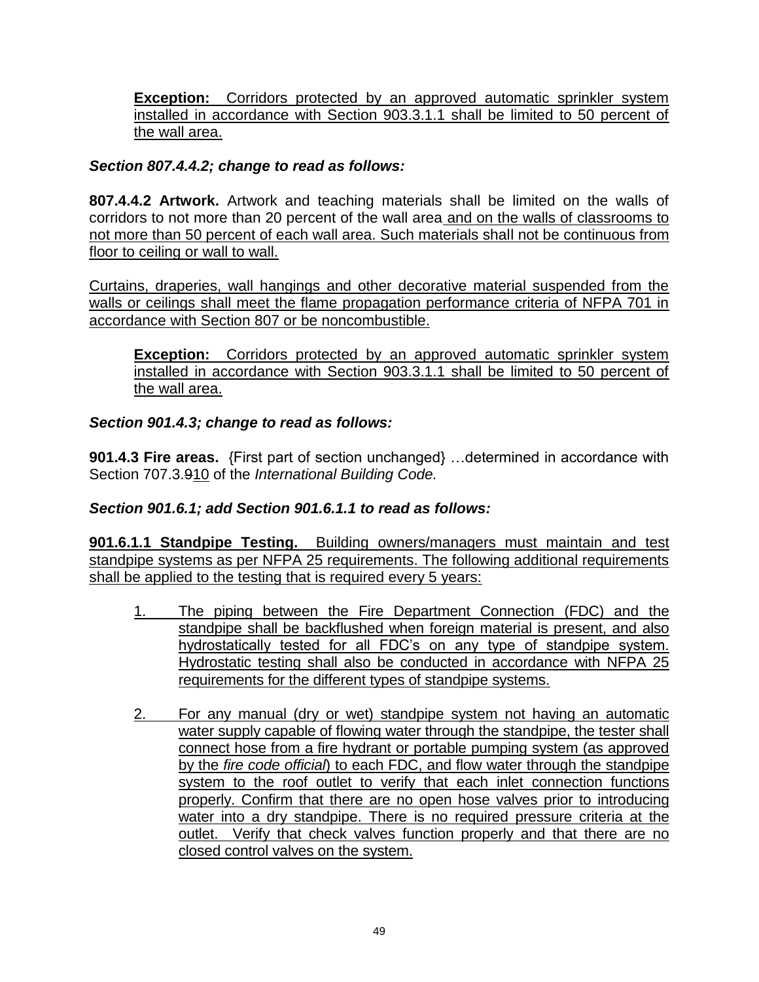**Exception:** Corridors protected by an approved automatic sprinkler system installed in accordance with Section 903.3.1.1 shall be limited to 50 percent of the wall area.

### *Section 807.4.4.2; change to read as follows:*

**807.4.4.2 Artwork.** Artwork and teaching materials shall be limited on the walls of corridors to not more than 20 percent of the wall area and on the walls of classrooms to not more than 50 percent of each wall area. Such materials shall not be continuous from floor to ceiling or wall to wall.

Curtains, draperies, wall hangings and other decorative material suspended from the walls or ceilings shall meet the flame propagation performance criteria of NFPA 701 in accordance with Section 807 or be noncombustible.

**Exception:** Corridors protected by an approved automatic sprinkler system installed in accordance with Section 903.3.1.1 shall be limited to 50 percent of the wall area.

### *Section 901.4.3; change to read as follows:*

**901.4.3 Fire areas.** {First part of section unchanged} …determined in accordance with Section 707.3.910 of the *International Building Code.*

### *Section 901.6.1; add Section 901.6.1.1 to read as follows:*

**901.6.1.1 Standpipe Testing.** Building owners/managers must maintain and test standpipe systems as per NFPA 25 requirements. The following additional requirements shall be applied to the testing that is required every 5 years:

- 1. The piping between the Fire Department Connection (FDC) and the standpipe shall be backflushed when foreign material is present, and also hydrostatically tested for all FDC's on any type of standpipe system. Hydrostatic testing shall also be conducted in accordance with NFPA 25 requirements for the different types of standpipe systems.
- 2. For any manual (dry or wet) standpipe system not having an automatic water supply capable of flowing water through the standpipe, the tester shall connect hose from a fire hydrant or portable pumping system (as approved by the *fire code official*) to each FDC, and flow water through the standpipe system to the roof outlet to verify that each inlet connection functions properly. Confirm that there are no open hose valves prior to introducing water into a dry standpipe. There is no required pressure criteria at the outlet. Verify that check valves function properly and that there are no closed control valves on the system.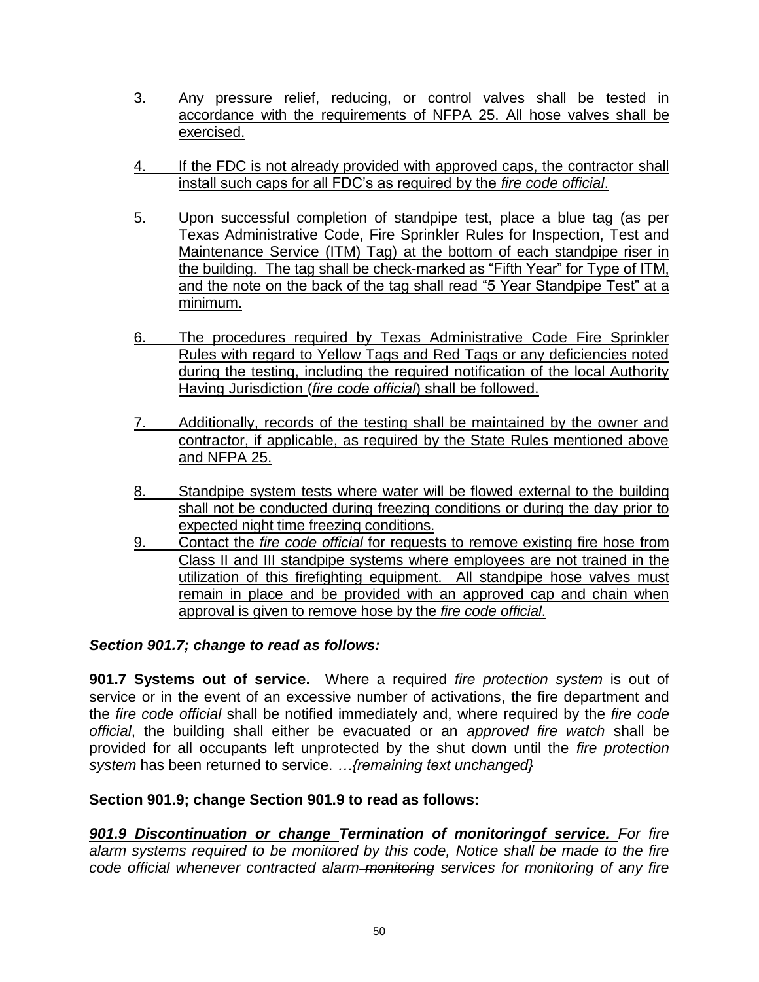- 3. Any pressure relief, reducing, or control valves shall be tested in accordance with the requirements of NFPA 25. All hose valves shall be exercised.
- 4. If the FDC is not already provided with approved caps, the contractor shall install such caps for all FDC's as required by the *fire code official*.
- 5. Upon successful completion of standpipe test, place a blue tag (as per Texas Administrative Code, Fire Sprinkler Rules for Inspection, Test and Maintenance Service (ITM) Tag) at the bottom of each standpipe riser in the building. The tag shall be check-marked as "Fifth Year" for Type of ITM, and the note on the back of the tag shall read "5 Year Standpipe Test" at a minimum.
- 6. The procedures required by Texas Administrative Code Fire Sprinkler Rules with regard to Yellow Tags and Red Tags or any deficiencies noted during the testing, including the required notification of the local Authority Having Jurisdiction (*fire code official*) shall be followed.
- 7. Additionally, records of the testing shall be maintained by the owner and contractor, if applicable, as required by the State Rules mentioned above and NFPA 25.
- 8. Standpipe system tests where water will be flowed external to the building shall not be conducted during freezing conditions or during the day prior to expected night time freezing conditions.
- 9. Contact the *fire code official* for requests to remove existing fire hose from Class II and III standpipe systems where employees are not trained in the utilization of this firefighting equipment. All standpipe hose valves must remain in place and be provided with an approved cap and chain when approval is given to remove hose by the *fire code official*.

#### *Section 901.7; change to read as follows:*

**901.7 Systems out of service.** Where a required *fire protection system* is out of service or in the event of an excessive number of activations, the fire department and the *fire code official* shall be notified immediately and, where required by the *fire code official*, the building shall either be evacuated or an *approved fire watch* shall be provided for all occupants left unprotected by the shut down until the *fire protection system* has been returned to service. *…{remaining text unchanged}*

#### **Section 901.9; change Section 901.9 to read as follows:**

*901.9 Discontinuation or change Termination of monitoringof service. For fire alarm systems required to be monitored by this code, Notice shall be made to the fire code official whenever contracted alarm monitoring services for monitoring of any fire*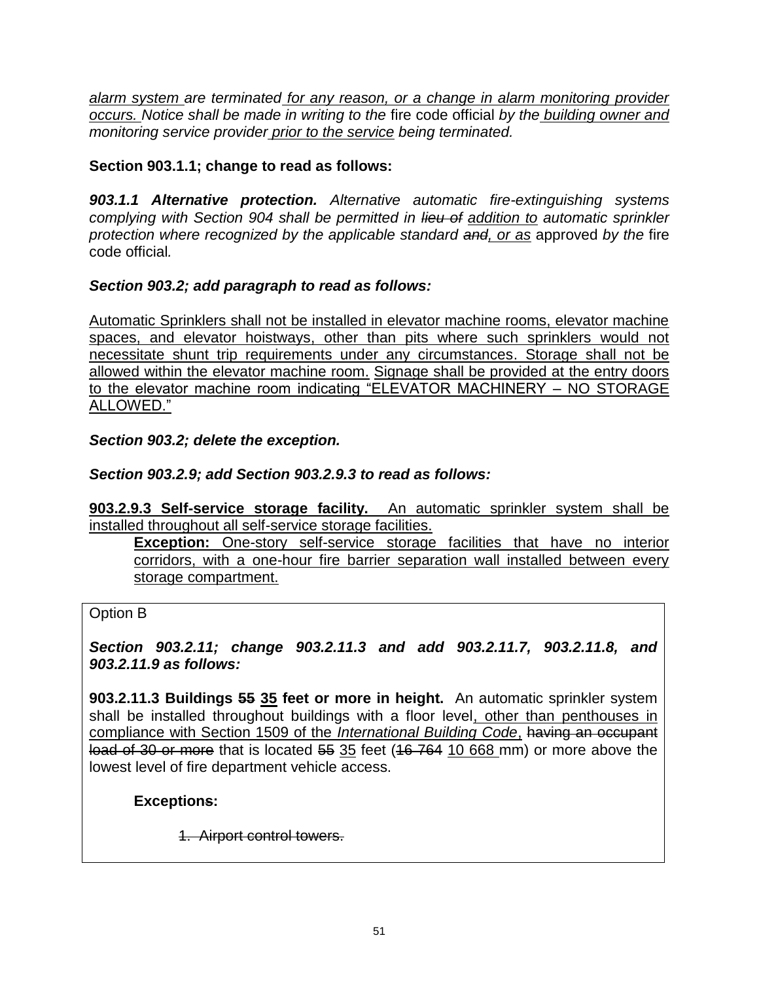*alarm system are terminated for any reason, or a change in alarm monitoring provider occurs. Notice shall be made in writing to the* fire code official *by the building owner and monitoring service provider prior to the service being terminated.*

### **Section 903.1.1; change to read as follows:**

*903.1.1 Alternative protection. Alternative automatic fire-extinguishing systems complying with Section 904 shall be permitted in lieu of addition to automatic sprinkler protection where recognized by the applicable standard and, or as* approved *by the* fire code official*.*

### *Section 903.2; add paragraph to read as follows:*

Automatic Sprinklers shall not be installed in elevator machine rooms, elevator machine spaces, and elevator hoistways, other than pits where such sprinklers would not necessitate shunt trip requirements under any circumstances. Storage shall not be allowed within the elevator machine room. Signage shall be provided at the entry doors to the elevator machine room indicating "ELEVATOR MACHINERY – NO STORAGE ALLOWED."

#### *Section 903.2; delete the exception.*

### *Section 903.2.9; add Section 903.2.9.3 to read as follows:*

**903.2.9.3 Self-service storage facility.** An automatic sprinkler system shall be installed throughout all self-service storage facilities.

**Exception:** One-story self-service storage facilities that have no interior corridors, with a one-hour fire barrier separation wall installed between every storage compartment.

#### Option B

#### *Section 903.2.11; change 903.2.11.3 and add 903.2.11.7, 903.2.11.8, and 903.2.11.9 as follows:*

**903.2.11.3 Buildings 55 35 feet or more in height.** An automatic sprinkler system shall be installed throughout buildings with a floor level, other than penthouses in compliance with Section 1509 of the *International Building Code*, having an occupant load of 30 or more that is located 55 35 feet (16 764 10 668 mm) or more above the lowest level of fire department vehicle access.

#### **Exceptions:**

1. Airport control towers.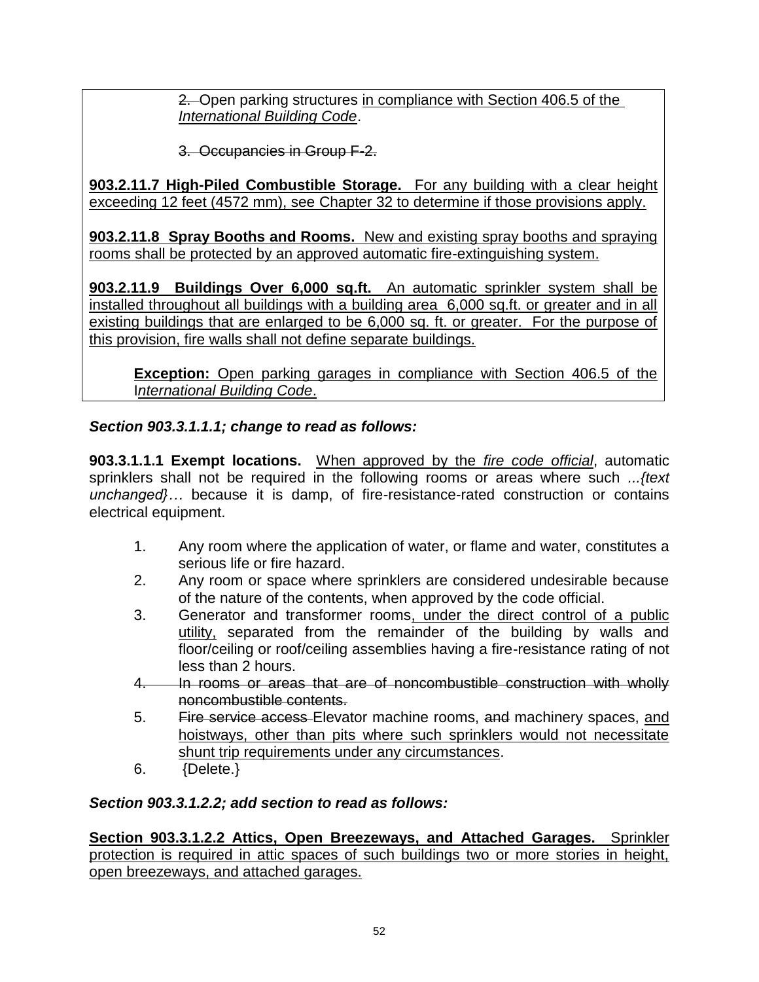2. Open parking structures in compliance with Section 406.5 of the *International Building Code*.

3. Occupancies in Group F-2.

**903.2.11.7 High-Piled Combustible Storage.** For any building with a clear height exceeding 12 feet (4572 mm), see Chapter 32 to determine if those provisions apply.

**903.2.11.8 Spray Booths and Rooms.** New and existing spray booths and spraying rooms shall be protected by an approved automatic fire-extinguishing system.

**903.2.11.9 Buildings Over 6,000 sq.ft.** An automatic sprinkler system shall be installed throughout all buildings with a building area 6,000 sq.ft. or greater and in all existing buildings that are enlarged to be 6,000 sq. ft. or greater. For the purpose of this provision, fire walls shall not define separate buildings.

**Exception:** Open parking garages in compliance with Section 406.5 of the I*nternational Building Code*.

### *Section 903.3.1.1.1; change to read as follows:*

**903.3.1.1.1 Exempt locations.** When approved by the *fire code official*, automatic sprinklers shall not be required in the following rooms or areas where such *...{text unchanged}…* because it is damp, of fire-resistance-rated construction or contains electrical equipment.

- 1. Any room where the application of water, or flame and water, constitutes a serious life or fire hazard.
- 2. Any room or space where sprinklers are considered undesirable because of the nature of the contents, when approved by the code official.
- 3. Generator and transformer rooms, under the direct control of a public utility, separated from the remainder of the building by walls and floor/ceiling or roof/ceiling assemblies having a fire-resistance rating of not less than 2 hours.
- 4. In rooms or areas that are of noncombustible construction with wholly noncombustible contents.
- 5. Fire service access Elevator machine rooms, and machinery spaces, and hoistways, other than pits where such sprinklers would not necessitate shunt trip requirements under any circumstances.
- 6. {Delete.}

### *Section 903.3.1.2.2; add section to read as follows:*

**Section 903.3.1.2.2 Attics, Open Breezeways, and Attached Garages.** Sprinkler protection is required in attic spaces of such buildings two or more stories in height, open breezeways, and attached garages.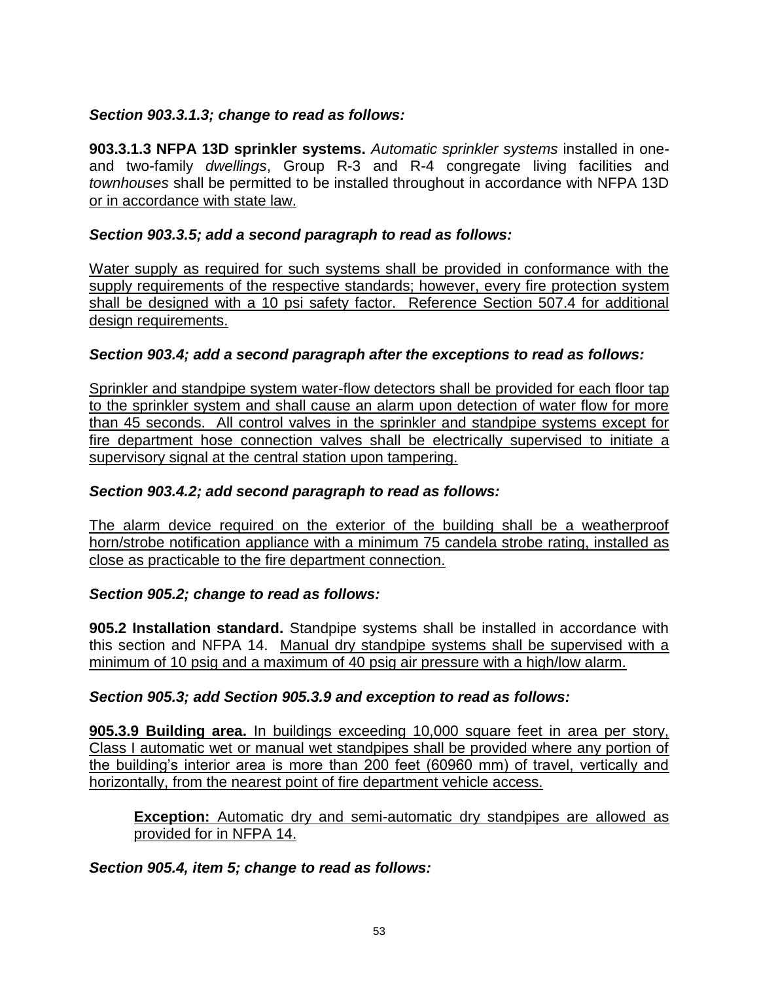### *Section 903.3.1.3; change to read as follows:*

**903.3.1.3 NFPA 13D sprinkler systems.** *Automatic sprinkler systems* installed in oneand two-family *dwellings*, Group R-3 and R-4 congregate living facilities and *townhouses* shall be permitted to be installed throughout in accordance with NFPA 13D or in accordance with state law.

#### *Section 903.3.5; add a second paragraph to read as follows:*

Water supply as required for such systems shall be provided in conformance with the supply requirements of the respective standards; however, every fire protection system shall be designed with a 10 psi safety factor. Reference Section 507.4 for additional design requirements.

### *Section 903.4; add a second paragraph after the exceptions to read as follows:*

Sprinkler and standpipe system water-flow detectors shall be provided for each floor tap to the sprinkler system and shall cause an alarm upon detection of water flow for more than 45 seconds. All control valves in the sprinkler and standpipe systems except for fire department hose connection valves shall be electrically supervised to initiate a supervisory signal at the central station upon tampering.

#### *Section 903.4.2; add second paragraph to read as follows:*

The alarm device required on the exterior of the building shall be a weatherproof horn/strobe notification appliance with a minimum 75 candela strobe rating, installed as close as practicable to the fire department connection.

#### *Section 905.2; change to read as follows:*

**905.2 Installation standard.** Standpipe systems shall be installed in accordance with this section and NFPA 14. Manual dry standpipe systems shall be supervised with a minimum of 10 psig and a maximum of 40 psig air pressure with a high/low alarm.

#### *Section 905.3; add Section 905.3.9 and exception to read as follows:*

**905.3.9 Building area.** In buildings exceeding 10,000 square feet in area per story, Class I automatic wet or manual wet standpipes shall be provided where any portion of the building's interior area is more than 200 feet (60960 mm) of travel, vertically and horizontally, from the nearest point of fire department vehicle access.

**Exception:** Automatic dry and semi-automatic dry standpipes are allowed as provided for in NFPA 14.

*Section 905.4, item 5; change to read as follows:*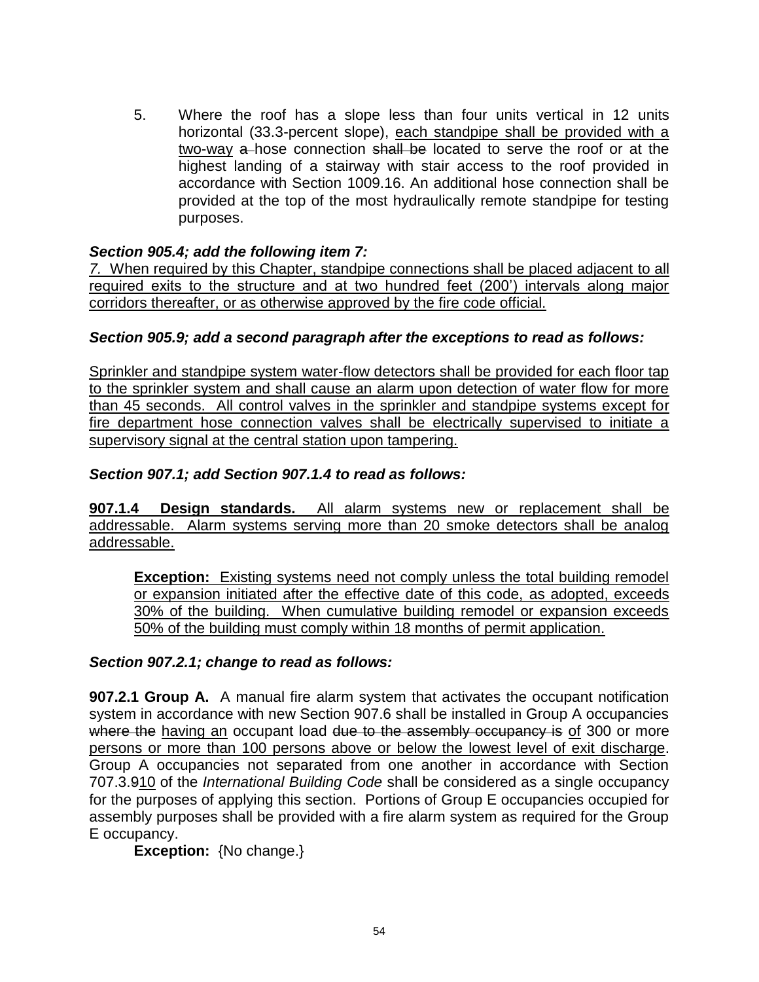5. Where the roof has a slope less than four units vertical in 12 units horizontal (33.3-percent slope), each standpipe shall be provided with a two-way a hose connection shall be located to serve the roof or at the highest landing of a stairway with stair access to the roof provided in accordance with Section 1009.16. An additional hose connection shall be provided at the top of the most hydraulically remote standpipe for testing purposes.

#### *Section 905.4; add the following item 7:*

*7.* When required by this Chapter, standpipe connections shall be placed adjacent to all required exits to the structure and at two hundred feet (200') intervals along major corridors thereafter, or as otherwise approved by the fire code official.

### *Section 905.9; add a second paragraph after the exceptions to read as follows:*

Sprinkler and standpipe system water-flow detectors shall be provided for each floor tap to the sprinkler system and shall cause an alarm upon detection of water flow for more than 45 seconds. All control valves in the sprinkler and standpipe systems except for fire department hose connection valves shall be electrically supervised to initiate a supervisory signal at the central station upon tampering.

#### *Section 907.1; add Section 907.1.4 to read as follows:*

**907.1.4 Design standards.** All alarm systems new or replacement shall be addressable. Alarm systems serving more than 20 smoke detectors shall be analog addressable.

**Exception:** Existing systems need not comply unless the total building remodel or expansion initiated after the effective date of this code, as adopted, exceeds 30% of the building. When cumulative building remodel or expansion exceeds 50% of the building must comply within 18 months of permit application.

#### *Section 907.2.1; change to read as follows:*

**907.2.1 Group A.** A manual fire alarm system that activates the occupant notification system in accordance with new Section 907.6 shall be installed in Group A occupancies where the having an occupant load due to the assembly occupancy is of 300 or more persons or more than 100 persons above or below the lowest level of exit discharge. Group A occupancies not separated from one another in accordance with Section 707.3.910 of the *International Building Code* shall be considered as a single occupancy for the purposes of applying this section. Portions of Group E occupancies occupied for assembly purposes shall be provided with a fire alarm system as required for the Group E occupancy.

**Exception:** {No change.}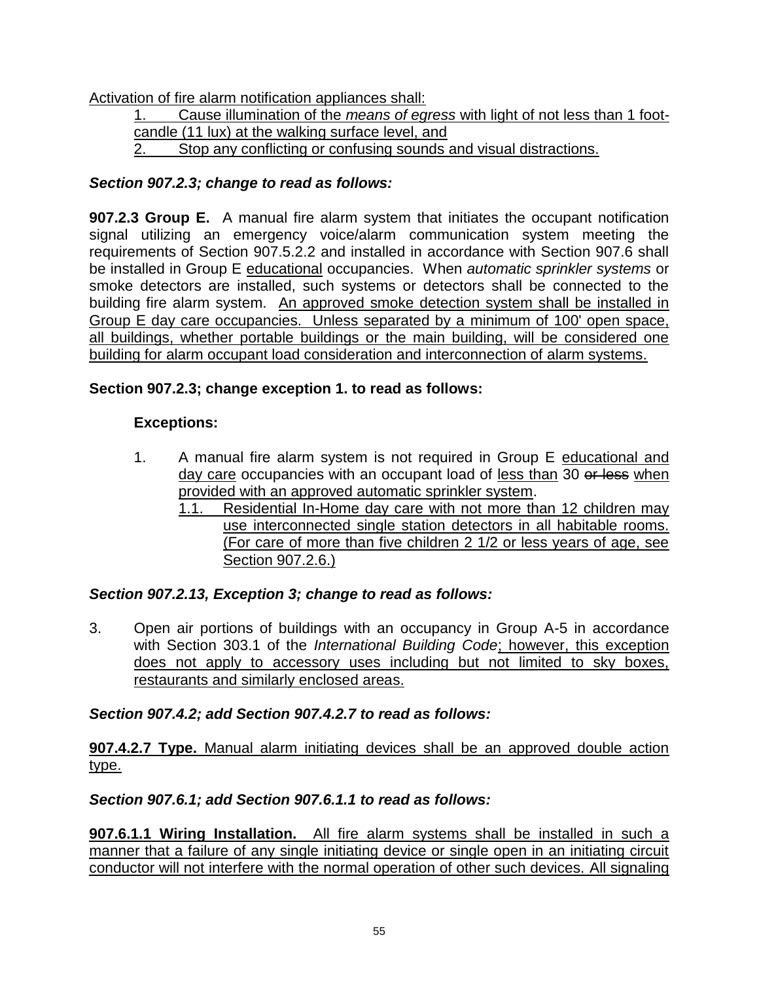Activation of fire alarm notification appliances shall:

1. Cause illumination of the *means of egress* with light of not less than 1 footcandle (11 lux) at the walking surface level, and 2. Stop any conflicting or confusing sounds and visual distractions.

## *Section 907.2.3; change to read as follows:*

**907.2.3 Group E.** A manual fire alarm system that initiates the occupant notification signal utilizing an emergency voice/alarm communication system meeting the requirements of Section 907.5.2.2 and installed in accordance with Section 907.6 shall be installed in Group E educational occupancies. When *automatic sprinkler systems* or smoke detectors are installed, such systems or detectors shall be connected to the building fire alarm system. An approved smoke detection system shall be installed in Group E day care occupancies. Unless separated by a minimum of 100' open space, all buildings, whether portable buildings or the main building, will be considered one building for alarm occupant load consideration and interconnection of alarm systems.

## **Section 907.2.3; change exception 1. to read as follows:**

## **Exceptions:**

- 1. A manual fire alarm system is not required in Group E educational and day care occupancies with an occupant load of less than 30 or less when provided with an approved automatic sprinkler system.
	- 1.1. Residential In-Home day care with not more than 12 children may use interconnected single station detectors in all habitable rooms. (For care of more than five children 2 1/2 or less years of age, see Section 907.2.6.)

## *Section 907.2.13, Exception 3; change to read as follows:*

3. Open air portions of buildings with an occupancy in Group A-5 in accordance with Section 303.1 of the *International Building Code*; however, this exception does not apply to accessory uses including but not limited to sky boxes. restaurants and similarly enclosed areas.

## *Section 907.4.2; add Section 907.4.2.7 to read as follows:*

**907.4.2.7 Type.** Manual alarm initiating devices shall be an approved double action type.

## *Section 907.6.1; add Section 907.6.1.1 to read as follows:*

**907.6.1.1 Wiring Installation.** All fire alarm systems shall be installed in such a manner that a failure of any single initiating device or single open in an initiating circuit conductor will not interfere with the normal operation of other such devices. All signaling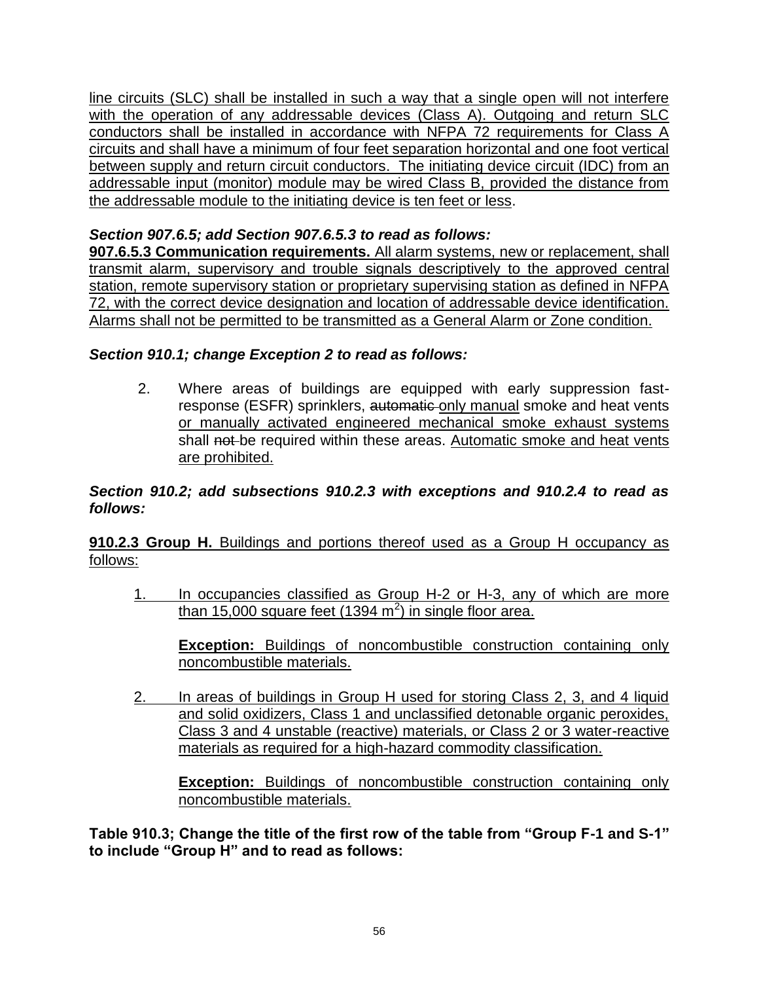line circuits (SLC) shall be installed in such a way that a single open will not interfere with the operation of any addressable devices (Class A). Outgoing and return SLC conductors shall be installed in accordance with NFPA 72 requirements for Class A circuits and shall have a minimum of four feet separation horizontal and one foot vertical between supply and return circuit conductors. The initiating device circuit (IDC) from an addressable input (monitor) module may be wired Class B, provided the distance from the addressable module to the initiating device is ten feet or less.

## *Section 907.6.5; add Section 907.6.5.3 to read as follows:*

**907.6.5.3 Communication requirements.** All alarm systems, new or replacement, shall transmit alarm, supervisory and trouble signals descriptively to the approved central station, remote supervisory station or proprietary supervising station as defined in NFPA 72, with the correct device designation and location of addressable device identification. Alarms shall not be permitted to be transmitted as a General Alarm or Zone condition.

### *Section 910.1; change Exception 2 to read as follows:*

2. Where areas of buildings are equipped with early suppression fastresponse (ESFR) sprinklers, automatic only manual smoke and heat vents or manually activated engineered mechanical smoke exhaust systems shall not be required within these areas. Automatic smoke and heat vents are prohibited.

#### *Section 910.2; add subsections 910.2.3 with exceptions and 910.2.4 to read as follows:*

**910.2.3 Group H.** Buildings and portions thereof used as a Group H occupancy as follows:

1. In occupancies classified as Group H-2 or H-3, any of which are more than 15,000 square feet (1394 m<sup>2</sup>) in single floor area.

**Exception:** Buildings of noncombustible construction containing only noncombustible materials.

2. In areas of buildings in Group H used for storing Class 2, 3, and 4 liquid and solid oxidizers, Class 1 and unclassified detonable organic peroxides, Class 3 and 4 unstable (reactive) materials, or Class 2 or 3 water-reactive materials as required for a high-hazard commodity classification.

**Exception:** Buildings of noncombustible construction containing only noncombustible materials.

**Table 910.3; Change the title of the first row of the table from "Group F-1 and S-1" to include "Group H" and to read as follows:**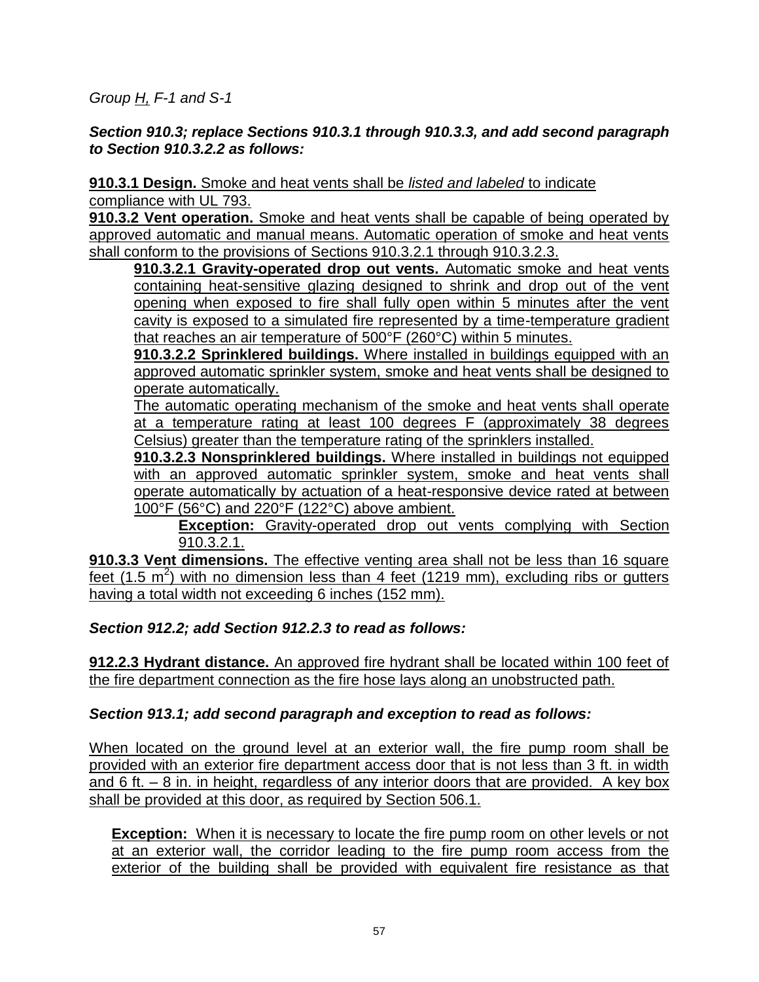*Group H, F-1 and S-1*

### *Section 910.3; replace Sections 910.3.1 through 910.3.3, and add second paragraph to Section 910.3.2.2 as follows:*

**910.3.1 Design.** Smoke and heat vents shall be *listed and labeled* to indicate compliance with UL 793.

**910.3.2 Vent operation.** Smoke and heat vents shall be capable of being operated by approved automatic and manual means. Automatic operation of smoke and heat vents shall conform to the provisions of [Sections 910.3.2.1](javascript:Next() through [910.3.2.3.](javascript:Next()

**910.3.2.1 Gravity-operated drop out vents.** Automatic smoke and heat vents containing heat-sensitive glazing designed to shrink and drop out of the vent opening when exposed to fire shall fully open within 5 minutes after the vent cavity is exposed to a simulated fire represented by a time-temperature gradient that reaches an air temperature of 500°F (260°C) within 5 minutes.

**910.3.2.2 Sprinklered buildings.** Where installed in buildings equipped with an approved automatic sprinkler system, smoke and heat vents shall be designed to operate automatically.

The automatic operating mechanism of the smoke and heat vents shall operate at a temperature rating at least 100 degrees F (approximately 38 degrees Celsius) greater than the temperature rating of the sprinklers installed.

**910.3.2.3 Nonsprinklered buildings.** Where installed in buildings not equipped with an approved automatic sprinkler system, smoke and heat vents shall operate automatically by actuation of a heat-responsive device rated at between 100°F (56°C) and 220°F (122°C) above ambient.

**Exception:** Gravity-operated drop out vents complying with [Section](javascript:Next()  [910.3.2.1.](javascript:Next()

**910.3.3 Vent dimensions.** The effective venting area shall not be less than 16 square feet (1.5  $m^2$ ) with no dimension less than 4 feet (1219 mm), excluding ribs or gutters having a total width not exceeding 6 inches (152 mm).

### *Section 912.2; add Section 912.2.3 to read as follows:*

**912.2.3 Hydrant distance.** An approved fire hydrant shall be located within 100 feet of the fire department connection as the fire hose lays along an unobstructed path.

### *Section 913.1; add second paragraph and exception to read as follows:*

When located on the ground level at an exterior wall, the fire pump room shall be provided with an exterior fire department access door that is not less than 3 ft. in width and 6 ft.  $-$  8 in. in height, regardless of any interior doors that are provided. A key box shall be provided at this door, as required by Section 506.1.

**Exception:** When it is necessary to locate the fire pump room on other levels or not at an exterior wall, the corridor leading to the fire pump room access from the exterior of the building shall be provided with equivalent fire resistance as that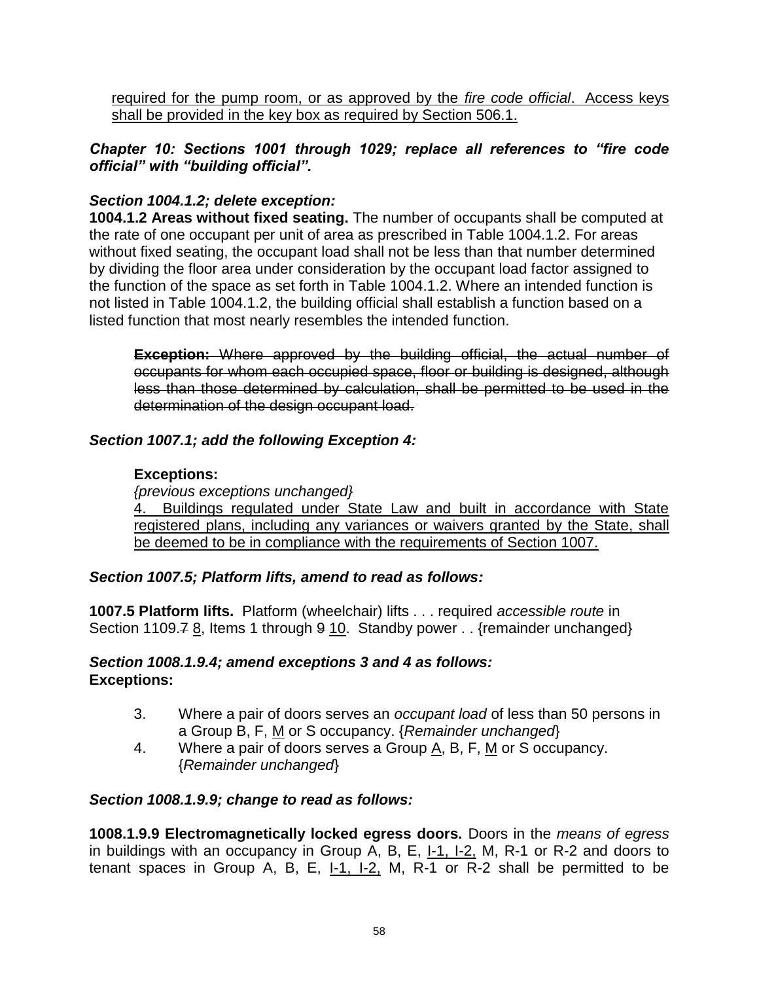required for the pump room, or as approved by the *fire code official*. Access keys shall be provided in the key box as required by Section 506.1.

*Chapter 10: Sections 1001 through 1029; replace all references to "fire code official" with "building official".*

### *Section 1004.1.2; delete exception:*

**1004.1.2 Areas without fixed seating.** The number of occupants shall be computed at the rate of one occupant per unit of area as prescribed in Table 1004.1.2. For areas without fixed seating, the occupant load shall not be less than that number determined by dividing the floor area under consideration by the occupant load factor assigned to the function of the space as set forth in Table 1004.1.2. Where an intended function is not listed in Table 1004.1.2, the building official shall establish a function based on a listed function that most nearly resembles the intended function.

**Exception:** Where approved by the building official, the actual number of occupants for whom each occupied space, floor or building is designed, although less than those determined by calculation, shall be permitted to be used in the determination of the design occupant load.

### *Section 1007.1; add the following Exception 4:*

#### **Exceptions:**

*{previous exceptions unchanged}* 4. Buildings regulated under State Law and built in accordance with State registered plans, including any variances or waivers granted by the State, shall be deemed to be in compliance with the requirements of Section 1007.

#### *Section 1007.5; Platform lifts, amend to read as follows:*

**1007.5 Platform lifts.** Platform (wheelchair) lifts . . . required *accessible route* in Section 1109.7 8, Items 1 through 9 10. Standby power . . {remainder unchanged}

#### *Section 1008.1.9.4; amend exceptions 3 and 4 as follows:* **Exceptions:**

- 3. Where a pair of doors serves an *occupant load* of less than 50 persons in a Group B, F, M or S occupancy. {*Remainder unchanged*}
- 4. Where a pair of doors serves a Group  $\underline{A}$ , B, F, M or S occupancy. {*Remainder unchanged*}

#### *Section 1008.1.9.9; change to read as follows:*

**1008.1.9.9 Electromagnetically locked egress doors.** Doors in the *means of egress* in buildings with an occupancy in Group  $\overline{A}$ , B, E,  $\underline{I}$ , I. $\underline{I}$ , I., R-1 or R-2 and doors to tenant spaces in Group A, B, E, I-1, I-2, M, R-1 or R-2 shall be permitted to be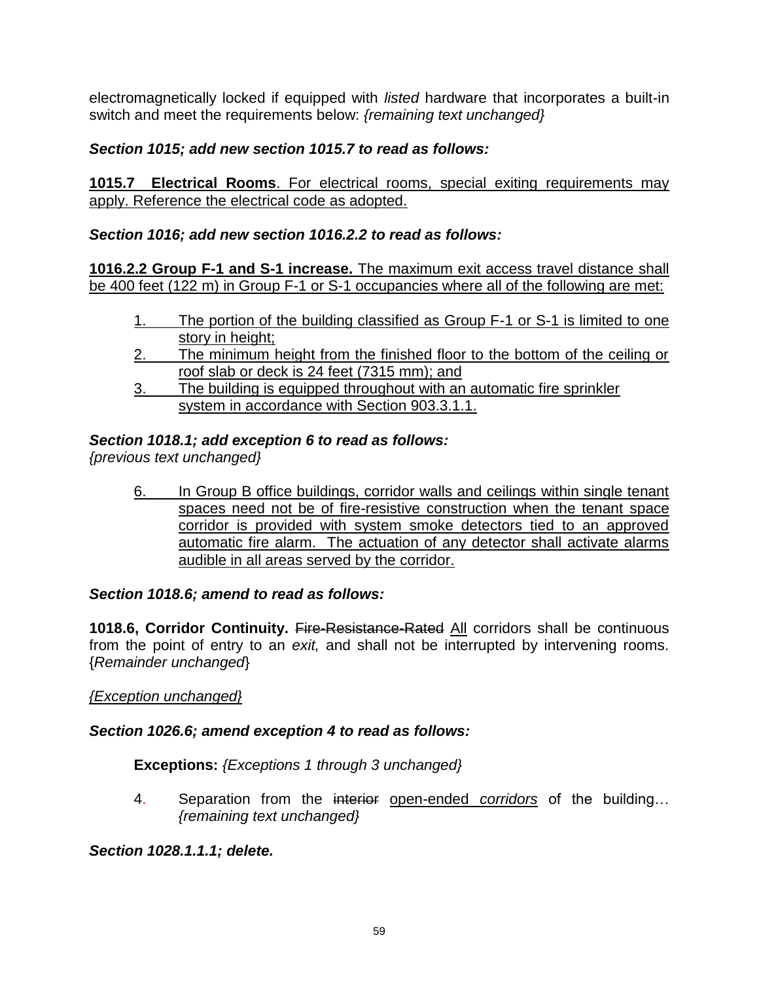electromagnetically locked if equipped with *listed* hardware that incorporates a built-in switch and meet the requirements below: *{remaining text unchanged}*

## *Section 1015; add new section 1015.7 to read as follows:*

**1015.7 Electrical Rooms**. For electrical rooms, special exiting requirements may apply. Reference the electrical code as adopted.

### *Section 1016; add new section 1016.2.2 to read as follows:*

**1016.2.2 Group F-1 and S-1 increase.** The maximum exit access travel distance shall be 400 feet (122 m) in Group F-1 or S-1 occupancies where all of the following are met:

- 1. The portion of the building classified as Group F-1 or S-1 is limited to one story in height:
- 2. The minimum height from the finished floor to the bottom of the ceiling or roof slab or deck is 24 feet (7315 mm); and
- 3. The building is equipped throughout with an automatic fire sprinkler system in accordance with Section 903.3.1.1.

### *Section 1018.1; add exception 6 to read as follows:*

*{previous text unchanged}*

6. In Group B office buildings, corridor walls and ceilings within single tenant spaces need not be of fire-resistive construction when the tenant space corridor is provided with system smoke detectors tied to an approved automatic fire alarm. The actuation of any detector shall activate alarms audible in all areas served by the corridor.

#### *Section 1018.6; amend to read as follows:*

**1018.6. Corridor Continuity.** Fire-Resistance-Rated All corridors shall be continuous from the point of entry to an *exit,* and shall not be interrupted by intervening rooms*.* {*Remainder unchanged*}

#### *{Exception unchanged}*

### *Section 1026.6; amend exception 4 to read as follows:*

### **Exceptions:** *{Exceptions 1 through 3 unchanged}*

4. Separation from the interior open-ended *corridors* of the building… *{remaining text unchanged}*

*Section 1028.1.1.1; delete.*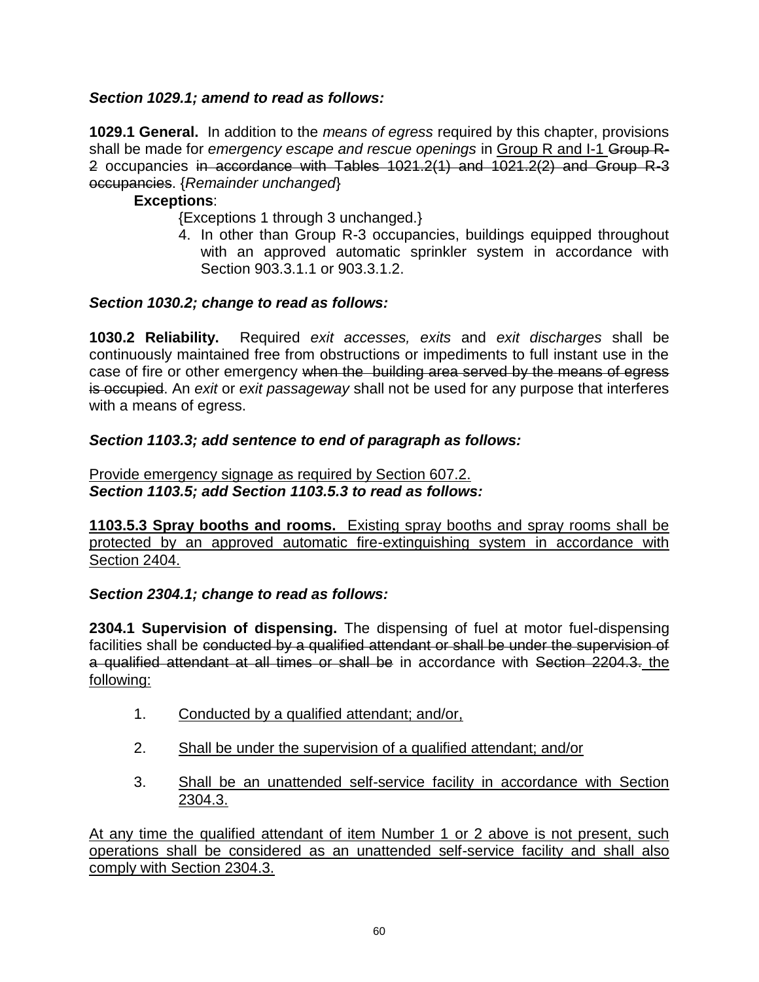### *Section 1029.1; amend to read as follows:*

**1029.1 General.** In addition to the *means of egress* required by this chapter, provisions shall be made for *emergency escape and rescue openings* in Group R and I-1 Group R-2 occupancies in accordance with Tables 1021.2(1) and 1021.2(2) and Group R-3 occupancies. {*Remainder unchanged*}

#### **Exceptions**:

- {Exceptions 1 through 3 unchanged.}
- 4. In other than Group R-3 occupancies, buildings equipped throughout with an approved automatic sprinkler system in accordance with Section 903.3.1.1 or 903.3.1.2.

### *Section 1030.2; change to read as follows:*

**1030.2 Reliability.** Required *exit accesses, exits* and *exit discharges* shall be continuously maintained free from obstructions or impediments to full instant use in the case of fire or other emergency when the building area served by the means of egress is occupied. An *exit* or *exit passageway* shall not be used for any purpose that interferes with a means of egress.

### *Section 1103.3; add sentence to end of paragraph as follows:*

Provide emergency signage as required by Section 607.2. *Section 1103.5; add Section 1103.5.3 to read as follows:*

**1103.5.3 Spray booths and rooms.** Existing spray booths and spray rooms shall be protected by an approved automatic fire-extinguishing system in accordance with Section 2404.

*Section 2304.1; change to read as follows:*

**2304.1 Supervision of dispensing.** The dispensing of fuel at motor fuel-dispensing facilities shall be conducted by a qualified attendant or shall be under the supervision of a qualified attendant at all times or shall be in accordance with Section 2204.3. the following:

- 1. Conducted by a qualified attendant; and/or,
- 2. Shall be under the supervision of a qualified attendant; and/or
- 3. Shall be an unattended self-service facility in accordance with Section 2304.3.

At any time the qualified attendant of item Number 1 or 2 above is not present, such operations shall be considered as an unattended self-service facility and shall also comply with Section 2304.3.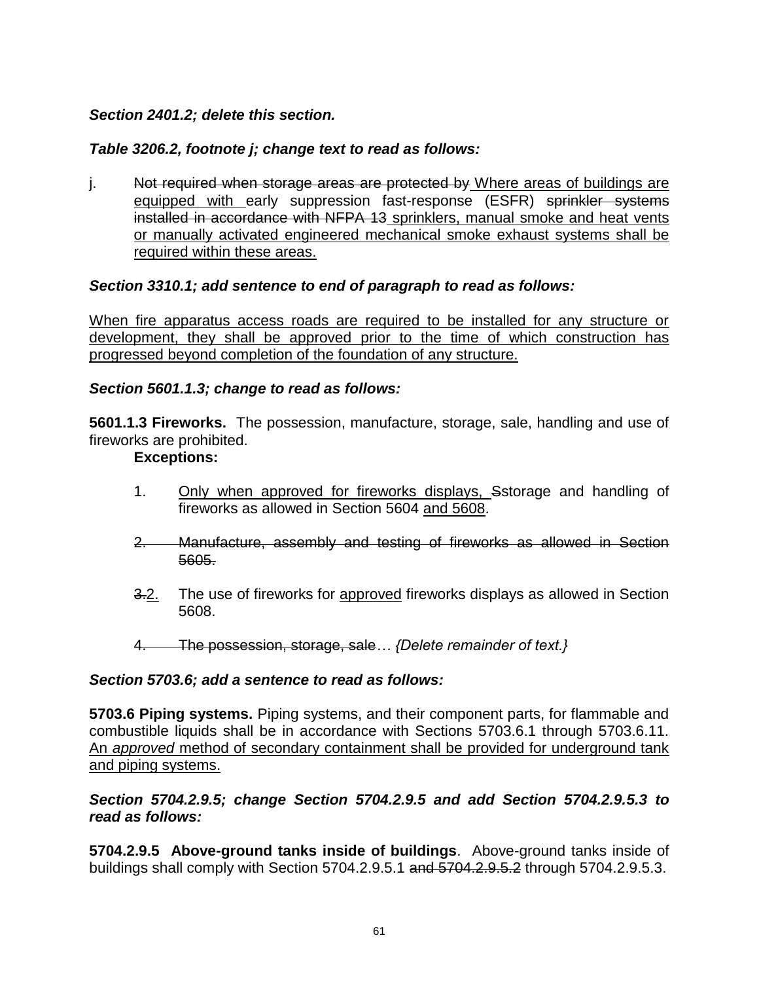### *Section 2401.2; delete this section.*

#### *Table 3206.2, footnote j; change text to read as follows:*

j. Not required when storage areas are protected by Where areas of buildings are equipped with early suppression fast-response (ESFR) sprinkler systems installed in accordance with NFPA 13 sprinklers, manual smoke and heat vents or manually activated engineered mechanical smoke exhaust systems shall be required within these areas.

#### *Section 3310.1; add sentence to end of paragraph to read as follows:*

When fire apparatus access roads are required to be installed for any structure or development, they shall be approved prior to the time of which construction has progressed beyond completion of the foundation of any structure.

#### *Section 5601.1.3; change to read as follows:*

**5601.1.3 Fireworks.** The possession, manufacture, storage, sale, handling and use of fireworks are prohibited.

#### **Exceptions:**

- 1. Only when approved for fireworks displays, Sstorage and handling of fireworks as allowed in Section 5604 and 5608.
- 2. Manufacture, assembly and testing of fireworks as allowed in Section 5605.
- 3.2. The use of fireworks for approved fireworks displays as allowed in Section 5608.
- 4. The possession, storage, sale*… {Delete remainder of text.}*

#### *Section 5703.6; add a sentence to read as follows:*

**5703.6 Piping systems.** Piping systems, and their component parts, for flammable and combustible liquids shall be in accordance with Sections 5703.6.1 through 5703.6.11. An *approved* method of secondary containment shall be provided for underground tank and piping systems.

#### *Section 5704.2.9.5; change Section 5704.2.9.5 and add Section 5704.2.9.5.3 to read as follows:*

**5704.2.9.5 Above-ground tanks inside of buildings**. Above-ground tanks inside of buildings shall comply with Section 5704.2.9.5.1 and 5704.2.9.5.2 through 5704.2.9.5.3.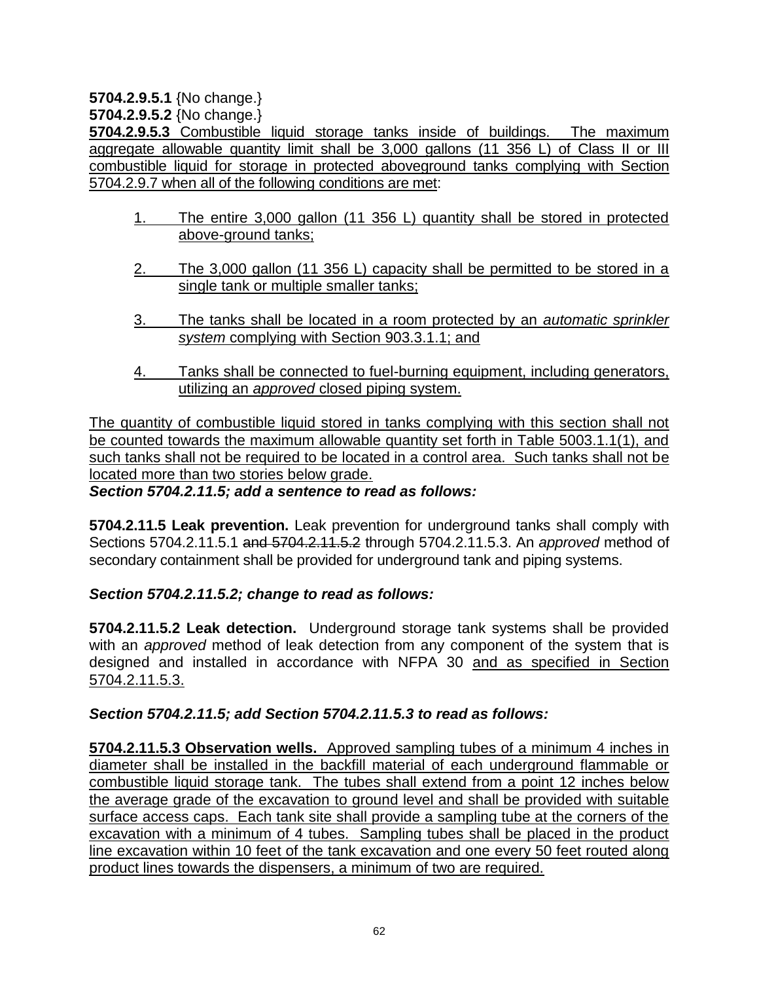**5704.2.9.5.1** {No change.}

**5704.2.9.5.2** {No change.}

**5704.2.9.5.3** Combustible liquid storage tanks inside of buildings. The maximum aggregate allowable quantity limit shall be 3,000 gallons (11 356 L) of Class II or III combustible liquid for storage in protected aboveground tanks complying with Section 5704.2.9.7 when all of the following conditions are met:

- 1. The entire 3,000 gallon (11 356 L) quantity shall be stored in protected above-ground tanks;
- 2. The 3,000 gallon (11 356 L) capacity shall be permitted to be stored in a single tank or multiple smaller tanks;
- 3. The tanks shall be located in a room protected by an *automatic sprinkler system* complying with Section 903.3.1.1; and
- 4. Tanks shall be connected to fuel-burning equipment, including generators, utilizing an *approved* closed piping system.

The quantity of combustible liquid stored in tanks complying with this section shall not be counted towards the maximum allowable quantity set forth in Table 5003.1.1(1), and such tanks shall not be required to be located in a control area. Such tanks shall not be located more than two stories below grade.

*Section 5704.2.11.5; add a sentence to read as follows:*

**5704.2.11.5 Leak prevention.** Leak prevention for underground tanks shall comply with Sections 5704.2.11.5.1 and 5704.2.11.5.2 through 5704.2.11.5.3. An *approved* method of secondary containment shall be provided for underground tank and piping systems.

*Section 5704.2.11.5.2; change to read as follows:*

**5704.2.11.5.2 Leak detection.** Underground storage tank systems shall be provided with an *approved* method of leak detection from any component of the system that is designed and installed in accordance with NFPA 30 and as specified in Section 5704.2.11.5.3.

### *Section 5704.2.11.5; add Section 5704.2.11.5.3 to read as follows:*

**5704.2.11.5.3 Observation wells.** Approved sampling tubes of a minimum 4 inches in diameter shall be installed in the backfill material of each underground flammable or combustible liquid storage tank. The tubes shall extend from a point 12 inches below the average grade of the excavation to ground level and shall be provided with suitable surface access caps. Each tank site shall provide a sampling tube at the corners of the excavation with a minimum of 4 tubes. Sampling tubes shall be placed in the product line excavation within 10 feet of the tank excavation and one every 50 feet routed along product lines towards the dispensers, a minimum of two are required.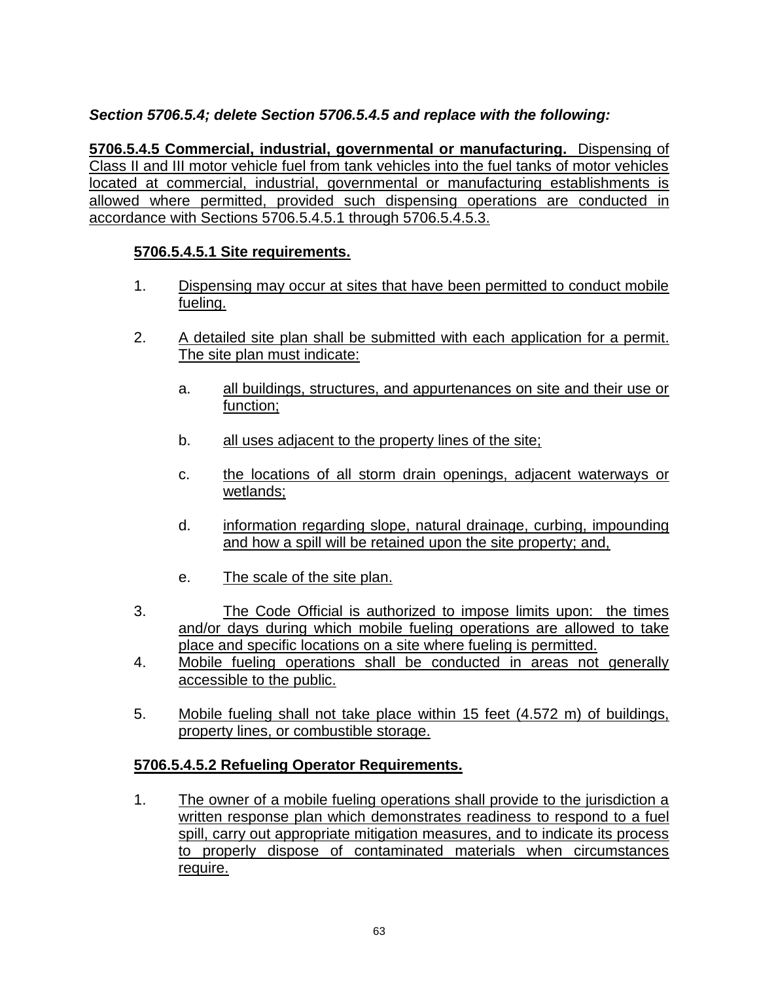### *Section 5706.5.4; delete Section 5706.5.4.5 and replace with the following:*

**5706.5.4.5 Commercial, industrial, governmental or manufacturing.** Dispensing of Class II and III motor vehicle fuel from tank vehicles into the fuel tanks of motor vehicles located at commercial, industrial, governmental or manufacturing establishments is allowed where permitted, provided such dispensing operations are conducted in accordance with Sections 5706.5.4.5.1 through 5706.5.4.5.3.

### **5706.5.4.5.1 Site requirements.**

- 1. Dispensing may occur at sites that have been permitted to conduct mobile fueling.
- 2. A detailed site plan shall be submitted with each application for a permit. The site plan must indicate:
	- a. all buildings, structures, and appurtenances on site and their use or function;
	- b. all uses adjacent to the property lines of the site;
	- c. the locations of all storm drain openings, adjacent waterways or wetlands;
	- d. information regarding slope, natural drainage, curbing, impounding and how a spill will be retained upon the site property; and,
	- e. The scale of the site plan.
- 3. The Code Official is authorized to impose limits upon: the times and/or days during which mobile fueling operations are allowed to take place and specific locations on a site where fueling is permitted.
- 4. Mobile fueling operations shall be conducted in areas not generally accessible to the public.
- 5. Mobile fueling shall not take place within 15 feet (4.572 m) of buildings, property lines, or combustible storage.

### **5706.5.4.5.2 Refueling Operator Requirements.**

1. The owner of a mobile fueling operations shall provide to the jurisdiction a written response plan which demonstrates readiness to respond to a fuel spill, carry out appropriate mitigation measures, and to indicate its process to properly dispose of contaminated materials when circumstances require.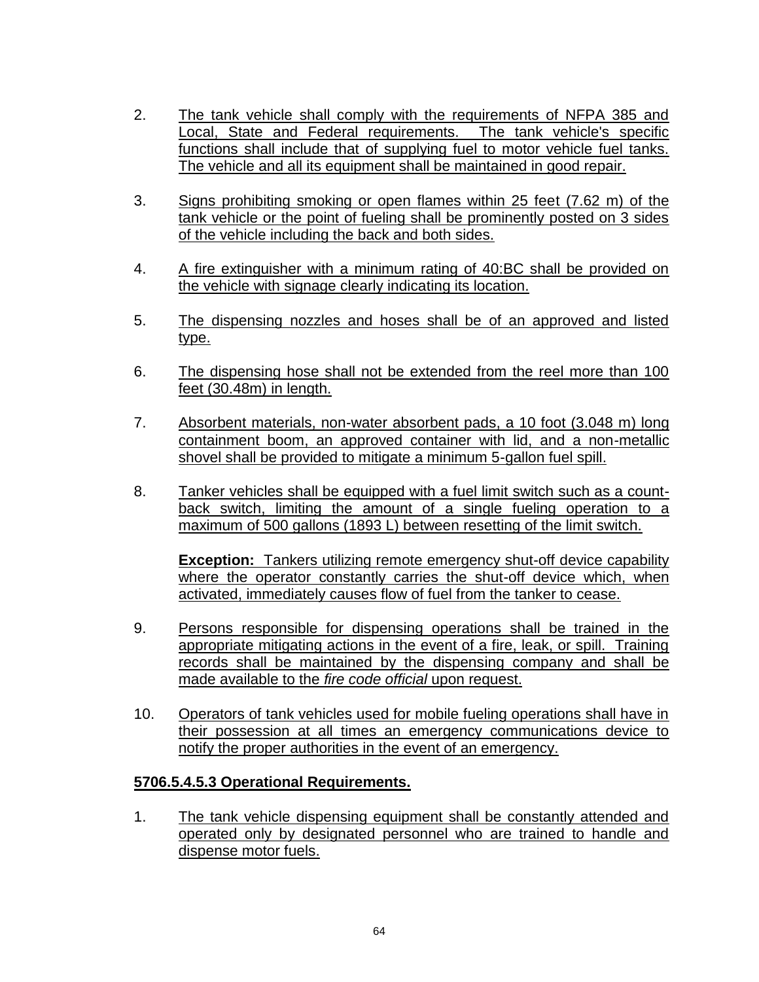- 2. The tank vehicle shall comply with the requirements of NFPA 385 and Local, State and Federal requirements. The tank vehicle's specific functions shall include that of supplying fuel to motor vehicle fuel tanks. The vehicle and all its equipment shall be maintained in good repair.
- 3. Signs prohibiting smoking or open flames within 25 feet (7.62 m) of the tank vehicle or the point of fueling shall be prominently posted on 3 sides of the vehicle including the back and both sides.
- 4. A fire extinguisher with a minimum rating of 40:BC shall be provided on the vehicle with signage clearly indicating its location.
- 5. The dispensing nozzles and hoses shall be of an approved and listed type.
- 6. The dispensing hose shall not be extended from the reel more than 100 feet (30.48m) in length.
- 7. Absorbent materials, non-water absorbent pads, a 10 foot (3.048 m) long containment boom, an approved container with lid, and a non-metallic shovel shall be provided to mitigate a minimum 5-gallon fuel spill.
- 8. Tanker vehicles shall be equipped with a fuel limit switch such as a countback switch, limiting the amount of a single fueling operation to a maximum of 500 gallons (1893 L) between resetting of the limit switch.

**Exception:** Tankers utilizing remote emergency shut-off device capability where the operator constantly carries the shut-off device which, when activated, immediately causes flow of fuel from the tanker to cease.

- 9. Persons responsible for dispensing operations shall be trained in the appropriate mitigating actions in the event of a fire, leak, or spill. Training records shall be maintained by the dispensing company and shall be made available to the *fire code official* upon request.
- 10. Operators of tank vehicles used for mobile fueling operations shall have in their possession at all times an emergency communications device to notify the proper authorities in the event of an emergency.

### **5706.5.4.5.3 Operational Requirements.**

1. The tank vehicle dispensing equipment shall be constantly attended and operated only by designated personnel who are trained to handle and dispense motor fuels.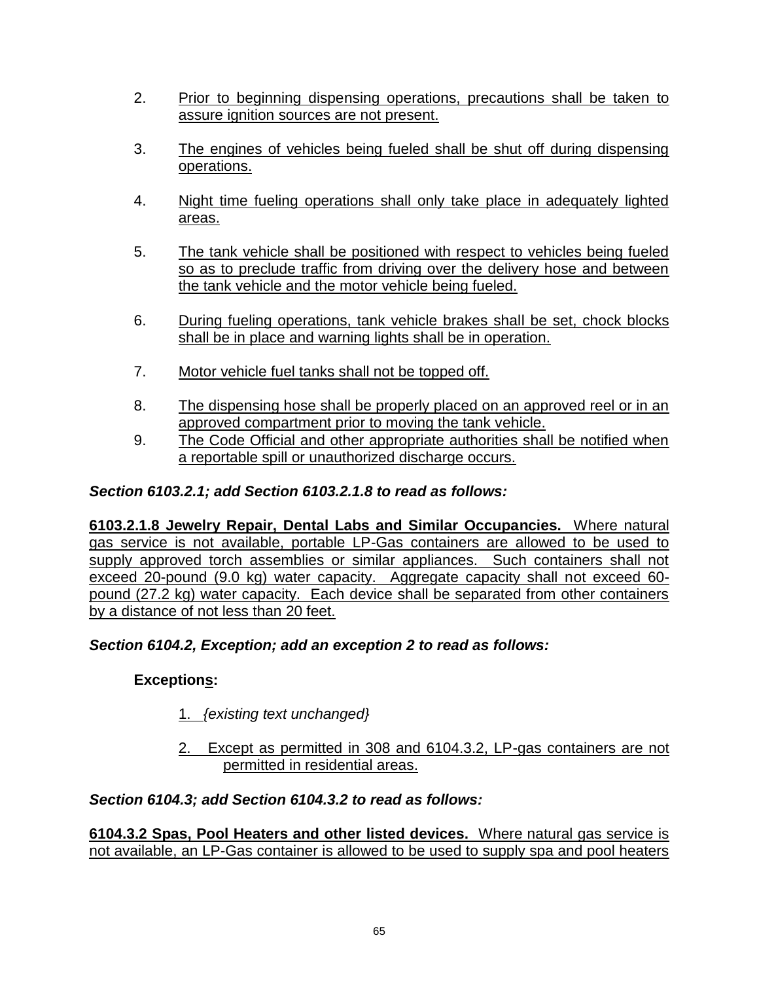- 2. Prior to beginning dispensing operations, precautions shall be taken to assure ignition sources are not present.
- 3. The engines of vehicles being fueled shall be shut off during dispensing operations.
- 4. Night time fueling operations shall only take place in adequately lighted areas.
- 5. The tank vehicle shall be positioned with respect to vehicles being fueled so as to preclude traffic from driving over the delivery hose and between the tank vehicle and the motor vehicle being fueled.
- 6. During fueling operations, tank vehicle brakes shall be set, chock blocks shall be in place and warning lights shall be in operation.
- 7. Motor vehicle fuel tanks shall not be topped off.
- 8. The dispensing hose shall be properly placed on an approved reel or in an approved compartment prior to moving the tank vehicle.
- 9. The Code Official and other appropriate authorities shall be notified when a reportable spill or unauthorized discharge occurs.

### *Section 6103.2.1; add Section 6103.2.1.8 to read as follows:*

**6103.2.1.8 Jewelry Repair, Dental Labs and Similar Occupancies.** Where natural gas service is not available, portable LP-Gas containers are allowed to be used to supply approved torch assemblies or similar appliances. Such containers shall not exceed 20-pound (9.0 kg) water capacity. Aggregate capacity shall not exceed 60 pound (27.2 kg) water capacity. Each device shall be separated from other containers by a distance of not less than 20 feet.

### *Section 6104.2, Exception; add an exception 2 to read as follows:*

## **Exceptions:**

- 1. *{existing text unchanged}*
- 2. Except as permitted in 308 and 6104.3.2, LP-gas containers are not permitted in residential areas.

### *Section 6104.3; add Section 6104.3.2 to read as follows:*

**6104.3.2 Spas, Pool Heaters and other listed devices.** Where natural gas service is not available, an LP-Gas container is allowed to be used to supply spa and pool heaters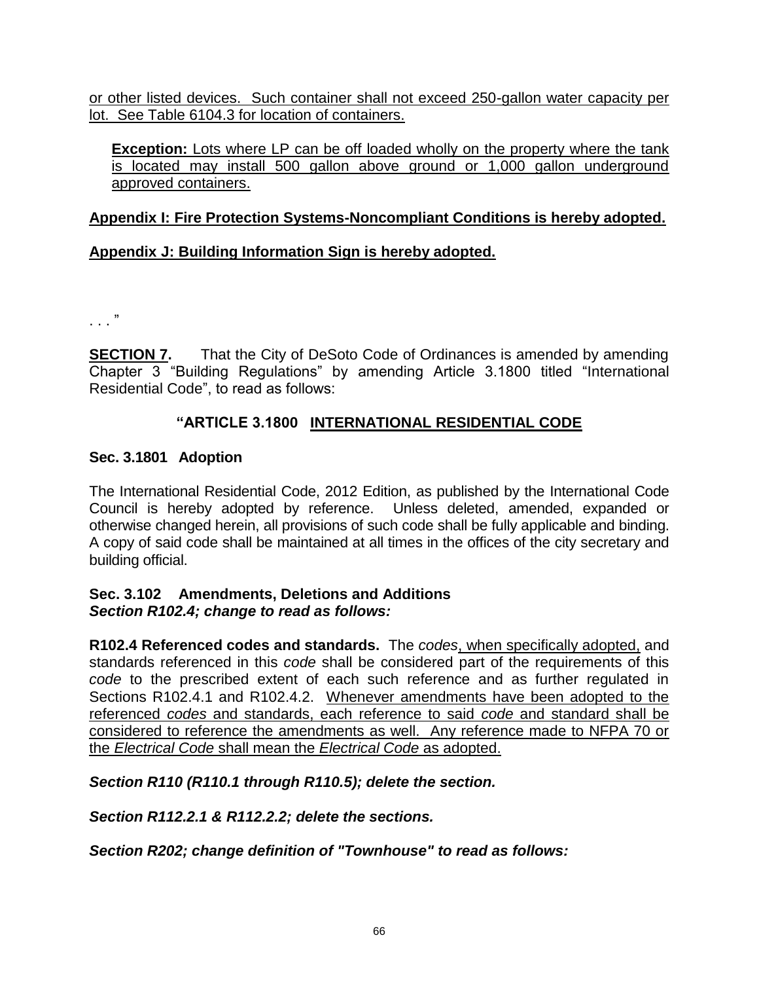or other listed devices. Such container shall not exceed 250-gallon water capacity per lot. See Table 6104.3 for location of containers.

**Exception:** Lots where LP can be off loaded wholly on the property where the tank is located may install 500 gallon above ground or 1,000 gallon underground approved containers.

### **Appendix I: Fire Protection Systems-Noncompliant Conditions is hereby adopted.**

## **Appendix J: Building Information Sign is hereby adopted.**

. . . "

**SECTION 7.** That the City of DeSoto Code of Ordinances is amended by amending Chapter 3 "Building Regulations" by amending Article 3.1800 titled "International Residential Code", to read as follows:

### **"ARTICLE 3.1800 INTERNATIONAL RESIDENTIAL CODE**

### **Sec. 3.1801 Adoption**

The International Residential Code, 2012 Edition, as published by the International Code Council is hereby adopted by reference. Unless deleted, amended, expanded or otherwise changed herein, all provisions of such code shall be fully applicable and binding. A copy of said code shall be maintained at all times in the offices of the city secretary and building official.

### **Sec. 3.102 Amendments, Deletions and Additions** *Section R102.4; change to read as follows:*

**R102.4 Referenced codes and standards.** The *codes*, when specifically adopted, and standards referenced in this *code* shall be considered part of the requirements of this *code* to the prescribed extent of each such reference and as further regulated in Sections R102.4.1 and R102.4.2. Whenever amendments have been adopted to the referenced *codes* and standards, each reference to said *code* and standard shall be considered to reference the amendments as well. Any reference made to NFPA 70 or the *Electrical Code* shall mean the *Electrical Code* as adopted.

*Section R110 (R110.1 through R110.5); delete the section.*

*Section R112.2.1 & R112.2.2; delete the sections.*

*Section R202; change definition of "Townhouse" to read as follows:*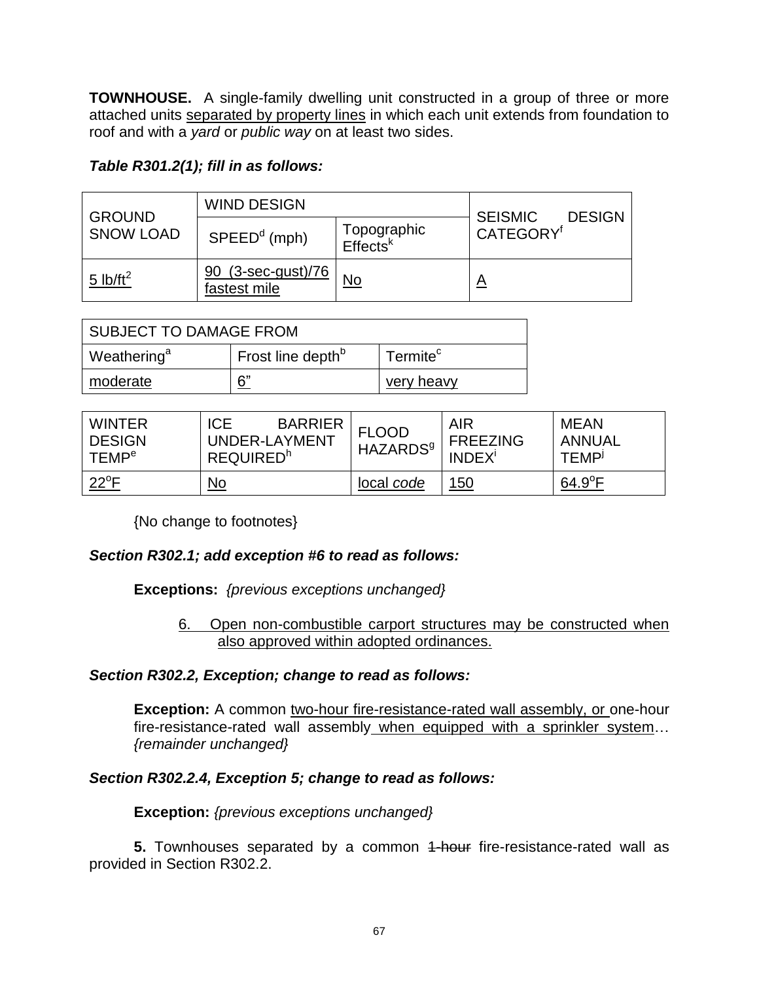**TOWNHOUSE.** A single-family dwelling unit constructed in a group of three or more attached units separated by property lines in which each unit extends from foundation to roof and with a *yard* or *public way* on at least two sides.

### *Table R301.2(1); fill in as follows:*

| <b>GROUND</b><br><b>SNOW LOAD</b> | <b>WIND DESIGN</b>                        |                                     |                                                          |  |
|-----------------------------------|-------------------------------------------|-------------------------------------|----------------------------------------------------------|--|
|                                   | $SPEEDd$ (mph)                            | Topographic<br>Effects <sup>k</sup> | <b>SEISMIC</b><br><b>DESIGN</b><br>CATEGORY <sup>f</sup> |  |
| 5 lb/ft <sup>2</sup>              | <u>90 (3-sec-gust)/76</u><br>fastest mile | No                                  | <u>A</u>                                                 |  |

| <b>SUBJECT TO DAMAGE FROM</b> |                               |                      |  |  |  |
|-------------------------------|-------------------------------|----------------------|--|--|--|
| Weathering <sup>a</sup>       | Frost line depth <sup>b</sup> | Termite <sup>c</sup> |  |  |  |
| moderate                      | 6"                            | very heavy           |  |  |  |

| <b>WINTER</b><br><b>DESIGN</b><br><b>TEMP<sup>e</sup></b> | <b>BARRIER</b><br><b>ICE</b><br>UNDER-LAYMENT<br><b>REQUIRED</b> <sup>h</sup> | <b>FLOOD</b><br><b>HAZARDS</b> <sup>9</sup> | <b>AIR</b><br><b>FREEZING</b><br><b>INDEX</b> <sup>i</sup> | <b>MEAN</b><br><b>ANNUAL</b><br><b>TEMP</b> |
|-----------------------------------------------------------|-------------------------------------------------------------------------------|---------------------------------------------|------------------------------------------------------------|---------------------------------------------|
| $22^{\circ}$ F                                            | <u>No</u>                                                                     | local code                                  | <u>150</u>                                                 | $64.9^{\circ}F$                             |

{No change to footnotes}

### *Section R302.1; add exception #6 to read as follows:*

**Exceptions:** *{previous exceptions unchanged}*

6. Open non-combustible carport structures may be constructed when also approved within adopted ordinances.

#### *Section R302.2, Exception; change to read as follows:*

**Exception:** A common two-hour fire-resistance-rated wall assembly, or one-hour fire-resistance-rated wall assembly when equipped with a sprinkler system… *{remainder unchanged}*

#### *Section R302.2.4, Exception 5; change to read as follows:*

**Exception:** *{previous exceptions unchanged}*

**5.** Townhouses separated by a common 4-hour fire-resistance-rated wall as provided in Section R302.2.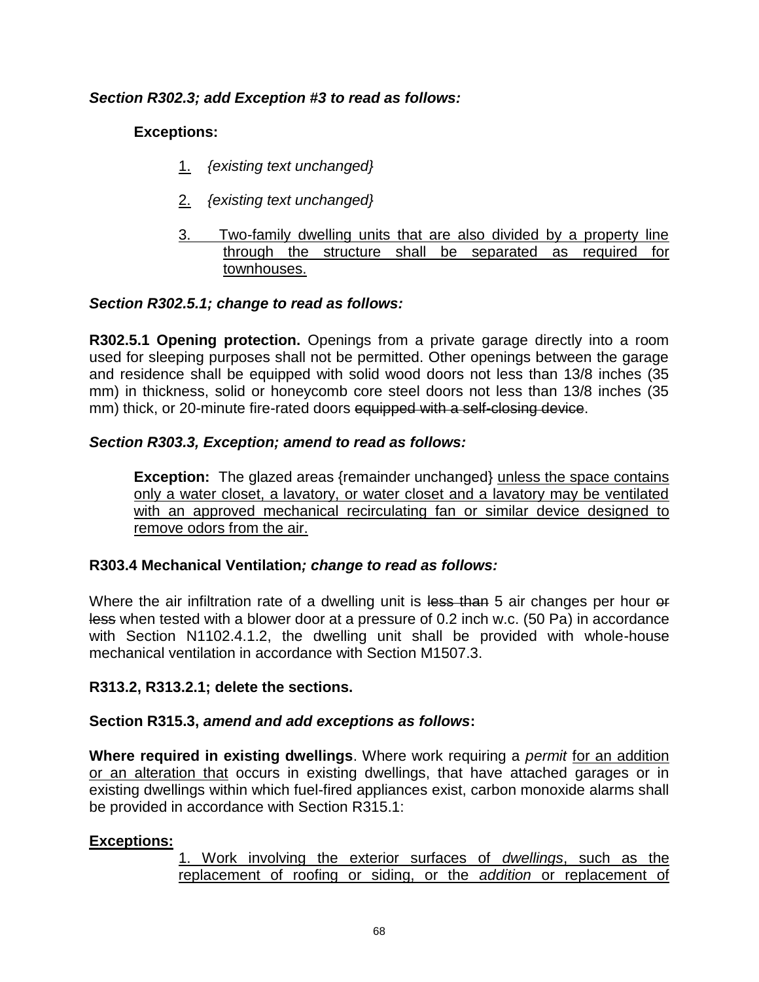### *Section R302.3; add Exception #3 to read as follows:*

### **Exceptions:**

- 1. *{existing text unchanged}*
- 2. *{existing text unchanged}*
- 3. Two-family dwelling units that are also divided by a property line through the structure shall be separated as required for townhouses.

### *Section R302.5.1; change to read as follows:*

**R302.5.1 Opening protection.** Openings from a private garage directly into a room used for sleeping purposes shall not be permitted. Other openings between the garage and residence shall be equipped with solid wood doors not less than 13/8 inches (35 mm) in thickness, solid or honeycomb core steel doors not less than 13/8 inches (35 mm) thick, or 20-minute fire-rated doors equipped with a self-closing device.

### *Section R303.3, Exception; amend to read as follows:*

**Exception:** The glazed areas {remainder unchanged} unless the space contains only a water closet, a lavatory, or water closet and a lavatory may be ventilated with an approved mechanical recirculating fan or similar device designed to remove odors from the air.

#### **R303.4 Mechanical Ventilation***; change to read as follows:*

Where the air infiltration rate of a dwelling unit is less than 5 air changes per hour of less when tested with a blower door at a pressure of 0.2 inch w.c. (50 Pa) in accordance with Section N1102.4.1.2, the dwelling unit shall be provided with whole-house mechanical ventilation in accordance with Section M1507.3.

#### **R313.2, R313.2.1; delete the sections.**

#### **Section R315.3,** *amend and add exceptions as follows***:**

**Where required in existing dwellings**. Where work requiring a *permit* for an addition or an alteration that occurs in existing dwellings, that have attached garages or in existing dwellings within which fuel-fired appliances exist, carbon monoxide alarms shall be provided in accordance with Section R315.1:

#### **Exceptions:**

1. Work involving the exterior surfaces of *dwellings*, such as the replacement of roofing or siding, or the *addition* or replacement of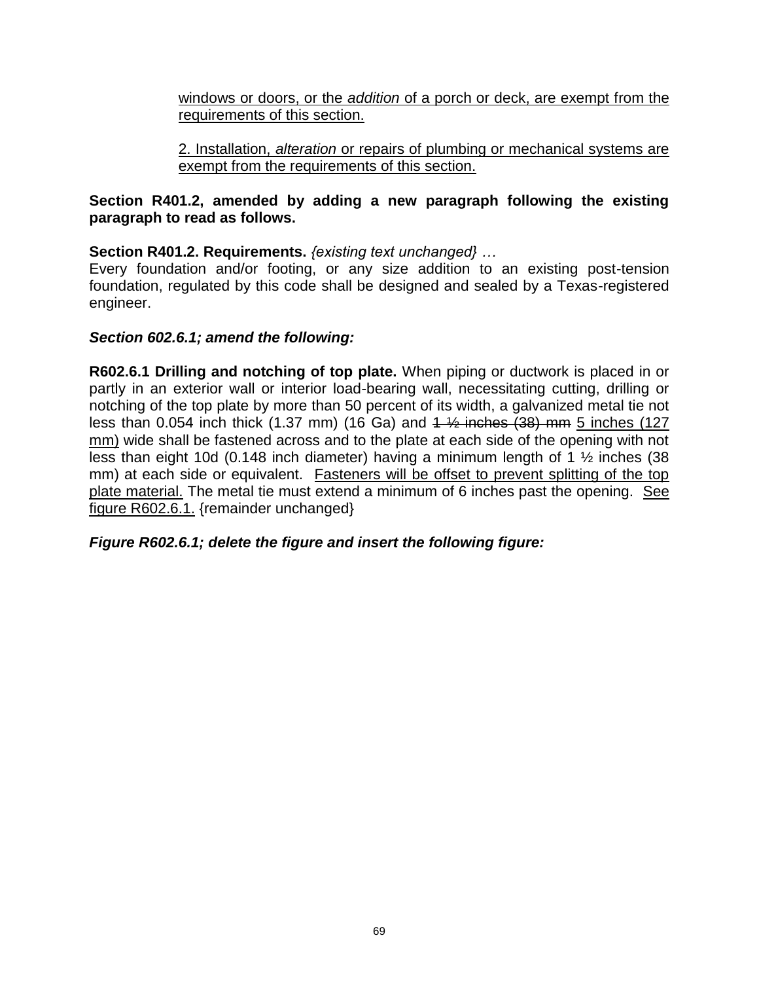windows or doors, or the *addition* of a porch or deck, are exempt from the requirements of this section.

2. Installation, *alteration* or repairs of plumbing or mechanical systems are exempt from the requirements of this section.

### **Section R401.2, amended by adding a new paragraph following the existing paragraph to read as follows.**

**Section R401.2. Requirements.** *{existing text unchanged} …*

Every foundation and/or footing, or any size addition to an existing post-tension foundation, regulated by this code shall be designed and sealed by a Texas-registered engineer.

### *Section 602.6.1; amend the following:*

**R602.6.1 Drilling and notching of top plate.** When piping or ductwork is placed in or partly in an exterior wall or interior load-bearing wall, necessitating cutting, drilling or notching of the top plate by more than 50 percent of its width, a galvanized metal tie not less than 0.054 inch thick  $(1.37 \text{ mm})$   $(16 \text{ Ga})$  and  $4\frac{1}{2}$  inches  $(38)$  mm 5 inches  $(127 \text{ m})$ mm) wide shall be fastened across and to the plate at each side of the opening with not less than eight 10d (0.148 inch diameter) having a minimum length of 1 ½ inches (38 mm) at each side or equivalent. Fasteners will be offset to prevent splitting of the top plate material. The metal tie must extend a minimum of 6 inches past the opening. See figure R602.6.1. {remainder unchanged}

*Figure R602.6.1; delete the figure and insert the following figure:*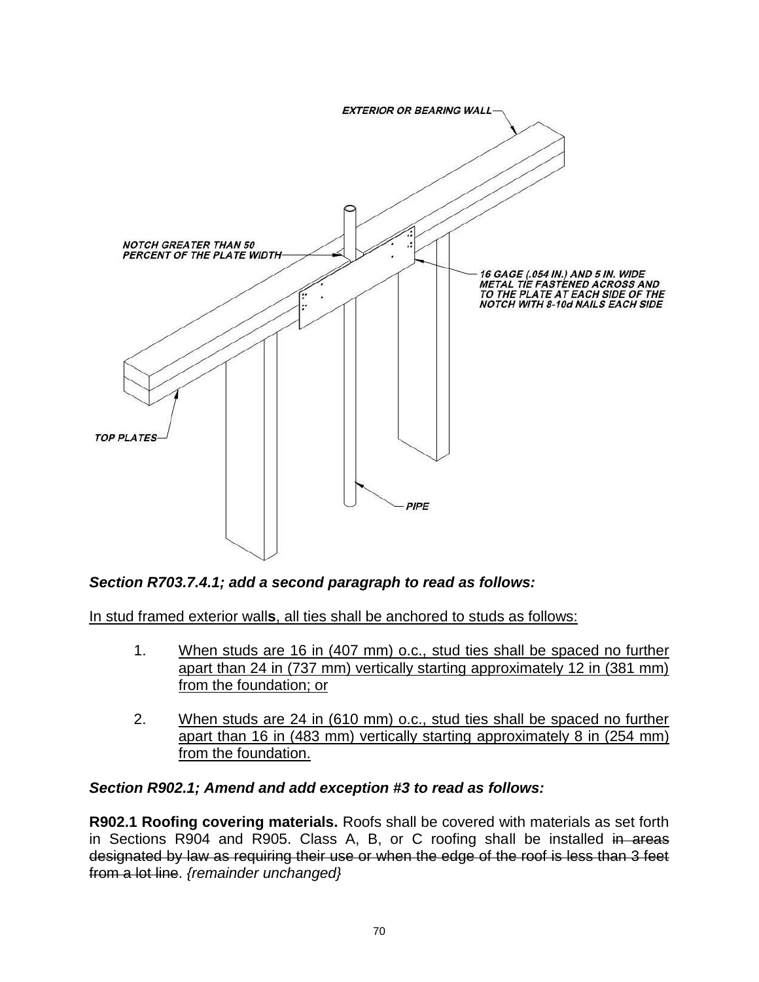

### *Section R703.7.4.1; add a second paragraph to read as follows:*

In stud framed exterior wall**s**, all ties shall be anchored to studs as follows:

- 1. When studs are 16 in (407 mm) o.c., stud ties shall be spaced no further apart than 24 in (737 mm) vertically starting approximately 12 in (381 mm) from the foundation; or
- 2. When studs are 24 in (610 mm) o.c., stud ties shall be spaced no further apart than 16 in (483 mm) vertically starting approximately 8 in (254 mm) from the foundation.

#### *Section R902.1; Amend and add exception #3 to read as follows:*

**R902.1 Roofing covering materials.** Roofs shall be covered with materials as set forth in Sections R904 and R905. Class A, B, or C roofing shall be installed in areas designated by law as requiring their use or when the edge of the roof is less than 3 feet from a lot line. *{remainder unchanged}*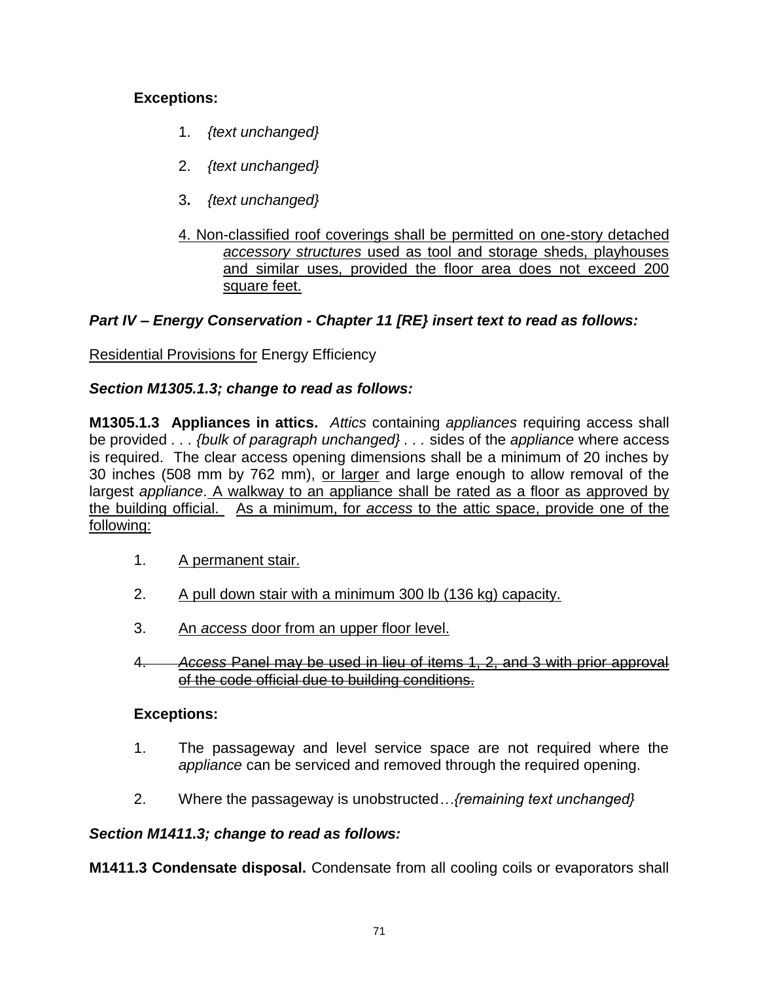## **Exceptions:**

- 1. *{text unchanged}*
- 2. *{text unchanged}*
- 3**.** *{text unchanged}*
- 4. Non-classified roof coverings shall be permitted on one-story detached *accessory structures* used as tool and storage sheds, playhouses and similar uses, provided the floor area does not exceed 200 square feet.

# *Part IV – Energy Conservation - Chapter 11 [RE} insert text to read as follows:*

Residential Provisions for Energy Efficiency

### *Section M1305.1.3; change to read as follows:*

**M1305.1.3 Appliances in attics.** *Attics* containing *appliances* requiring access shall be provided *. . . {bulk of paragraph unchanged} . . .* sides of the *appliance* where access is required. The clear access opening dimensions shall be a minimum of 20 inches by 30 inches (508 mm by 762 mm), or larger and large enough to allow removal of the largest *appliance*. A walkway to an appliance shall be rated as a floor as approved by the building official. As a minimum, for *access* to the attic space, provide one of the following:

- 1. A permanent stair.
- 2. A pull down stair with a minimum 300 lb (136 kg) capacity.
- 3. An *access* door from an upper floor level.
- 4. *Access* Panel may be used in lieu of items 1, 2, and 3 with prior approval of the code official due to building conditions.

### **Exceptions:**

- 1. The passageway and level service space are not required where the *appliance* can be serviced and removed through the required opening.
- 2. Where the passageway is unobstructed*…{remaining text unchanged}*

## *Section M1411.3; change to read as follows:*

**M1411.3 Condensate disposal.** Condensate from all cooling coils or evaporators shall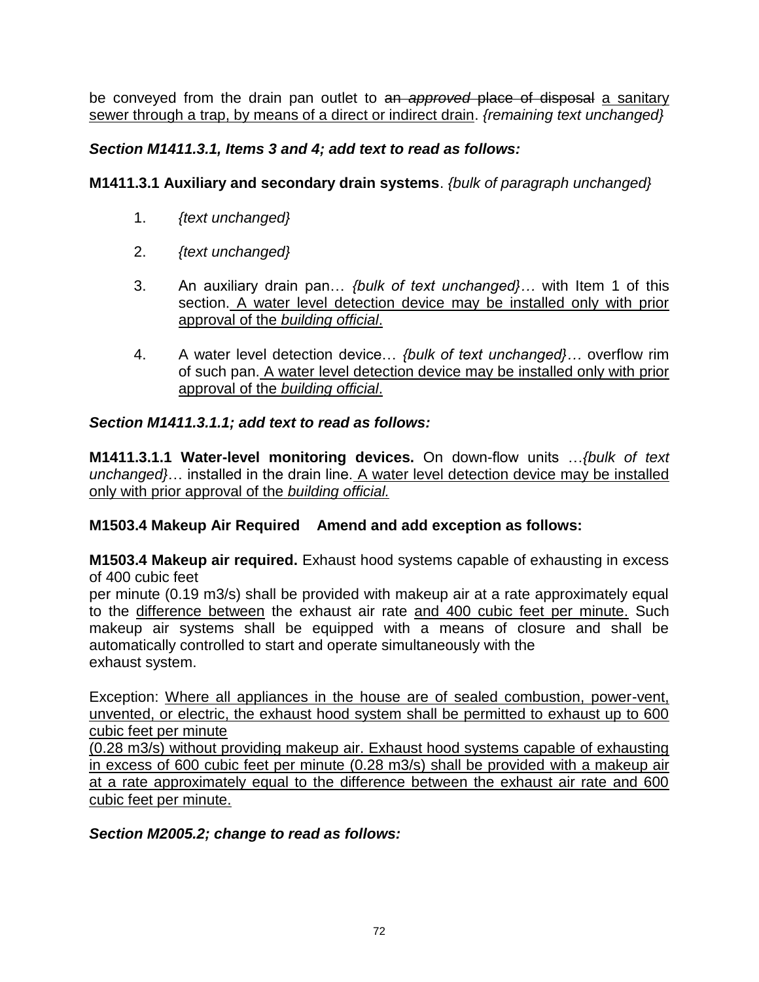be conveyed from the drain pan outlet to an *approved* place of disposal a sanitary sewer through a trap, by means of a direct or indirect drain. *{remaining text unchanged}*

## *Section M1411.3.1, Items 3 and 4; add text to read as follows:*

### **M1411.3.1 Auxiliary and secondary drain systems**. *{bulk of paragraph unchanged}*

- 1. *{text unchanged}*
- 2. *{text unchanged}*
- 3. An auxiliary drain pan… *{bulk of text unchanged}…* with Item 1 of this section. A water level detection device may be installed only with prior approval of the *building official*.
- 4. A water level detection device… *{bulk of text unchanged}…* overflow rim of such pan. A water level detection device may be installed only with prior approval of the *building official*.

### *Section M1411.3.1.1; add text to read as follows:*

**M1411.3.1.1 Water-level monitoring devices.** On down-flow units …*{bulk of text unchanged}*… installed in the drain line. A water level detection device may be installed only with prior approval of the *building official.*

### **M1503.4 Makeup Air Required Amend and add exception as follows:**

**M1503.4 Makeup air required.** Exhaust hood systems capable of exhausting in excess of 400 cubic feet

per minute (0.19 m3/s) shall be provided with makeup air at a rate approximately equal to the difference between the exhaust air rate and 400 cubic feet per minute. Such makeup air systems shall be equipped with a means of closure and shall be automatically controlled to start and operate simultaneously with the exhaust system.

Exception: Where all appliances in the house are of sealed combustion, power-vent, unvented, or electric, the exhaust hood system shall be permitted to exhaust up to 600 cubic feet per minute

(0.28 m3/s) without providing makeup air. Exhaust hood systems capable of exhausting in excess of 600 cubic feet per minute (0.28 m3/s) shall be provided with a makeup air at a rate approximately equal to the difference between the exhaust air rate and 600 cubic feet per minute.

### *Section M2005.2; change to read as follows:*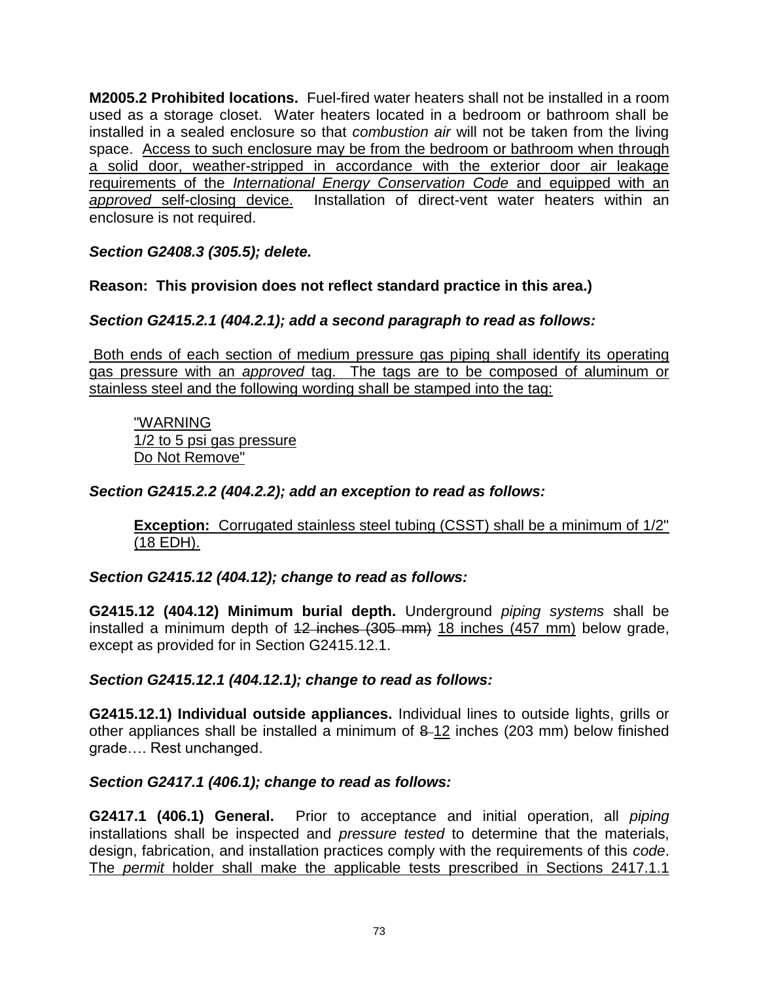**M2005.2 Prohibited locations.** Fuel-fired water heaters shall not be installed in a room used as a storage closet. Water heaters located in a bedroom or bathroom shall be installed in a sealed enclosure so that *combustion air* will not be taken from the living space. Access to such enclosure may be from the bedroom or bathroom when through a solid door, weather-stripped in accordance with the exterior door air leakage requirements of the *International Energy Conservation Code* and equipped with an *approved* self-closing device. Installation of direct-vent water heaters within an enclosure is not required.

*Section G2408.3 (305.5); delete.* 

**Reason: This provision does not reflect standard practice in this area.)**

*Section G2415.2.1 (404.2.1); add a second paragraph to read as follows:* 

Both ends of each section of medium pressure gas piping shall identify its operating gas pressure with an *approved* tag. The tags are to be composed of aluminum or stainless steel and the following wording shall be stamped into the tag:

"WARNING 1/2 to 5 psi gas pressure Do Not Remove"

### *Section G2415.2.2 (404.2.2); add an exception to read as follows:*

**Exception:** Corrugated stainless steel tubing (CSST) shall be a minimum of 1/2" (18 EDH).

#### *Section G2415.12 (404.12); change to read as follows:*

**G2415.12 (404.12) Minimum burial depth.** Underground *piping systems* shall be installed a minimum depth of 12 inches (305 mm) 18 inches (457 mm) below grade, except as provided for in Section G2415.12.1.

*Section G2415.12.1 (404.12.1); change to read as follows:*

**G2415.12.1) Individual outside appliances.** Individual lines to outside lights, grills or other appliances shall be installed a minimum of 8 12 inches (203 mm) below finished grade…. Rest unchanged.

#### *Section G2417.1 (406.1); change to read as follows:*

**G2417.1 (406.1) General.** Prior to acceptance and initial operation, all *piping* installations shall be inspected and *pressure tested* to determine that the materials, design, fabrication, and installation practices comply with the requirements of this *code*. The *permit* holder shall make the applicable tests prescribed in Sections 2417.1.1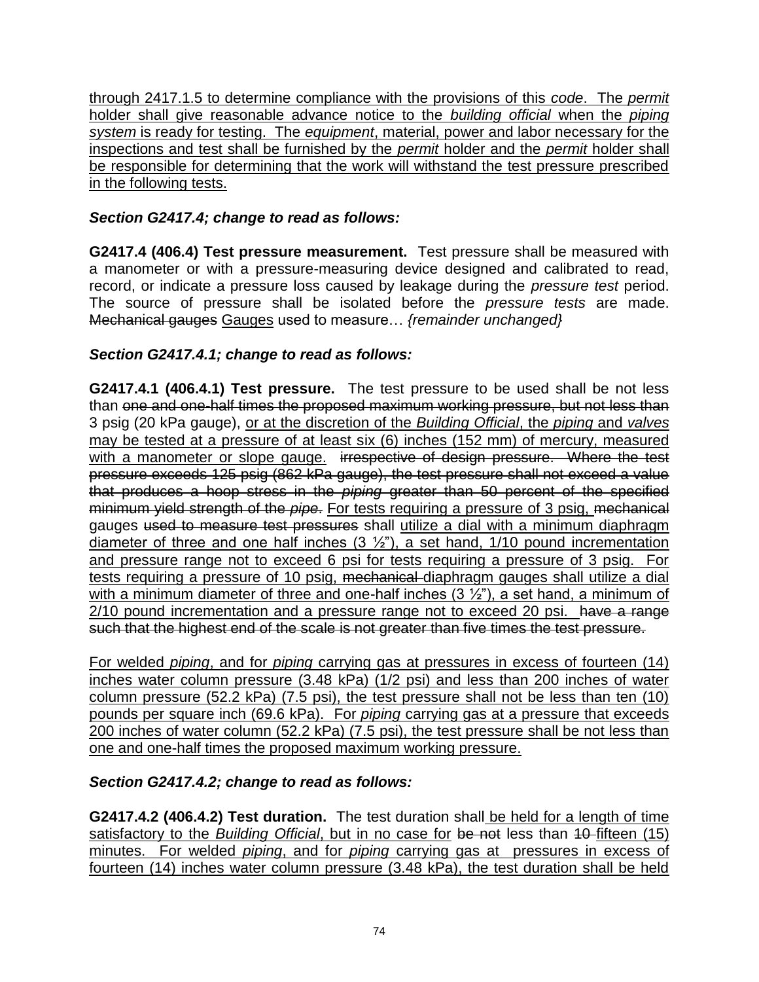through 2417.1.5 to determine compliance with the provisions of this *code*. The *permit* holder shall give reasonable advance notice to the *building official* when the *piping system* is ready for testing. The *equipment*, material, power and labor necessary for the inspections and test shall be furnished by the *permit* holder and the *permit* holder shall be responsible for determining that the work will withstand the test pressure prescribed in the following tests.

## *Section G2417.4; change to read as follows:*

**G2417.4 (406.4) Test pressure measurement.** Test pressure shall be measured with a manometer or with a pressure-measuring device designed and calibrated to read, record, or indicate a pressure loss caused by leakage during the *pressure test* period. The source of pressure shall be isolated before the *pressure tests* are made. Mechanical gauges Gauges used to measure… *{remainder unchanged}*

# *Section G2417.4.1; change to read as follows:*

**G2417.4.1 (406.4.1) Test pressure.** The test pressure to be used shall be not less than one and one-half times the proposed maximum working pressure, but not less than 3 psig (20 kPa gauge), or at the discretion of the *Building Official*, the *piping* and *valves* may be tested at a pressure of at least six (6) inches (152 mm) of mercury, measured with a manometer or slope gauge. irrespective of design pressure. Where the test pressure exceeds 125 psig (862 kPa gauge), the test pressure shall not exceed a value that produces a hoop stress in the *piping* greater than 50 percent of the specified minimum yield strength of the *pipe*. For tests requiring a pressure of 3 psig, mechanical gauges used to measure test pressures shall utilize a dial with a minimum diaphragm diameter of three and one half inches  $(3 \frac{1}{2})$ , a set hand,  $1/10$  pound incrementation and pressure range not to exceed 6 psi for tests requiring a pressure of 3 psig. For tests requiring a pressure of 10 psig, mechanical diaphragm gauges shall utilize a dial with a minimum diameter of three and one-half inches  $(3 \frac{1}{2})$ , a set hand, a minimum of 2/10 pound incrementation and a pressure range not to exceed 20 psi. have a range such that the highest end of the scale is not greater than five times the test pressure.

For welded *piping*, and for *piping* carrying gas at pressures in excess of fourteen (14) inches water column pressure (3.48 kPa) (1/2 psi) and less than 200 inches of water column pressure (52.2 kPa) (7.5 psi), the test pressure shall not be less than ten (10) pounds per square inch (69.6 kPa). For *piping* carrying gas at a pressure that exceeds 200 inches of water column (52.2 kPa) (7.5 psi), the test pressure shall be not less than one and one-half times the proposed maximum working pressure.

## *Section G2417.4.2; change to read as follows:*

**G2417.4.2 (406.4.2) Test duration.** The test duration shall be held for a length of time satisfactory to the *Building Official*, but in no case for be not less than 40-fifteen (15) minutes. For welded *piping*, and for *piping* carrying gas at pressures in excess of fourteen (14) inches water column pressure (3.48 kPa), the test duration shall be held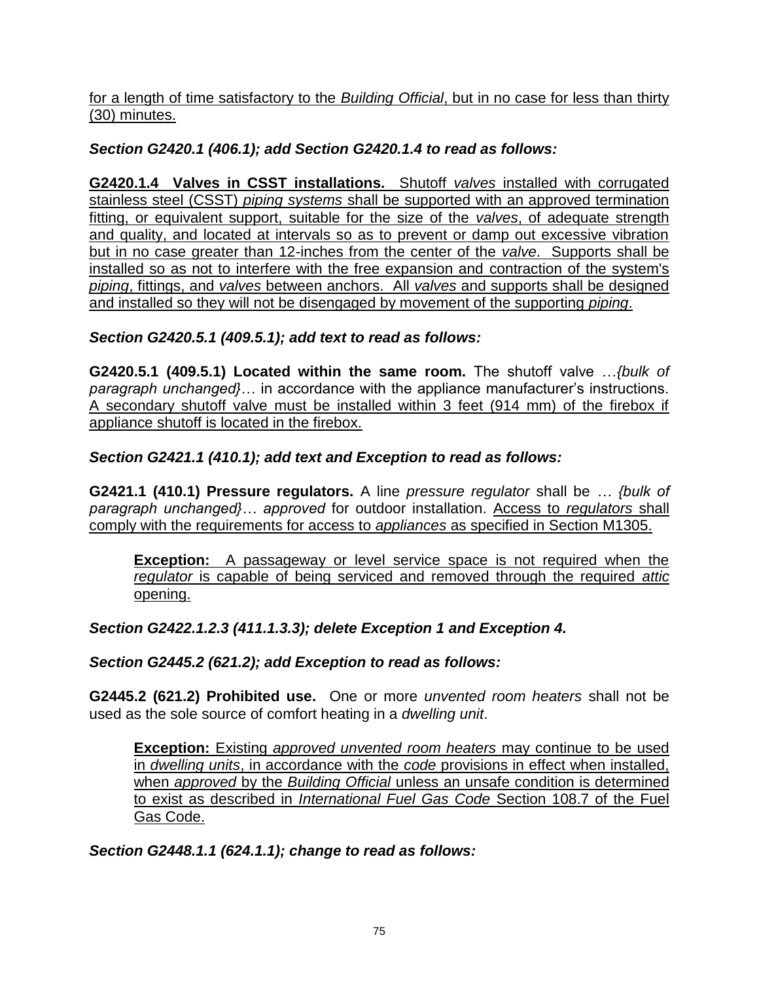for a length of time satisfactory to the *Building Official*, but in no case for less than thirty (30) minutes.

# *Section G2420.1 (406.1); add Section G2420.1.4 to read as follows:*

**G2420.1.4 Valves in CSST installations.** Shutoff *valves* installed with corrugated stainless steel (CSST) *piping systems* shall be supported with an approved termination fitting, or equivalent support, suitable for the size of the *valves*, of adequate strength and quality, and located at intervals so as to prevent or damp out excessive vibration but in no case greater than 12-inches from the center of the *valve*. Supports shall be installed so as not to interfere with the free expansion and contraction of the system's *piping*, fittings, and *valves* between anchors. All *valves* and supports shall be designed and installed so they will not be disengaged by movement of the supporting *piping*.

# *Section G2420.5.1 (409.5.1); add text to read as follows:*

**G2420.5.1 (409.5.1) Located within the same room.** The shutoff valve …*{bulk of paragraph unchanged}…* in accordance with the appliance manufacturer's instructions. A secondary shutoff valve must be installed within 3 feet (914 mm) of the firebox if appliance shutoff is located in the firebox.

# *Section G2421.1 (410.1); add text and Exception to read as follows:*

**G2421.1 (410.1) Pressure regulators.** A line *pressure regulator* shall be *… {bulk of paragraph unchanged}… approved* for outdoor installation. Access to *regulators* shall comply with the requirements for access to *appliances* as specified in Section M1305.

**Exception:** A passageway or level service space is not required when the *regulator* is capable of being serviced and removed through the required *attic* opening.

# *Section G2422.1.2.3 (411.1.3.3); delete Exception 1 and Exception 4.*

*Section G2445.2 (621.2); add Exception to read as follows:* 

**G2445.2 (621.2) Prohibited use.** One or more *unvented room heaters* shall not be used as the sole source of comfort heating in a *dwelling unit*.

**Exception:** Existing *approved unvented room heaters* may continue to be used in *dwelling units*, in accordance with the *code* provisions in effect when installed, when *approved* by the *Building Official* unless an unsafe condition is determined to exist as described in *International Fuel Gas Code* Section 108.7 of the Fuel Gas Code.

*Section G2448.1.1 (624.1.1); change to read as follows:*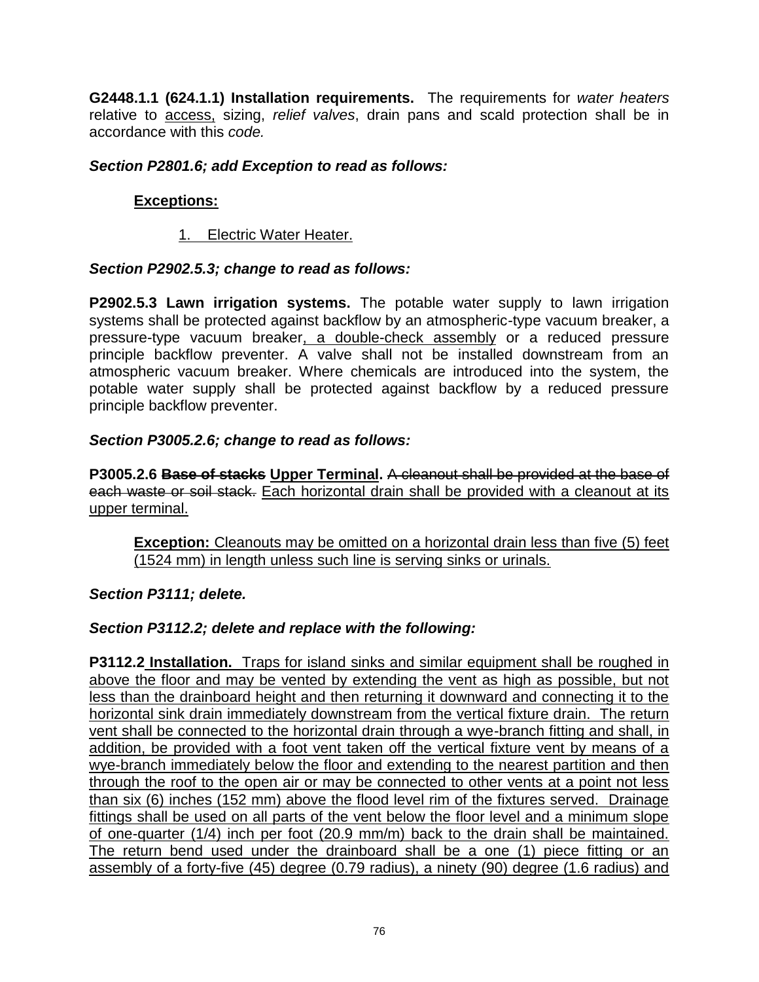**G2448.1.1 (624.1.1) Installation requirements.** The requirements for *water heaters* relative to access, sizing, *relief valves*, drain pans and scald protection shall be in accordance with this *code.*

### *Section P2801.6; add Exception to read as follows:*

## **Exceptions:**

1. Electric Water Heater.

### *Section P2902.5.3; change to read as follows:*

**P2902.5.3 Lawn irrigation systems.** The potable water supply to lawn irrigation systems shall be protected against backflow by an atmospheric-type vacuum breaker, a pressure-type vacuum breaker, a double-check assembly or a reduced pressure principle backflow preventer. A valve shall not be installed downstream from an atmospheric vacuum breaker. Where chemicals are introduced into the system, the potable water supply shall be protected against backflow by a reduced pressure principle backflow preventer.

### *Section P3005.2.6; change to read as follows:*

**P3005.2.6 Base of stacks Upper Terminal.** A cleanout shall be provided at the base of each waste or soil stack. Each horizontal drain shall be provided with a cleanout at its upper terminal.

**Exception:** Cleanouts may be omitted on a horizontal drain less than five (5) feet (1524 mm) in length unless such line is serving sinks or urinals.

#### *Section P3111; delete.*

## *Section P3112.2; delete and replace with the following:*

**P3112.2 Installation.** Traps for island sinks and similar equipment shall be roughed in above the floor and may be vented by extending the vent as high as possible, but not less than the drainboard height and then returning it downward and connecting it to the horizontal sink drain immediately downstream from the vertical fixture drain. The return vent shall be connected to the horizontal drain through a wye-branch fitting and shall, in addition, be provided with a foot vent taken off the vertical fixture vent by means of a wye-branch immediately below the floor and extending to the nearest partition and then through the roof to the open air or may be connected to other vents at a point not less than six (6) inches (152 mm) above the flood level rim of the fixtures served. Drainage fittings shall be used on all parts of the vent below the floor level and a minimum slope of one-quarter (1/4) inch per foot (20.9 mm/m) back to the drain shall be maintained. The return bend used under the drainboard shall be a one (1) piece fitting or an assembly of a forty-five (45) degree (0.79 radius), a ninety (90) degree (1.6 radius) and